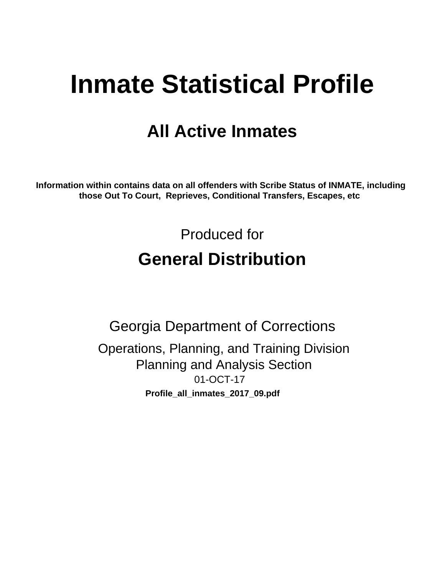# **Inmate Statistical Profile**

## **All Active Inmates**

Information within contains data on all offenders with Scribe Status of INMATE, including those Out To Court, Reprieves, Conditional Transfers, Escapes, etc

> Produced for **General Distribution**

**Georgia Department of Corrections** Operations, Planning, and Training Division **Planning and Analysis Section** 01-OCT-17 Profile\_all\_inmates\_2017\_09.pdf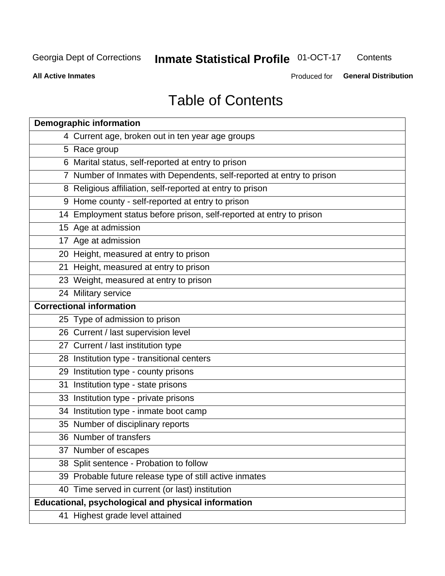#### **Inmate Statistical Profile 01-OCT-17** Contents

**All Active Inmates** 

Produced for General Distribution

## **Table of Contents**

| <b>Demographic information</b>                                        |
|-----------------------------------------------------------------------|
| 4 Current age, broken out in ten year age groups                      |
| 5 Race group                                                          |
| 6 Marital status, self-reported at entry to prison                    |
| 7 Number of Inmates with Dependents, self-reported at entry to prison |
| 8 Religious affiliation, self-reported at entry to prison             |
| 9 Home county - self-reported at entry to prison                      |
| 14 Employment status before prison, self-reported at entry to prison  |
| 15 Age at admission                                                   |
| 17 Age at admission                                                   |
| 20 Height, measured at entry to prison                                |
| 21 Height, measured at entry to prison                                |
| 23 Weight, measured at entry to prison                                |
| 24 Military service                                                   |
| <b>Correctional information</b>                                       |
| 25 Type of admission to prison                                        |
| 26 Current / last supervision level                                   |
| 27 Current / last institution type                                    |
| 28 Institution type - transitional centers                            |
| 29 Institution type - county prisons                                  |
| 31 Institution type - state prisons                                   |
| 33 Institution type - private prisons                                 |
| 34 Institution type - inmate boot camp                                |
| 35 Number of disciplinary reports                                     |
| 36 Number of transfers                                                |
| 37 Number of escapes                                                  |
| 38 Split sentence - Probation to follow                               |
| 39 Probable future release type of still active inmates               |
| 40 Time served in current (or last) institution                       |
| Educational, psychological and physical information                   |
| 41 Highest grade level attained                                       |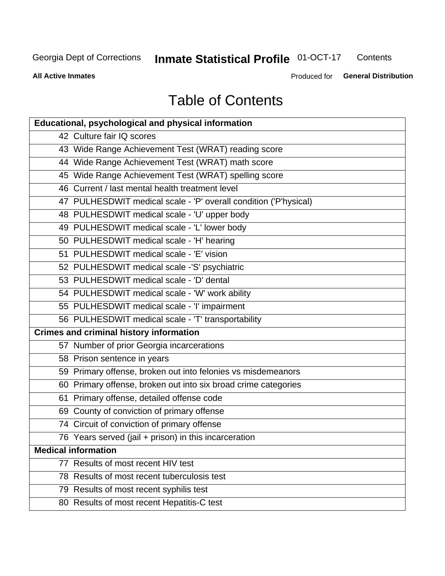#### **Inmate Statistical Profile 01-OCT-17** Contents

**All Active Inmates** 

Produced for General Distribution

## **Table of Contents**

| <b>Educational, psychological and physical information</b>       |
|------------------------------------------------------------------|
| 42 Culture fair IQ scores                                        |
| 43 Wide Range Achievement Test (WRAT) reading score              |
| 44 Wide Range Achievement Test (WRAT) math score                 |
| 45 Wide Range Achievement Test (WRAT) spelling score             |
| 46 Current / last mental health treatment level                  |
| 47 PULHESDWIT medical scale - 'P' overall condition ('P'hysical) |
| 48 PULHESDWIT medical scale - 'U' upper body                     |
| 49 PULHESDWIT medical scale - 'L' lower body                     |
| 50 PULHESDWIT medical scale - 'H' hearing                        |
| 51 PULHESDWIT medical scale - 'E' vision                         |
| 52 PULHESDWIT medical scale -'S' psychiatric                     |
| 53 PULHESDWIT medical scale - 'D' dental                         |
| 54 PULHESDWIT medical scale - 'W' work ability                   |
| 55 PULHESDWIT medical scale - 'I' impairment                     |
| 56 PULHESDWIT medical scale - 'T' transportability               |
| <b>Crimes and criminal history information</b>                   |
| 57 Number of prior Georgia incarcerations                        |
| 58 Prison sentence in years                                      |
| 59 Primary offense, broken out into felonies vs misdemeanors     |
| 60 Primary offense, broken out into six broad crime categories   |
| 61 Primary offense, detailed offense code                        |
| 69 County of conviction of primary offense                       |
| 74 Circuit of conviction of primary offense                      |
| 76 Years served (jail + prison) in this incarceration            |
| <b>Medical information</b>                                       |
| 77 Results of most recent HIV test                               |
| 78 Results of most recent tuberculosis test                      |
| 79 Results of most recent syphilis test                          |
| 80 Results of most recent Hepatitis-C test                       |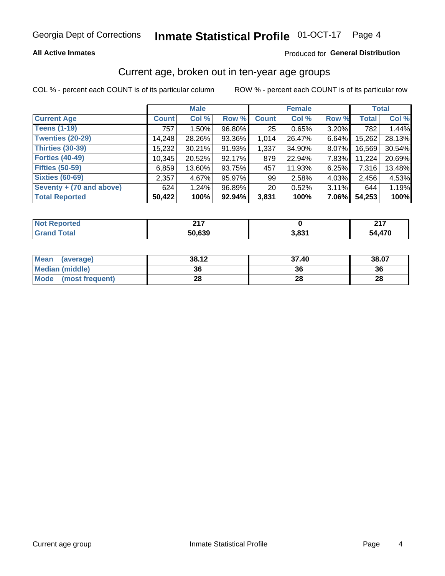#### Inmate Statistical Profile 01-OCT-17 Page 4

## **All Active Inmates**

## Produced for General Distribution

## Current age, broken out in ten-year age groups

COL % - percent each COUNT is of its particular column

|                          | <b>Male</b>  |          |        | <b>Female</b>   |        |          | <b>Total</b> |        |
|--------------------------|--------------|----------|--------|-----------------|--------|----------|--------------|--------|
| <b>Current Age</b>       | <b>Count</b> | Col %    | Row %  | <b>Count</b>    | Col %  | Row %    | <b>Total</b> | Col %  |
| <b>Teens (1-19)</b>      | 757          | $1.50\%$ | 96.80% | 25              | 0.65%  | 3.20%    | 782          | 1.44%  |
| <b>Twenties (20-29)</b>  | 14,248       | 28.26%   | 93.36% | 1,014           | 26.47% | 6.64%    | 15,262       | 28.13% |
| Thirties (30-39)         | 15,232       | 30.21%   | 91.93% | 1,337           | 34.90% | $8.07\%$ | 16,569       | 30.54% |
| <b>Forties (40-49)</b>   | 10,345       | 20.52%   | 92.17% | 879             | 22.94% | 7.83%    | 11,224       | 20.69% |
| <b>Fifties (50-59)</b>   | 6,859        | 13.60%   | 93.75% | 457             | 11.93% | 6.25%    | 7,316        | 13.48% |
| <b>Sixties (60-69)</b>   | 2,357        | 4.67%    | 95.97% | 99              | 2.58%  | 4.03%    | 2,456        | 4.53%  |
| Seventy + (70 and above) | 624          | 1.24%    | 96.89% | 20 <sub>1</sub> | 0.52%  | 3.11%    | 644          | 1.19%  |
| <b>Total Reported</b>    | 50,422       | 100%     | 92.94% | 3,831           | 100%   | 7.06%    | 54,253       | 100%   |

| <b>Not Reported</b> | $\sim$<br>. |                 | $24-$    |
|---------------------|-------------|-----------------|----------|
| <b>Total</b>        | 50,639      | s 0s1<br>ּ כס,כ | 4,470ء ر |

| <b>Mean</b><br>(average) | 38.12 | 37.40 | 38.07 |
|--------------------------|-------|-------|-------|
| Median (middle)          | 36    | 36    | 36    |
| Mode<br>(most frequent)  | 28    | 28    | 28    |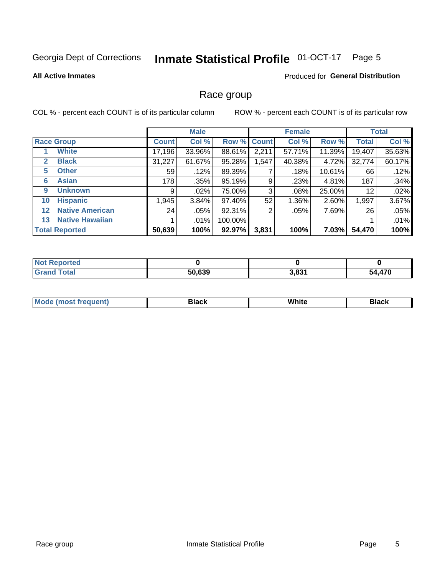#### **Inmate Statistical Profile 01-OCT-17** Page 5

#### **All Active Inmates**

## Produced for General Distribution

## Race group

COL % - percent each COUNT is of its particular column

|                   |                        | <b>Male</b>  |         |         | <b>Female</b> |        |           | <b>Total</b> |        |
|-------------------|------------------------|--------------|---------|---------|---------------|--------|-----------|--------------|--------|
|                   | <b>Race Group</b>      | <b>Count</b> | Col %   |         | Row % Count   | Col %  | Row %     | <b>Total</b> | Col %  |
|                   | <b>White</b>           | 17,196       | 33.96%  | 88.61%  | 2,211         | 57.71% | 11.39%    | 19,407       | 35.63% |
| 2                 | <b>Black</b>           | 31,227       | 61.67%  | 95.28%  | 1,547         | 40.38% | 4.72%     | 32,774       | 60.17% |
| 5                 | <b>Other</b>           | 59           | .12%    | 89.39%  |               | .18%   | $10.61\%$ | 66           | .12%   |
| 6                 | <b>Asian</b>           | 178          | .35%    | 95.19%  | 9             | .23%   | 4.81%     | 187          | .34%   |
| 9                 | <b>Unknown</b>         | 9            | $.02\%$ | 75.00%  | 3             | .08%   | 25.00%    | 12           | .02%   |
| 10                | <b>Hispanic</b>        | 1,945        | 3.84%   | 97.40%  | 52            | 1.36%  | 2.60%     | 1,997        | 3.67%  |
| $12 \overline{ }$ | <b>Native American</b> | 24           | .05%    | 92.31%  | 2             | .05%   | 7.69%     | 26           | .05%   |
| 13                | <b>Native Hawaiian</b> |              | $.01\%$ | 100.00% |               |        |           |              | .01%   |
|                   | <b>Total Reported</b>  | 50,639       | 100%    | 92.97%  | 3,831         | 100%   | $7.03\%$  | 54,470       | 100%   |

| <b>Not Reported</b> |        |       |               |
|---------------------|--------|-------|---------------|
| <b>Grand Total</b>  | 50,639 | 3,831 | 4,470<br>- בר |

| <b>Mode</b><br>---<br>most frequent) | Black | White | <b>Black</b> |
|--------------------------------------|-------|-------|--------------|
|                                      |       |       |              |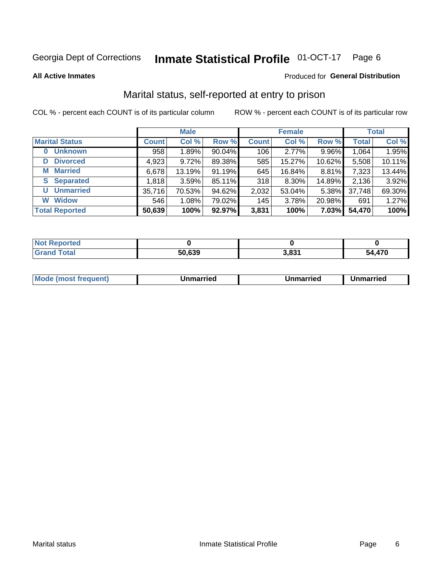#### **Inmate Statistical Profile 01-OCT-17** Page 6

**All Active Inmates** 

## Produced for General Distribution

## Marital status, self-reported at entry to prison

COL % - percent each COUNT is of its particular column

|                            | <b>Male</b>  |        |        |              | <b>Female</b> | <b>Total</b> |              |        |
|----------------------------|--------------|--------|--------|--------------|---------------|--------------|--------------|--------|
| <b>Marital Status</b>      | <b>Count</b> | Col %  | Row %  | <b>Count</b> | Col %         | Row %        | <b>Total</b> | Col %  |
| <b>Unknown</b><br>$\bf{0}$ | 958          | 1.89%  | 90.04% | 106          | $2.77\%$      | 9.96%        | 1,064        | 1.95%  |
| <b>Divorced</b><br>D       | 4,923        | 9.72%  | 89.38% | 585          | 15.27%        | 10.62%       | 5,508        | 10.11% |
| <b>Married</b><br>M        | 6,678        | 13.19% | 91.19% | 645          | 16.84%        | 8.81%        | 7,323        | 13.44% |
| <b>S</b> Separated         | 1,818        | 3.59%  | 85.11% | 318          | 8.30%         | 14.89%       | 2,136        | 3.92%  |
| <b>Unmarried</b><br>U      | 35,716       | 70.53% | 94.62% | 2,032        | 53.04%        | 5.38%        | 37,748       | 69.30% |
| <b>Widow</b><br>W          | 546          | 1.08%  | 79.02% | 145          | 3.78%         | 20.98%       | 691          | 1.27%  |
| <b>Total Reported</b>      | 50,639       | 100%   | 92.97% | 3,831        | 100%          | 7.03%        | 54,470       | 100%   |

| orted<br>I NOT |        |        |      |
|----------------|--------|--------|------|
| $\sim$         | ra caa | י פס פ | .470 |
| . Gre          | יכס,   | , oj   | - 4  |

| <b>Mode (most frequent)</b><br>Unmarried<br>Unmarried<br>Jnmarried |
|--------------------------------------------------------------------|
|--------------------------------------------------------------------|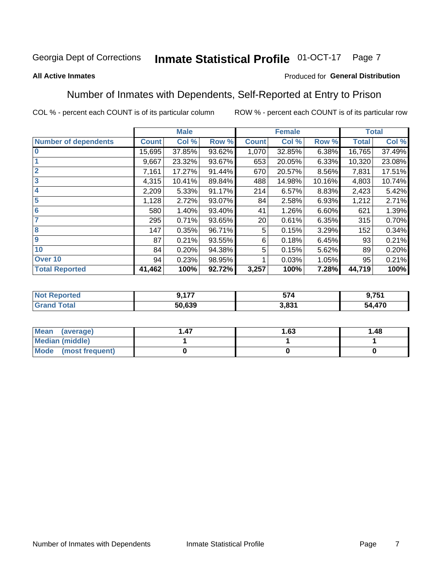#### **Inmate Statistical Profile 01-OCT-17** Page 7

### **All Active Inmates**

## Produced for General Distribution

## Number of Inmates with Dependents, Self-Reported at Entry to Prison

COL % - percent each COUNT is of its particular column

|                             |              | <b>Male</b> |        |              | <b>Female</b> |        |              | <b>Total</b> |
|-----------------------------|--------------|-------------|--------|--------------|---------------|--------|--------------|--------------|
| <b>Number of dependents</b> | <b>Count</b> | Col %       | Row %  | <b>Count</b> | Col %         | Row %  | <b>Total</b> | Col %        |
| l 0                         | 15,695       | 37.85%      | 93.62% | 1,070        | 32.85%        | 6.38%  | 16,765       | 37.49%       |
|                             | 9,667        | 23.32%      | 93.67% | 653          | 20.05%        | 6.33%  | 10,320       | 23.08%       |
| $\overline{2}$              | 7,161        | 17.27%      | 91.44% | 670          | 20.57%        | 8.56%  | 7,831        | 17.51%       |
| $\overline{\mathbf{3}}$     | 4,315        | 10.41%      | 89.84% | 488          | 14.98%        | 10.16% | 4,803        | 10.74%       |
| 4                           | 2,209        | 5.33%       | 91.17% | 214          | 6.57%         | 8.83%  | 2,423        | 5.42%        |
| 5                           | 1,128        | 2.72%       | 93.07% | 84           | 2.58%         | 6.93%  | 1,212        | 2.71%        |
| 6                           | 580          | 1.40%       | 93.40% | 41           | 1.26%         | 6.60%  | 621          | 1.39%        |
| 7                           | 295          | 0.71%       | 93.65% | 20           | 0.61%         | 6.35%  | 315          | 0.70%        |
| 8                           | 147          | 0.35%       | 96.71% | 5            | 0.15%         | 3.29%  | 152          | 0.34%        |
| 9                           | 87           | 0.21%       | 93.55% | 6            | 0.18%         | 6.45%  | 93           | 0.21%        |
| 10                          | 84           | 0.20%       | 94.38% | 5            | 0.15%         | 5.62%  | 89           | 0.20%        |
| Over 10                     | 94           | 0.23%       | 98.95% |              | 0.03%         | 1.05%  | 95           | 0.21%        |
| <b>Total Reported</b>       | 41,462       | 100%        | 92.72% | 3,257        | 100%          | 7.28%  | 44,719       | 100%         |

| .      | E7.       | 751<br>. ט |
|--------|-----------|------------|
| 50,639 | 024<br>دد | 54,470     |

| Mean (average)         | 1.63 | 1.48 |
|------------------------|------|------|
| <b>Median (middle)</b> |      |      |
| Mode (most frequent)   |      |      |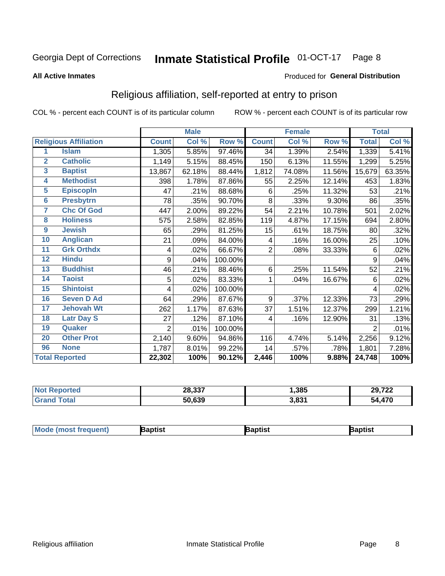#### **Inmate Statistical Profile 01-OCT-17** Page 8

#### **All Active Inmates**

### Produced for General Distribution

## Religious affiliation, self-reported at entry to prison

COL % - percent each COUNT is of its particular column

|                |                              |                | <b>Male</b> |         |                | <b>Female</b>             |        |                | <b>Total</b> |
|----------------|------------------------------|----------------|-------------|---------|----------------|---------------------------|--------|----------------|--------------|
|                | <b>Religious Affiliation</b> | <b>Count</b>   | Col %       | Row %   | <b>Count</b>   | $\overline{\text{Col}}$ % | Row %  | <b>Total</b>   | Col %        |
| 1              | <b>Islam</b>                 | 1,305          | 5.85%       | 97.46%  | 34             | 1.39%                     | 2.54%  | 1,339          | 5.41%        |
| $\overline{2}$ | <b>Catholic</b>              | 1,149          | 5.15%       | 88.45%  | 150            | 6.13%                     | 11.55% | 1,299          | 5.25%        |
| 3              | <b>Baptist</b>               | 13,867         | 62.18%      | 88.44%  | 1,812          | 74.08%                    | 11.56% | 15,679         | 63.35%       |
| 4              | <b>Methodist</b>             | 398            | 1.78%       | 87.86%  | 55             | 2.25%                     | 12.14% | 453            | 1.83%        |
| 5              | <b>EpiscopIn</b>             | 47             | .21%        | 88.68%  | 6              | .25%                      | 11.32% | 53             | .21%         |
| 6              | <b>Presbytrn</b>             | 78             | .35%        | 90.70%  | 8              | .33%                      | 9.30%  | 86             | .35%         |
| 7              | <b>Chc Of God</b>            | 447            | 2.00%       | 89.22%  | 54             | 2.21%                     | 10.78% | 501            | 2.02%        |
| 8              | <b>Holiness</b>              | 575            | 2.58%       | 82.85%  | 119            | 4.87%                     | 17.15% | 694            | 2.80%        |
| 9              | <b>Jewish</b>                | 65             | .29%        | 81.25%  | 15             | .61%                      | 18.75% | 80             | .32%         |
| 10             | <b>Anglican</b>              | 21             | .09%        | 84.00%  | 4              | .16%                      | 16.00% | 25             | .10%         |
| 11             | <b>Grk Orthdx</b>            | 4              | .02%        | 66.67%  | $\overline{2}$ | .08%                      | 33.33% | 6              | .02%         |
| 12             | <b>Hindu</b>                 | 9              | .04%        | 100.00% |                |                           |        | 9              | .04%         |
| 13             | <b>Buddhist</b>              | 46             | .21%        | 88.46%  | 6              | .25%                      | 11.54% | 52             | .21%         |
| 14             | <b>Taoist</b>                | 5              | .02%        | 83.33%  | 1              | .04%                      | 16.67% | 6              | .02%         |
| 15             | <b>Shintoist</b>             | 4              | .02%        | 100.00% |                |                           |        | 4              | .02%         |
| 16             | <b>Seven D Ad</b>            | 64             | .29%        | 87.67%  | 9              | .37%                      | 12.33% | 73             | .29%         |
| 17             | <b>Jehovah Wt</b>            | 262            | 1.17%       | 87.63%  | 37             | 1.51%                     | 12.37% | 299            | 1.21%        |
| 18             | <b>Latr Day S</b>            | 27             | .12%        | 87.10%  | 4              | .16%                      | 12.90% | 31             | .13%         |
| 19             | Quaker                       | $\overline{2}$ | .01%        | 100.00% |                |                           |        | $\overline{2}$ | .01%         |
| 20             | <b>Other Prot</b>            | 2,140          | 9.60%       | 94.86%  | 116            | 4.74%                     | 5.14%  | 2,256          | 9.12%        |
| 96             | <b>None</b>                  | 1,787          | 8.01%       | 99.22%  | 14             | .57%                      | .78%   | 1,801          | 7.28%        |
|                | <b>Total Reported</b>        | 22,302         | 100%        | 90.12%  | 2,446          | 100%                      | 9.88%  | 24,748         | 100%         |

| Reported<br>Nt | 28,337 | ,385           | 29,722<br>, <i>I LL</i> |
|----------------|--------|----------------|-------------------------|
| <b>otal</b>    | 50,639 | 2024<br>J.OJ I | +,470<br>54             |

|  | $ $ Mod<br>de (most frequent) | aptist | <b>laptist</b> | 3aptist |
|--|-------------------------------|--------|----------------|---------|
|--|-------------------------------|--------|----------------|---------|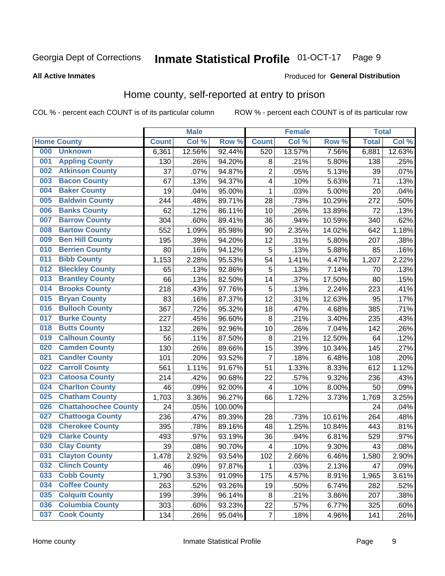#### **Inmate Statistical Profile 01-OCT-17** Page 9

#### **All Active Inmates**

### Produced for General Distribution

## Home county, self-reported at entry to prison

COL % - percent each COUNT is of its particular column

|     |                             |              | <b>Male</b> |                  |                         | <b>Female</b> |        | <b>Total</b> |        |
|-----|-----------------------------|--------------|-------------|------------------|-------------------------|---------------|--------|--------------|--------|
|     | <b>Home County</b>          | <b>Count</b> | Col %       | Row <sup>%</sup> | <b>Count</b>            | Col %         | Row %  | <b>Total</b> | Col %  |
| 000 | <b>Unknown</b>              | 6,361        | 12.56%      | 92.44%           | 520                     | 13.57%        | 7.56%  | 6,881        | 12.63% |
| 001 | <b>Appling County</b>       | 130          | .26%        | 94.20%           | 8                       | .21%          | 5.80%  | 138          | .25%   |
| 002 | <b>Atkinson County</b>      | 37           | .07%        | 94.87%           | $\overline{2}$          | .05%          | 5.13%  | 39           | .07%   |
| 003 | <b>Bacon County</b>         | 67           | .13%        | 94.37%           | $\overline{\mathbf{4}}$ | .10%          | 5.63%  | 71           | .13%   |
| 004 | <b>Baker County</b>         | 19           | .04%        | 95.00%           | 1                       | .03%          | 5.00%  | 20           | .04%   |
| 005 | <b>Baldwin County</b>       | 244          | .48%        | 89.71%           | 28                      | .73%          | 10.29% | 272          | .50%   |
| 006 | <b>Banks County</b>         | 62           | .12%        | 86.11%           | 10                      | .26%          | 13.89% | 72           | .13%   |
| 007 | <b>Barrow County</b>        | 304          | .60%        | 89.41%           | 36                      | .94%          | 10.59% | 340          | .62%   |
| 008 | <b>Bartow County</b>        | 552          | 1.09%       | 85.98%           | 90                      | 2.35%         | 14.02% | 642          | 1.18%  |
| 009 | <b>Ben Hill County</b>      | 195          | .39%        | 94.20%           | 12                      | .31%          | 5.80%  | 207          | .38%   |
| 010 | <b>Berrien County</b>       | 80           | .16%        | 94.12%           | 5                       | .13%          | 5.88%  | 85           | .16%   |
| 011 | <b>Bibb County</b>          | 1,153        | 2.28%       | 95.53%           | 54                      | 1.41%         | 4.47%  | 1,207        | 2.22%  |
| 012 | <b>Bleckley County</b>      | 65           | .13%        | 92.86%           | 5                       | .13%          | 7.14%  | 70           | .13%   |
| 013 | <b>Brantley County</b>      | 66           | .13%        | 82.50%           | 14                      | .37%          | 17.50% | 80           | .15%   |
| 014 | <b>Brooks County</b>        | 218          | .43%        | 97.76%           | 5                       | .13%          | 2.24%  | 223          | .41%   |
| 015 | <b>Bryan County</b>         | 83           | .16%        | 87.37%           | 12                      | .31%          | 12.63% | 95           | .17%   |
| 016 | <b>Bulloch County</b>       | 367          | .72%        | 95.32%           | 18                      | .47%          | 4.68%  | 385          | .71%   |
| 017 | <b>Burke County</b>         | 227          | .45%        | 96.60%           | 8                       | .21%          | 3.40%  | 235          | .43%   |
| 018 | <b>Butts County</b>         | 132          | .26%        | 92.96%           | 10                      | .26%          | 7.04%  | 142          | .26%   |
| 019 | <b>Calhoun County</b>       | 56           | .11%        | 87.50%           | 8                       | .21%          | 12.50% | 64           | .12%   |
| 020 | <b>Camden County</b>        | 130          | .26%        | 89.66%           | 15                      | .39%          | 10.34% | 145          | .27%   |
| 021 | <b>Candler County</b>       | 101          | .20%        | 93.52%           | $\overline{7}$          | .18%          | 6.48%  | 108          | .20%   |
| 022 | <b>Carroll County</b>       | 561          | 1.11%       | 91.67%           | 51                      | 1.33%         | 8.33%  | 612          | 1.12%  |
| 023 | <b>Catoosa County</b>       | 214          | .42%        | 90.68%           | 22                      | .57%          | 9.32%  | 236          | .43%   |
| 024 | <b>Charlton County</b>      | 46           | .09%        | 92.00%           | 4                       | .10%          | 8.00%  | 50           | .09%   |
| 025 | <b>Chatham County</b>       | 1,703        | 3.36%       | 96.27%           | 66                      | 1.72%         | 3.73%  | 1,769        | 3.25%  |
| 026 | <b>Chattahoochee County</b> | 24           | .05%        | 100.00%          |                         |               |        | 24           | .04%   |
| 027 | <b>Chattooga County</b>     | 236          | .47%        | 89.39%           | 28                      | .73%          | 10.61% | 264          | .48%   |
| 028 | <b>Cherokee County</b>      | 395          | .78%        | 89.16%           | 48                      | 1.25%         | 10.84% | 443          | .81%   |
| 029 | <b>Clarke County</b>        | 493          | .97%        | 93.19%           | 36                      | .94%          | 6.81%  | 529          | .97%   |
| 030 | <b>Clay County</b>          | 39           | .08%        | 90.70%           | $\overline{\mathbf{4}}$ | .10%          | 9.30%  | 43           | .08%   |
| 031 | <b>Clayton County</b>       | 1,478        | 2.92%       | 93.54%           | 102                     | 2.66%         | 6.46%  | 1,580        | 2.90%  |
| 032 | <b>Clinch County</b>        | 46           | .09%        | 97.87%           | 1                       | .03%          | 2.13%  | 47           | .09%   |
| 033 | <b>Cobb County</b>          | 1,790        | 3.53%       | 91.09%           | 175                     | 4.57%         | 8.91%  | 1,965        | 3.61%  |
| 034 | <b>Coffee County</b>        | 263          | .52%        | 93.26%           | 19                      | .50%          | 6.74%  | 282          | .52%   |
| 035 | <b>Colquitt County</b>      | 199          | .39%        | 96.14%           | 8                       | .21%          | 3.86%  | 207          | .38%   |
| 036 | <b>Columbia County</b>      | 303          | .60%        | 93.23%           | 22                      | .57%          | 6.77%  | 325          | .60%   |
| 037 | <b>Cook County</b>          | 134          | .26%        | 95.04%           | $\boldsymbol{7}$        | .18%          | 4.96%  | 141          | .26%   |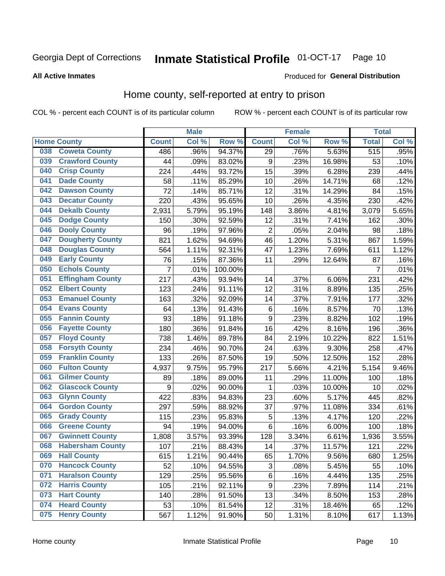#### **Inmate Statistical Profile 01-OCT-17** Page 10

## **All Active Inmates**

## Produced for General Distribution

## Home county, self-reported at entry to prison

COL % - percent each COUNT is of its particular column

|     |                         |                | <b>Male</b> |         |                  | <b>Female</b> |        | <b>Total</b>   |       |
|-----|-------------------------|----------------|-------------|---------|------------------|---------------|--------|----------------|-------|
|     | <b>Home County</b>      | <b>Count</b>   | Col %       | Row %   | <b>Count</b>     | Col %         | Row %  | <b>Total</b>   | Col % |
| 038 | <b>Coweta County</b>    | 486            | .96%        | 94.37%  | 29               | .76%          | 5.63%  | 515            | .95%  |
| 039 | <b>Crawford County</b>  | 44             | .09%        | 83.02%  | $\boldsymbol{9}$ | .23%          | 16.98% | 53             | .10%  |
| 040 | <b>Crisp County</b>     | 224            | .44%        | 93.72%  | 15               | .39%          | 6.28%  | 239            | .44%  |
| 041 | <b>Dade County</b>      | 58             | .11%        | 85.29%  | 10               | .26%          | 14.71% | 68             | .12%  |
| 042 | <b>Dawson County</b>    | 72             | .14%        | 85.71%  | 12               | .31%          | 14.29% | 84             | .15%  |
| 043 | <b>Decatur County</b>   | 220            | .43%        | 95.65%  | 10               | .26%          | 4.35%  | 230            | .42%  |
| 044 | <b>Dekalb County</b>    | 2,931          | 5.79%       | 95.19%  | 148              | 3.86%         | 4.81%  | 3,079          | 5.65% |
| 045 | <b>Dodge County</b>     | 150            | .30%        | 92.59%  | 12               | .31%          | 7.41%  | 162            | .30%  |
| 046 | <b>Dooly County</b>     | 96             | .19%        | 97.96%  | $\overline{2}$   | .05%          | 2.04%  | 98             | .18%  |
| 047 | <b>Dougherty County</b> | 821            | 1.62%       | 94.69%  | 46               | 1.20%         | 5.31%  | 867            | 1.59% |
| 048 | <b>Douglas County</b>   | 564            | 1.11%       | 92.31%  | 47               | 1.23%         | 7.69%  | 611            | 1.12% |
| 049 | <b>Early County</b>     | 76             | .15%        | 87.36%  | 11               | .29%          | 12.64% | 87             | .16%  |
| 050 | <b>Echols County</b>    | $\overline{7}$ | .01%        | 100.00% |                  |               |        | $\overline{7}$ | .01%  |
| 051 | <b>Effingham County</b> | 217            | .43%        | 93.94%  | 14               | .37%          | 6.06%  | 231            | .42%  |
| 052 | <b>Elbert County</b>    | 123            | .24%        | 91.11%  | 12               | .31%          | 8.89%  | 135            | .25%  |
| 053 | <b>Emanuel County</b>   | 163            | .32%        | 92.09%  | 14               | .37%          | 7.91%  | 177            | .32%  |
| 054 | <b>Evans County</b>     | 64             | .13%        | 91.43%  | $\,6$            | .16%          | 8.57%  | 70             | .13%  |
| 055 | <b>Fannin County</b>    | 93             | .18%        | 91.18%  | $\boldsymbol{9}$ | .23%          | 8.82%  | 102            | .19%  |
| 056 | <b>Fayette County</b>   | 180            | .36%        | 91.84%  | 16               | .42%          | 8.16%  | 196            | .36%  |
| 057 | <b>Floyd County</b>     | 738            | 1.46%       | 89.78%  | 84               | 2.19%         | 10.22% | 822            | 1.51% |
| 058 | <b>Forsyth County</b>   | 234            | .46%        | 90.70%  | 24               | .63%          | 9.30%  | 258            | .47%  |
| 059 | <b>Franklin County</b>  | 133            | .26%        | 87.50%  | 19               | .50%          | 12.50% | 152            | .28%  |
| 060 | <b>Fulton County</b>    | 4,937          | 9.75%       | 95.79%  | 217              | 5.66%         | 4.21%  | 5,154          | 9.46% |
| 061 | <b>Gilmer County</b>    | 89             | .18%        | 89.00%  | 11               | .29%          | 11.00% | 100            | .18%  |
| 062 | <b>Glascock County</b>  | 9              | .02%        | 90.00%  | 1                | .03%          | 10.00% | 10             | .02%  |
| 063 | <b>Glynn County</b>     | 422            | .83%        | 94.83%  | 23               | .60%          | 5.17%  | 445            | .82%  |
| 064 | <b>Gordon County</b>    | 297            | .59%        | 88.92%  | 37               | .97%          | 11.08% | 334            | .61%  |
| 065 | <b>Grady County</b>     | 115            | .23%        | 95.83%  | 5                | .13%          | 4.17%  | 120            | .22%  |
| 066 | <b>Greene County</b>    | 94             | .19%        | 94.00%  | 6                | .16%          | 6.00%  | 100            | .18%  |
| 067 | <b>Gwinnett County</b>  | 1,808          | 3.57%       | 93.39%  | 128              | 3.34%         | 6.61%  | 1,936          | 3.55% |
| 068 | <b>Habersham County</b> | 107            | .21%        | 88.43%  | 14               | .37%          | 11.57% | 121            | .22%  |
| 069 | <b>Hall County</b>      | 615            | 1.21%       | 90.44%  | 65               | 1.70%         | 9.56%  | 680            | 1.25% |
| 070 | <b>Hancock County</b>   | 52             | .10%        | 94.55%  | 3                | .08%          | 5.45%  | 55             | .10%  |
| 071 | <b>Haralson County</b>  | 129            | .25%        | 95.56%  | 6                | .16%          | 4.44%  | 135            | .25%  |
| 072 | <b>Harris County</b>    | 105            | .21%        | 92.11%  | $\boldsymbol{9}$ | .23%          | 7.89%  | 114            | .21%  |
| 073 | <b>Hart County</b>      | 140            | .28%        | 91.50%  | 13               | .34%          | 8.50%  | 153            | .28%  |
| 074 | <b>Heard County</b>     | 53             | .10%        | 81.54%  | 12               | .31%          | 18.46% | 65             | .12%  |
| 075 | <b>Henry County</b>     | 567            | 1.12%       | 91.90%  | 50               | 1.31%         | 8.10%  | 617            | 1.13% |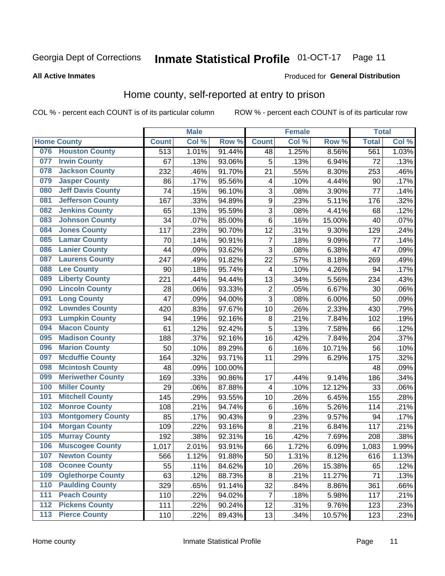#### **Inmate Statistical Profile 01-OCT-17** Page 11

**All Active Inmates** 

### Produced for General Distribution

## Home county, self-reported at entry to prison

COL % - percent each COUNT is of its particular column

|                  |                          |              | <b>Male</b> |         |                         | <b>Female</b> |        | <b>Total</b> |       |
|------------------|--------------------------|--------------|-------------|---------|-------------------------|---------------|--------|--------------|-------|
|                  | <b>Home County</b>       | <b>Count</b> | Col %       | Row %   | <b>Count</b>            | Col %         | Row %  | <b>Total</b> | Col % |
| 076              | <b>Houston County</b>    | 513          | 1.01%       | 91.44%  | 48                      | 1.25%         | 8.56%  | 561          | 1.03% |
| 077              | <b>Irwin County</b>      | 67           | .13%        | 93.06%  | 5                       | .13%          | 6.94%  | 72           | .13%  |
| 078              | <b>Jackson County</b>    | 232          | .46%        | 91.70%  | 21                      | .55%          | 8.30%  | 253          | .46%  |
| 079              | <b>Jasper County</b>     | 86           | .17%        | 95.56%  | 4                       | .10%          | 4.44%  | 90           | .17%  |
| 080              | <b>Jeff Davis County</b> | 74           | .15%        | 96.10%  | 3                       | .08%          | 3.90%  | 77           | .14%  |
| 081              | <b>Jefferson County</b>  | 167          | .33%        | 94.89%  | $\mathsf 9$             | .23%          | 5.11%  | 176          | .32%  |
| 082              | <b>Jenkins County</b>    | 65           | .13%        | 95.59%  | 3                       | .08%          | 4.41%  | 68           | .12%  |
| 083              | <b>Johnson County</b>    | 34           | .07%        | 85.00%  | 6                       | .16%          | 15.00% | 40           | .07%  |
| 084              | <b>Jones County</b>      | 117          | .23%        | 90.70%  | 12                      | .31%          | 9.30%  | 129          | .24%  |
| 085              | <b>Lamar County</b>      | 70           | .14%        | 90.91%  | $\overline{7}$          | .18%          | 9.09%  | 77           | .14%  |
| 086              | <b>Lanier County</b>     | 44           | .09%        | 93.62%  | 3                       | .08%          | 6.38%  | 47           | .09%  |
| 087              | <b>Laurens County</b>    | 247          | .49%        | 91.82%  | 22                      | .57%          | 8.18%  | 269          | .49%  |
| 088              | <b>Lee County</b>        | 90           | .18%        | 95.74%  | $\overline{\mathbf{4}}$ | .10%          | 4.26%  | 94           | .17%  |
| 089              | <b>Liberty County</b>    | 221          | .44%        | 94.44%  | 13                      | .34%          | 5.56%  | 234          | .43%  |
| 090              | <b>Lincoln County</b>    | 28           | .06%        | 93.33%  | $\overline{c}$          | .05%          | 6.67%  | 30           | .06%  |
| 091              | <b>Long County</b>       | 47           | .09%        | 94.00%  | 3                       | .08%          | 6.00%  | 50           | .09%  |
| 092              | <b>Lowndes County</b>    | 420          | .83%        | 97.67%  | 10                      | .26%          | 2.33%  | 430          | .79%  |
| 093              | <b>Lumpkin County</b>    | 94           | .19%        | 92.16%  | $\bf 8$                 | .21%          | 7.84%  | 102          | .19%  |
| 094              | <b>Macon County</b>      | 61           | .12%        | 92.42%  | 5                       | .13%          | 7.58%  | 66           | .12%  |
| 095              | <b>Madison County</b>    | 188          | .37%        | 92.16%  | 16                      | .42%          | 7.84%  | 204          | .37%  |
| 096              | <b>Marion County</b>     | 50           | .10%        | 89.29%  | 6                       | .16%          | 10.71% | 56           | .10%  |
| 097              | <b>Mcduffie County</b>   | 164          | .32%        | 93.71%  | 11                      | .29%          | 6.29%  | 175          | .32%  |
| 098              | <b>Mcintosh County</b>   | 48           | .09%        | 100.00% |                         |               |        | 48           | .09%  |
| 099              | <b>Meriwether County</b> | 169          | .33%        | 90.86%  | 17                      | .44%          | 9.14%  | 186          | .34%  |
| 100              | <b>Miller County</b>     | 29           | .06%        | 87.88%  | $\overline{\mathbf{4}}$ | .10%          | 12.12% | 33           | .06%  |
| 101              | <b>Mitchell County</b>   | 145          | .29%        | 93.55%  | 10                      | .26%          | 6.45%  | 155          | .28%  |
| 102              | <b>Monroe County</b>     | 108          | .21%        | 94.74%  | $\,6$                   | .16%          | 5.26%  | 114          | .21%  |
| 103              | <b>Montgomery County</b> | 85           | .17%        | 90.43%  | 9                       | .23%          | 9.57%  | 94           | .17%  |
| 104              | <b>Morgan County</b>     | 109          | .22%        | 93.16%  | 8                       | .21%          | 6.84%  | 117          | .21%  |
| 105              | <b>Murray County</b>     | 192          | .38%        | 92.31%  | 16                      | .42%          | 7.69%  | 208          | .38%  |
| 106              | <b>Muscogee County</b>   | 1,017        | 2.01%       | 93.91%  | 66                      | 1.72%         | 6.09%  | 1,083        | 1.99% |
| 107              | <b>Newton County</b>     | 566          | 1.12%       | 91.88%  | 50                      | 1.31%         | 8.12%  | 616          | 1.13% |
| 108              | <b>Oconee County</b>     | 55           | .11%        | 84.62%  | 10                      | .26%          | 15.38% | 65           | .12%  |
| 109              | <b>Oglethorpe County</b> | 63           | .12%        | 88.73%  | 8                       | .21%          | 11.27% | 71           | .13%  |
| 110              | <b>Paulding County</b>   | 329          | .65%        | 91.14%  | 32                      | .84%          | 8.86%  | 361          | .66%  |
| 111              | <b>Peach County</b>      | 110          | .22%        | 94.02%  | $\overline{7}$          | .18%          | 5.98%  | 117          | .21%  |
| $\overline{112}$ | <b>Pickens County</b>    | 111          | .22%        | 90.24%  | 12                      | .31%          | 9.76%  | 123          | .23%  |
| 113              | <b>Pierce County</b>     | 110          | .22%        | 89.43%  | 13                      | .34%          | 10.57% | 123          | .23%  |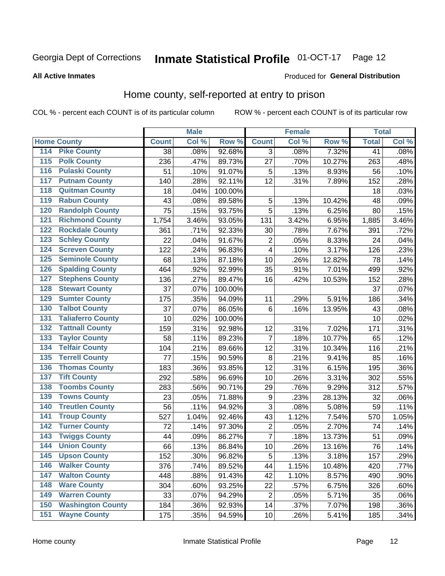#### **Inmate Statistical Profile 01-OCT-17** Page 12

## **All Active Inmates**

### Produced for General Distribution

## Home county, self-reported at entry to prison

COL % - percent each COUNT is of its particular column

|                  |                          |              | <b>Male</b> |                  |                  | <b>Female</b> |        | <b>Total</b> |       |
|------------------|--------------------------|--------------|-------------|------------------|------------------|---------------|--------|--------------|-------|
|                  | <b>Home County</b>       | <b>Count</b> | Col %       | Row <sup>%</sup> | <b>Count</b>     | Col %         | Row %  | <b>Total</b> | Col % |
| 114              | <b>Pike County</b>       | 38           | .08%        | 92.68%           | 3                | .08%          | 7.32%  | 41           | .08%  |
| 115              | <b>Polk County</b>       | 236          | .47%        | 89.73%           | 27               | .70%          | 10.27% | 263          | .48%  |
| 116              | <b>Pulaski County</b>    | 51           | .10%        | 91.07%           | 5                | .13%          | 8.93%  | 56           | .10%  |
| 117              | <b>Putnam County</b>     | 140          | .28%        | 92.11%           | 12               | .31%          | 7.89%  | 152          | .28%  |
| 118              | <b>Quitman County</b>    | 18           | .04%        | 100.00%          |                  |               |        | 18           | .03%  |
| 119              | <b>Rabun County</b>      | 43           | .08%        | 89.58%           | 5                | .13%          | 10.42% | 48           | .09%  |
| 120              | <b>Randolph County</b>   | 75           | .15%        | 93.75%           | 5                | .13%          | 6.25%  | 80           | .15%  |
| 121              | <b>Richmond County</b>   | 1,754        | 3.46%       | 93.05%           | 131              | 3.42%         | 6.95%  | 1,885        | 3.46% |
| 122              | <b>Rockdale County</b>   | 361          | .71%        | 92.33%           | 30               | .78%          | 7.67%  | 391          | .72%  |
| 123              | <b>Schley County</b>     | 22           | .04%        | 91.67%           | $\overline{2}$   | .05%          | 8.33%  | 24           | .04%  |
| 124              | <b>Screven County</b>    | 122          | .24%        | 96.83%           | $\overline{4}$   | .10%          | 3.17%  | 126          | .23%  |
| 125              | <b>Seminole County</b>   | 68           | .13%        | 87.18%           | 10               | .26%          | 12.82% | 78           | .14%  |
| 126              | <b>Spalding County</b>   | 464          | .92%        | 92.99%           | 35               | .91%          | 7.01%  | 499          | .92%  |
| 127              | <b>Stephens County</b>   | 136          | .27%        | 89.47%           | 16               | .42%          | 10.53% | 152          | .28%  |
| 128              | <b>Stewart County</b>    | 37           | .07%        | 100.00%          |                  |               |        | 37           | .07%  |
| 129              | <b>Sumter County</b>     | 175          | .35%        | 94.09%           | 11               | .29%          | 5.91%  | 186          | .34%  |
| 130              | <b>Talbot County</b>     | 37           | .07%        | 86.05%           | 6                | .16%          | 13.95% | 43           | .08%  |
| 131              | <b>Taliaferro County</b> | 10           | .02%        | 100.00%          |                  |               |        | 10           | .02%  |
| 132              | <b>Tattnall County</b>   | 159          | .31%        | 92.98%           | 12               | .31%          | 7.02%  | 171          | .31%  |
| 133              | <b>Taylor County</b>     | 58           | .11%        | 89.23%           | $\overline{7}$   | .18%          | 10.77% | 65           | .12%  |
| 134              | <b>Telfair County</b>    | 104          | .21%        | 89.66%           | 12               | .31%          | 10.34% | 116          | .21%  |
| $\overline{135}$ | <b>Terrell County</b>    | 77           | .15%        | 90.59%           | 8                | .21%          | 9.41%  | 85           | .16%  |
| 136              | <b>Thomas County</b>     | 183          | .36%        | 93.85%           | 12               | .31%          | 6.15%  | 195          | .36%  |
| 137              | <b>Tift County</b>       | 292          | .58%        | 96.69%           | 10               | .26%          | 3.31%  | 302          | .55%  |
| 138              | <b>Toombs County</b>     | 283          | .56%        | 90.71%           | 29               | .76%          | 9.29%  | 312          | .57%  |
| 139              | <b>Towns County</b>      | 23           | .05%        | 71.88%           | $\boldsymbol{9}$ | .23%          | 28.13% | 32           | .06%  |
| 140              | <b>Treutlen County</b>   | 56           | .11%        | 94.92%           | $\mathbf{3}$     | .08%          | 5.08%  | 59           | .11%  |
| 141              | <b>Troup County</b>      | 527          | 1.04%       | 92.46%           | 43               | 1.12%         | 7.54%  | 570          | 1.05% |
| $\overline{142}$ | <b>Turner County</b>     | 72           | .14%        | 97.30%           | $\overline{c}$   | .05%          | 2.70%  | 74           | .14%  |
| 143              | <b>Twiggs County</b>     | 44           | .09%        | 86.27%           | $\overline{7}$   | .18%          | 13.73% | 51           | .09%  |
| 144              | <b>Union County</b>      | 66           | .13%        | 86.84%           | 10               | .26%          | 13.16% | 76           | .14%  |
| 145              | <b>Upson County</b>      | 152          | .30%        | 96.82%           | 5                | .13%          | 3.18%  | 157          | .29%  |
| 146              | <b>Walker County</b>     | 376          | .74%        | 89.52%           | 44               | 1.15%         | 10.48% | 420          | .77%  |
| 147              | <b>Walton County</b>     | 448          | .88%        | 91.43%           | 42               | 1.10%         | 8.57%  | 490          | .90%  |
| 148              | <b>Ware County</b>       | 304          | .60%        | 93.25%           | 22               | .57%          | 6.75%  | 326          | .60%  |
| 149              | <b>Warren County</b>     | 33           | .07%        | 94.29%           | $\overline{2}$   | .05%          | 5.71%  | 35           | .06%  |
| 150              | <b>Washington County</b> | 184          | .36%        | 92.93%           | 14               | .37%          | 7.07%  | 198          | .36%  |
| 151              | <b>Wayne County</b>      | 175          | .35%        | 94.59%           | 10               | .26%          | 5.41%  | 185          | .34%  |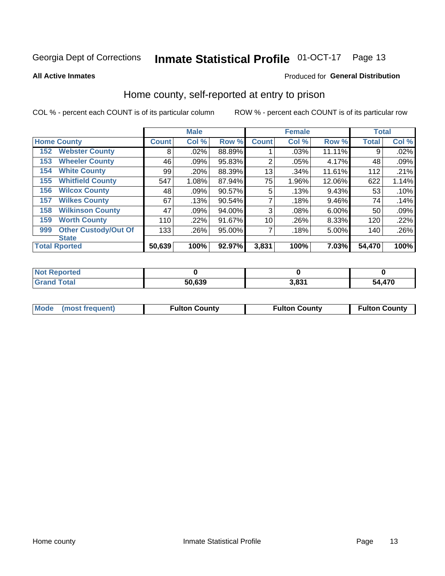#### **Inmate Statistical Profile 01-OCT-17** Page 13

**All Active Inmates** 

## Produced for General Distribution

## Home county, self-reported at entry to prison

COL % - percent each COUNT is of its particular column

|     |                             |              | <b>Male</b> |        |              | <b>Female</b> |        | <b>Total</b> |       |
|-----|-----------------------------|--------------|-------------|--------|--------------|---------------|--------|--------------|-------|
|     | <b>Home County</b>          | <b>Count</b> | Col %       | Row %  | <b>Count</b> | Col %         | Row %  | <b>Total</b> | Col % |
| 152 | <b>Webster County</b>       | 8            | .02%        | 88.89% |              | .03%          | 11.11% | 9            | .02%  |
| 153 | <b>Wheeler County</b>       | 46           | .09%        | 95.83% | 2            | .05%          | 4.17%  | 48           | .09%  |
| 154 | <b>White County</b>         | 99           | .20%        | 88.39% | 13           | .34%          | 11.61% | 112          | .21%  |
| 155 | <b>Whitfield County</b>     | 547          | 1.08%       | 87.94% | 75           | 1.96%         | 12.06% | 622          | 1.14% |
| 156 | <b>Wilcox County</b>        | 48           | .09%        | 90.57% | 5            | .13%          | 9.43%  | 53           | .10%  |
| 157 | <b>Wilkes County</b>        | 67           | .13%        | 90.54% | 7            | .18%          | 9.46%  | 74           | .14%  |
| 158 | <b>Wilkinson County</b>     | 47           | .09%        | 94.00% | 3            | .08%          | 6.00%  | 50           | .09%  |
| 159 | <b>Worth County</b>         | 110          | $.22\%$     | 91.67% | 10           | .26%          | 8.33%  | 120          | .22%  |
| 999 | <b>Other Custody/Out Of</b> | 133          | .26%        | 95.00% | 7            | .18%          | 5.00%  | 140          | .26%  |
|     | <b>State</b>                |              |             |        |              |               |        |              |       |
|     | <b>Total Rported</b>        | 50,639       | 100%        | 92.97% | 3,831        | 100%          | 7.03%  | 54,470       | 100%  |

| 'Not<br>Reported |        |              |            |
|------------------|--------|--------------|------------|
| <b>Total</b>     | 50,639 | 2001<br>ა.ია | ,470<br>54 |

| Mode (most frequent) | <b>Fulton County</b> | <b>Fulton County</b> | <b>Fulton County</b> |
|----------------------|----------------------|----------------------|----------------------|
|                      |                      |                      |                      |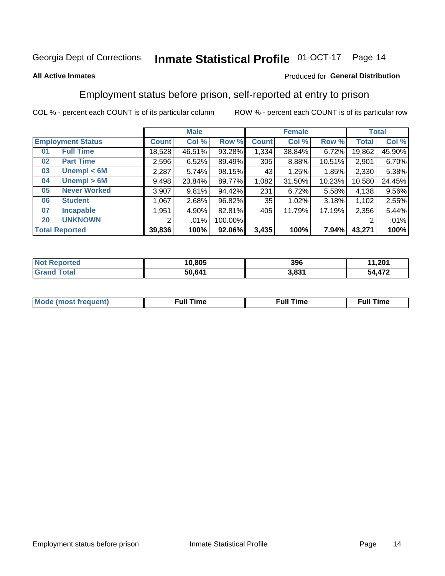#### **Inmate Statistical Profile 01-OCT-17** Page 14

## **All Active Inmates**

## Produced for General Distribution

## Employment status before prison, self-reported at entry to prison

COL % - percent each COUNT is of its particular column

|                           | <b>Male</b>  |        |         |                 | <b>Female</b> |        | <b>Total</b> |        |
|---------------------------|--------------|--------|---------|-----------------|---------------|--------|--------------|--------|
| <b>Employment Status</b>  | <b>Count</b> | Col %  | Row %   | <b>Count</b>    | Col %         | Row %  | Total        | Col %  |
| <b>Full Time</b><br>01    | 18,528       | 46.51% | 93.28%  | 1,334           | 38.84%        | 6.72%  | 19,862       | 45.90% |
| <b>Part Time</b><br>02    | 2,596        | 6.52%  | 89.49%  | 305             | 8.88%         | 10.51% | 2,901        | 6.70%  |
| Unempl $<$ 6M<br>03       | 2,287        | 5.74%  | 98.15%  | 431             | 1.25%         | 1.85%  | 2,330        | 5.38%  |
| Unempl > 6M<br>04         | 9,498        | 23.84% | 89.77%  | 1,082           | 31.50%        | 10.23% | 10,580       | 24.45% |
| <b>Never Worked</b><br>05 | 3,907        | 9.81%  | 94.42%  | 231             | 6.72%         | 5.58%  | 4,138        | 9.56%  |
| <b>Student</b><br>06      | 067          | 2.68%  | 96.82%  | 35 <sub>1</sub> | 1.02%         | 3.18%  | 1,102        | 2.55%  |
| 07<br><b>Incapable</b>    | 1,951        | 4.90%  | 82.81%  | 405             | 11.79%        | 17.19% | 2,356        | 5.44%  |
| <b>UNKNOWN</b><br>20      | 2            | .01%   | 100.00% |                 |               |        | 2            | .01%   |
| <b>Total Reported</b>     | 39,836       | 100%   | 92.06%  | 3,435           | 100%          | 7.94%  | 43,271       | 100%   |

| <b>Not Reported</b> | 10,805 | 396   | 11,201 |
|---------------------|--------|-------|--------|
| <b>Grand Total</b>  | 50,641 | 3,831 | 54,472 |

| <b>Mode (most frequent)</b> | $^{\prime\prime}$ Time | <b>Time</b><br>rull i |
|-----------------------------|------------------------|-----------------------|
|                             |                        |                       |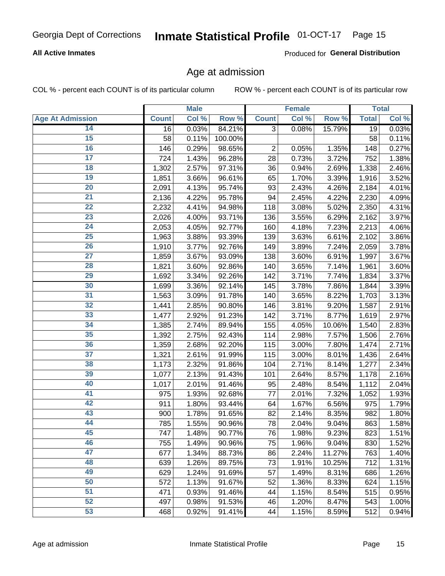## Inmate Statistical Profile 01-OCT-17 Page 15

## **All Active Inmates**

Produced for General Distribution

## Age at admission

COL % - percent each COUNT is of its particular column

|                         |              | <b>Male</b> |         |                | <b>Female</b>      |        |              | <b>Total</b> |
|-------------------------|--------------|-------------|---------|----------------|--------------------|--------|--------------|--------------|
| <b>Age At Admission</b> | <b>Count</b> | Col %       | Row %   | <b>Count</b>   | Col %              | Row %  | <b>Total</b> | Col %        |
| 14                      | 16           | 0.03%       | 84.21%  | 3              | 0.08%              | 15.79% | 19           | 0.03%        |
| 15                      | 58           | 0.11%       | 100.00% |                |                    |        | 58           | 0.11%        |
| 16                      | 146          | 0.29%       | 98.65%  | $\overline{2}$ | 0.05%              | 1.35%  | 148          | 0.27%        |
| $\overline{17}$         | 724          | 1.43%       | 96.28%  | 28             | 0.73%              | 3.72%  | 752          | 1.38%        |
| $\overline{18}$         | 1,302        | 2.57%       | 97.31%  | 36             | 0.94%              | 2.69%  | 1,338        | 2.46%        |
| 19                      | 1,851        | 3.66%       | 96.61%  | 65             | 1.70%              | 3.39%  | 1,916        | 3.52%        |
| $\overline{20}$         | 2,091        | 4.13%       | 95.74%  | 93             | 2.43%              | 4.26%  | 2,184        | 4.01%        |
| $\overline{21}$         | 2,136        | 4.22%       | 95.78%  | 94             | 2.45%              | 4.22%  | 2,230        | 4.09%        |
| $\overline{22}$         | 2,232        | 4.41%       | 94.98%  | 118            | 3.08%              | 5.02%  | 2,350        | 4.31%        |
| 23                      | 2,026        | 4.00%       | 93.71%  | 136            | 3.55%              | 6.29%  | 2,162        | 3.97%        |
| $\overline{24}$         | 2,053        | 4.05%       | 92.77%  | 160            | 4.18%              | 7.23%  | 2,213        | 4.06%        |
| 25                      | 1,963        | 3.88%       | 93.39%  | 139            | 3.63%              | 6.61%  | 2,102        | 3.86%        |
| $\overline{26}$         | 1,910        | 3.77%       | 92.76%  | 149            | 3.89%              | 7.24%  | 2,059        | 3.78%        |
| $\overline{27}$         | 1,859        | 3.67%       | 93.09%  | 138            | 3.60%              | 6.91%  | 1,997        | 3.67%        |
| 28                      | 1,821        | 3.60%       | 92.86%  | 140            | 3.65%              | 7.14%  | 1,961        | 3.60%        |
| 29                      | 1,692        | 3.34%       | 92.26%  | 142            | 3.71%              | 7.74%  | 1,834        | 3.37%        |
| 30                      | 1,699        | 3.36%       | 92.14%  | 145            | 3.78%              | 7.86%  | 1,844        | 3.39%        |
| $\overline{31}$         | 1,563        | 3.09%       | 91.78%  | 140            | 3.65%              | 8.22%  | 1,703        | 3.13%        |
| 32                      | 1,441        | 2.85%       | 90.80%  | 146            | 3.81%              | 9.20%  | 1,587        | 2.91%        |
| 33                      | 1,477        | 2.92%       | 91.23%  | 142            | 3.71%              | 8.77%  | 1,619        | 2.97%        |
| 34                      | 1,385        | 2.74%       | 89.94%  | 155            | 4.05%              | 10.06% | 1,540        | 2.83%        |
| 35                      | 1,392        | 2.75%       | 92.43%  | 114            | 2.98%              | 7.57%  | 1,506        | 2.76%        |
| 36                      | 1,359        | 2.68%       | 92.20%  | 115            | 3.00%              | 7.80%  | 1,474        | 2.71%        |
| $\overline{37}$         | 1,321        | 2.61%       | 91.99%  | 115            | 3.00%              | 8.01%  | 1,436        | 2.64%        |
| 38                      | 1,173        | 2.32%       | 91.86%  | 104            | 2.71%              | 8.14%  | 1,277        | 2.34%        |
| 39                      | 1,077        | 2.13%       | 91.43%  | 101            | 2.64%              | 8.57%  | 1,178        | 2.16%        |
| 40                      | 1,017        | 2.01%       | 91.46%  | 95             | 2.48%              | 8.54%  | 1,112        | 2.04%        |
| 41                      | 975          | 1.93%       | 92.68%  | 77             | 2.01%              | 7.32%  | 1,052        | 1.93%        |
| 42                      | 911          | 1.80%       | 93.44%  | 64             | 1.67%              | 6.56%  | 975          | 1.79%        |
| 43                      | 900          | 1.78%       | 91.65%  | 82             | 2.14%              | 8.35%  | 982          | 1.80%        |
| 44                      | 785          | 1.55%       | 90.96%  | 78             | 2.04%              | 9.04%  | 863          | 1.58%        |
| 45                      | 747          | 1.48%       | 90.77%  | 76             | 1.98%              | 9.23%  | 823          | 1.51%        |
| 46                      | 755          | 1.49%       | 90.96%  | 75             | 1.96%              | 9.04%  | 830          | 1.52%        |
| 47                      | 677          | 1.34%       | 88.73%  | 86             | 2.24%              | 11.27% | 763          | 1.40%        |
| 48                      | 639          | 1.26%       | 89.75%  | 73             | 1.91%              | 10.25% | 712          | 1.31%        |
| 49                      | 629          | 1.24%       | 91.69%  | 57             | 1.49%              | 8.31%  | 686          | 1.26%        |
| 50                      | 572          | 1.13%       | 91.67%  | 52             | 1.36%              | 8.33%  | 624          | 1.15%        |
| 51                      | 471          | 0.93%       | 91.46%  | 44             | 1.15%              | 8.54%  | 515          | 0.95%        |
| 52                      | 497          | 0.98%       | 91.53%  | 46             | 1.20%              | 8.47%  | 543          | 1.00%        |
| 53                      | 468          | 0.92%       | 91.41%  | 44             | $\overline{1.15%}$ | 8.59%  | 512          | 0.94%        |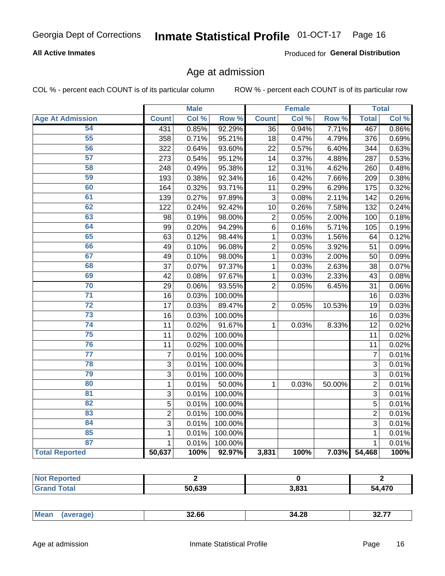## Inmate Statistical Profile 01-OCT-17 Page 16

## **All Active Inmates**

Produced for General Distribution

## Age at admission

COL % - percent each COUNT is of its particular column

|                         |                  | <b>Male</b> |         |                 | <b>Female</b> |        |                | <b>Total</b> |
|-------------------------|------------------|-------------|---------|-----------------|---------------|--------|----------------|--------------|
| <b>Age At Admission</b> | <b>Count</b>     | Col %       | Row %   | <b>Count</b>    | Col %         | Row %  | <b>Total</b>   | Col %        |
| 54                      | 431              | 0.85%       | 92.29%  | $\overline{36}$ | 0.94%         | 7.71%  | 467            | 0.86%        |
| 55                      | 358              | 0.71%       | 95.21%  | 18              | 0.47%         | 4.79%  | 376            | 0.69%        |
| 56                      | 322              | 0.64%       | 93.60%  | 22              | 0.57%         | 6.40%  | 344            | 0.63%        |
| $\overline{57}$         | 273              | 0.54%       | 95.12%  | 14              | 0.37%         | 4.88%  | 287            | 0.53%        |
| 58                      | 248              | 0.49%       | 95.38%  | 12              | 0.31%         | 4.62%  | 260            | 0.48%        |
| 59                      | 193              | 0.38%       | 92.34%  | 16              | 0.42%         | 7.66%  | 209            | 0.38%        |
| 60                      | 164              | 0.32%       | 93.71%  | 11              | 0.29%         | 6.29%  | 175            | 0.32%        |
| 61                      | 139              | 0.27%       | 97.89%  | 3               | 0.08%         | 2.11%  | 142            | 0.26%        |
| 62                      | 122              | 0.24%       | 92.42%  | 10              | 0.26%         | 7.58%  | 132            | 0.24%        |
| 63                      | 98               | 0.19%       | 98.00%  | $\overline{2}$  | 0.05%         | 2.00%  | 100            | 0.18%        |
| 64                      | 99               | 0.20%       | 94.29%  | $\overline{6}$  | 0.16%         | 5.71%  | 105            | 0.19%        |
| 65                      | 63               | 0.12%       | 98.44%  | $\mathbf 1$     | 0.03%         | 1.56%  | 64             | 0.12%        |
| 66                      | 49               | 0.10%       | 96.08%  | $\overline{c}$  | 0.05%         | 3.92%  | 51             | 0.09%        |
| 67                      | 49               | 0.10%       | 98.00%  | $\mathbf 1$     | 0.03%         | 2.00%  | 50             | 0.09%        |
| 68                      | 37               | 0.07%       | 97.37%  | 1               | 0.03%         | 2.63%  | 38             | 0.07%        |
| 69                      | 42               | 0.08%       | 97.67%  | 1               | 0.03%         | 2.33%  | 43             | 0.08%        |
| 70                      | 29               | 0.06%       | 93.55%  | $\overline{2}$  | 0.05%         | 6.45%  | 31             | 0.06%        |
| $\overline{71}$         | 16               | 0.03%       | 100.00% |                 |               |        | 16             | 0.03%        |
| $\overline{72}$         | 17               | 0.03%       | 89.47%  | $\overline{2}$  | 0.05%         | 10.53% | 19             | 0.03%        |
| 73                      | 16               | 0.03%       | 100.00% |                 |               |        | 16             | 0.03%        |
| 74                      | 11               | 0.02%       | 91.67%  | $\mathbf{1}$    | 0.03%         | 8.33%  | 12             | 0.02%        |
| 75                      | 11               | 0.02%       | 100.00% |                 |               |        | 11             | 0.02%        |
| 76                      | 11               | 0.02%       | 100.00% |                 |               |        | 11             | 0.02%        |
| $\overline{77}$         | $\boldsymbol{7}$ | 0.01%       | 100.00% |                 |               |        | $\overline{7}$ | 0.01%        |
| 78                      | $\overline{3}$   | 0.01%       | 100.00% |                 |               |        | $\overline{3}$ | 0.01%        |
| 79                      | $\overline{3}$   | 0.01%       | 100.00% |                 |               |        | $\overline{3}$ | 0.01%        |
| 80                      | $\mathbf 1$      | 0.01%       | 50.00%  | 1               | 0.03%         | 50.00% | $\overline{2}$ | 0.01%        |
| $\overline{81}$         | $\overline{3}$   | 0.01%       | 100.00% |                 |               |        | $\overline{3}$ | 0.01%        |
| 82                      | 5                | 0.01%       | 100.00% |                 |               |        | 5              | 0.01%        |
| 83                      | $\overline{c}$   | 0.01%       | 100.00% |                 |               |        | $\overline{2}$ | 0.01%        |
| 84                      | 3                | 0.01%       | 100.00% |                 |               |        | 3              | 0.01%        |
| 85                      | $\mathbf{1}$     | 0.01%       | 100.00% |                 |               |        | 1              | 0.01%        |
| 87                      | $\mathbf{1}$     | 0.01%       | 100.00% |                 |               |        | $\mathbf{1}$   | 0.01%        |
| <b>Total Reported</b>   | 50,637           | 100%        | 92.97%  | 3,831           | 100%          | 7.03%  | 54,468         | 100%         |

| тео |                  |       |      |
|-----|------------------|-------|------|
|     | $F^{\alpha}$ coo | 0.024 | ,470 |
|     | ,039             | J.OJ. | 54   |

|  | Mear<br>- - - - | 32.66 | 34.28 | ----<br>~~<br>32.T |
|--|-----------------|-------|-------|--------------------|
|--|-----------------|-------|-------|--------------------|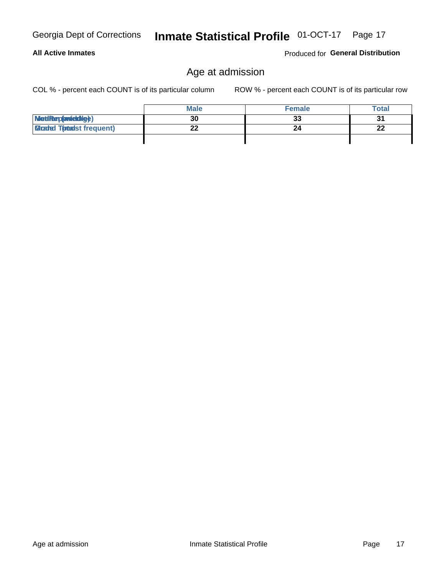Age at admission

|                                  | <b>Male</b> | <b>Female</b> | Total    |
|----------------------------------|-------------|---------------|----------|
| MetiRep(anieldige)               | 30          | n.<br>JJ      |          |
| <b>Micaded Tomadst frequent)</b> | າາ<br>LL    |               | າາ<br>LL |

**All Active Inmates** 

COL % - percent each COUNT is of its particular column

ROW % - percent each COUNT is of its particular row

Produced for General Distribution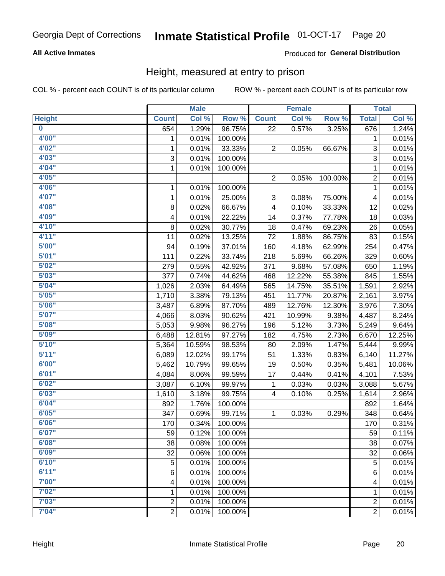## Inmate Statistical Profile 01-OCT-17 Page 20

## **All Active Inmates**

## Produced for General Distribution

## Height, measured at entry to prison

COL % - percent each COUNT is of its particular column

|                         |                | <b>Male</b> |         |                         | <b>Female</b> |         |                | <b>Total</b>        |
|-------------------------|----------------|-------------|---------|-------------------------|---------------|---------|----------------|---------------------|
| <b>Height</b>           | <b>Count</b>   | Col %       | Row %   | <b>Count</b>            | Col %         | Row %   | <b>Total</b>   | Col %               |
| $\overline{\mathbf{0}}$ | 654            | 1.29%       | 96.75%  | 22                      | 0.57%         | 3.25%   | 676            | 1.24%               |
| 4'00"                   | 1              | 0.01%       | 100.00% |                         |               |         | 1              | 0.01%               |
| 4'02"                   | $\mathbf{1}$   | 0.01%       | 33.33%  | 2                       | 0.05%         | 66.67%  | 3              | 0.01%               |
| 4'03''                  | 3              | 0.01%       | 100.00% |                         |               |         | $\overline{3}$ | 0.01%               |
| 4'04"                   | $\mathbf{1}$   | 0.01%       | 100.00% |                         |               |         | 1              | 0.01%               |
| 4'05"                   |                |             |         | $\overline{2}$          | 0.05%         | 100.00% | $\overline{2}$ | 0.01%               |
| 4'06"                   | 1              | 0.01%       | 100.00% |                         |               |         | $\mathbf{1}$   | 0.01%               |
| 4'07"                   | $\mathbf{1}$   | 0.01%       | 25.00%  | 3                       | 0.08%         | 75.00%  | 4              | 0.01%               |
| 4'08"                   | 8              | 0.02%       | 66.67%  | $\overline{\mathbf{4}}$ | 0.10%         | 33.33%  | 12             | 0.02%               |
| 4'09"                   | 4              | 0.01%       | 22.22%  | 14                      | 0.37%         | 77.78%  | 18             | 0.03%               |
| 4'10"                   | 8              | 0.02%       | 30.77%  | 18                      | 0.47%         | 69.23%  | 26             | 0.05%               |
| 4'11''                  | 11             | 0.02%       | 13.25%  | 72                      | 1.88%         | 86.75%  | 83             | 0.15%               |
| 5'00''                  | 94             | 0.19%       | 37.01%  | 160                     | 4.18%         | 62.99%  | 254            | 0.47%               |
| 5'01"                   | 111            | 0.22%       | 33.74%  | 218                     | 5.69%         | 66.26%  | 329            | 0.60%               |
| 5'02"                   | 279            | 0.55%       | 42.92%  | 371                     | 9.68%         | 57.08%  | 650            | 1.19%               |
| 5'03"                   | 377            | 0.74%       | 44.62%  | 468                     | 12.22%        | 55.38%  | 845            | 1.55%               |
| 5'04"                   | 1,026          | 2.03%       | 64.49%  | 565                     | 14.75%        | 35.51%  | 1,591          | 2.92%               |
| 5'05"                   | 1,710          | 3.38%       | 79.13%  | 451                     | 11.77%        | 20.87%  | 2,161          | 3.97%               |
| 5'06''                  | 3,487          | 6.89%       | 87.70%  | 489                     | 12.76%        | 12.30%  | 3,976          | 7.30%               |
| 5'07''                  | 4,066          | 8.03%       | 90.62%  | 421                     | 10.99%        | 9.38%   | 4,487          | 8.24%               |
| 5'08''                  | 5,053          | 9.98%       | 96.27%  | 196                     | 5.12%         | 3.73%   | 5,249          | 9.64%               |
| 5'09''                  | 6,488          | 12.81%      | 97.27%  | 182                     | 4.75%         | 2.73%   | 6,670          | 12.25%              |
| 5'10''                  | 5,364          | 10.59%      | 98.53%  | 80                      | 2.09%         | 1.47%   | 5,444          | 9.99%               |
| 5'11"                   | 6,089          | 12.02%      | 99.17%  | 51                      | 1.33%         | 0.83%   | 6,140          | 11.27%              |
| 6'00''                  | 5,462          | 10.79%      | 99.65%  | 19                      | 0.50%         | 0.35%   | 5,481          | 10.06%              |
| 6'01''                  | 4,084          | 8.06%       | 99.59%  | 17                      | 0.44%         | 0.41%   | 4,101          | 7.53%               |
| 6'02"                   | 3,087          | 6.10%       | 99.97%  | 1                       | 0.03%         | 0.03%   | 3,088          | 5.67%               |
| 6'03''                  | 1,610          | 3.18%       | 99.75%  | 4                       | 0.10%         | 0.25%   | 1,614          | 2.96%               |
| 6'04"                   | 892            | 1.76%       | 100.00% |                         |               |         | 892            | 1.64%               |
| 6'05"                   | 347            | 0.69%       | 99.71%  | 1                       | 0.03%         | 0.29%   | 348            | 0.64%               |
| 6'06''                  | 170            | 0.34%       | 100.00% |                         |               |         | 170            | 0.31%               |
| 6'07"                   | 59             | 0.12%       | 100.00% |                         |               |         | 59             | 0.11%               |
| 6'08''                  | 38             | 0.08%       | 100.00% |                         |               |         | 38             | 0.07%               |
| 6'09''                  | 32             | 0.06%       | 100.00% |                         |               |         | 32             | 0.06%               |
| 6'10''                  | 5              | 0.01%       | 100.00% |                         |               |         | 5              | 0.01%               |
| 6'11''                  | 6              | 0.01%       | 100.00% |                         |               |         | 6              | $\overline{0.01\%}$ |
| 7'00"                   | 4              | 0.01%       | 100.00% |                         |               |         | 4              | 0.01%               |
| 7'02"                   | 1              | 0.01%       | 100.00% |                         |               |         | 1              | 0.01%               |
| 7'03''                  | $\overline{c}$ | 0.01%       | 100.00% |                         |               |         | $\overline{c}$ | 0.01%               |
| 7'04"                   | $\overline{2}$ | 0.01%       | 100.00% |                         |               |         | $\overline{2}$ | $\overline{0.01\%}$ |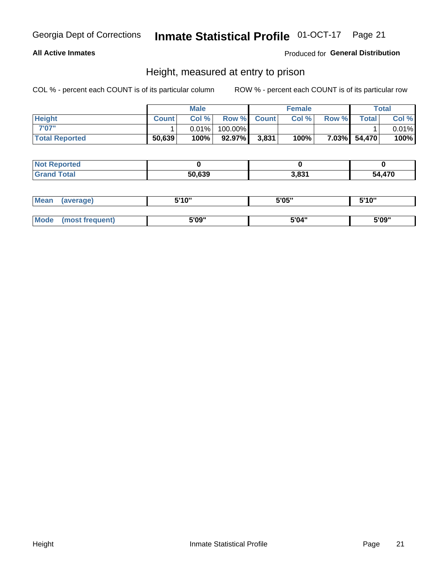## Inmate Statistical Profile 01-OCT-17 Page 21

## **All Active Inmates**

## Produced for General Distribution

## Height, measured at entry to prison

COL % - percent each COUNT is of its particular column

|                       |              | <b>Male</b> |         |             | <b>Female</b> |       |              | Total |
|-----------------------|--------------|-------------|---------|-------------|---------------|-------|--------------|-------|
| <b>Height</b>         | <b>Count</b> | Col %       |         | Row % Count | Col %         | Row % | <b>Total</b> | Col % |
| 7'07"                 |              | $0.01\%$    | 100.00% |             |               |       |              | 0.01% |
| <b>Total Reported</b> | 50,639       | 100%        | 92.97%  | 3,831       | 100%          |       | 7.03% 54,470 | 100%  |

| <b>Not Reported</b> |        |       |        |
|---------------------|--------|-------|--------|
| <b>Grand Total</b>  | 50.639 | 3,831 | 54,470 |

| <b>Mean</b> | (average)       | 5'10" | 5'05" | 5'10" |
|-------------|-----------------|-------|-------|-------|
|             |                 |       |       |       |
| <b>Mode</b> | (most frequent) | 5'09" | 5'04" | 5'09" |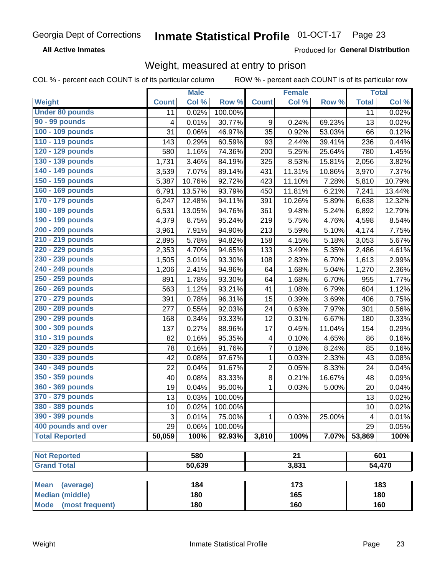#### Inmate Statistical Profile 01-OCT-17 Page 23

**All Active Inmates** 

Produced for General Distribution

## Weight, measured at entry to prison

COL % - percent each COUNT is of its particular column

|                                |              | <b>Male</b> |         |                | <b>Female</b>   |        |              | <b>Total</b> |
|--------------------------------|--------------|-------------|---------|----------------|-----------------|--------|--------------|--------------|
| Weight                         | <b>Count</b> | Col %       | Row %   | <b>Count</b>   | Col %           | Row %  | <b>Total</b> | Col %        |
| <b>Under 80 pounds</b>         | 11           | 0.02%       | 100.00% |                |                 |        | 11           | 0.02%        |
| 90 - 99 pounds                 | 4            | 0.01%       | 30.77%  | 9              | 0.24%           | 69.23% | 13           | 0.02%        |
| 100 - 109 pounds               | 31           | 0.06%       | 46.97%  | 35             | 0.92%           | 53.03% | 66           | 0.12%        |
| 110 - 119 pounds               | 143          | 0.29%       | 60.59%  | 93             | 2.44%           | 39.41% | 236          | 0.44%        |
| 120 - 129 pounds               | 580          | 1.16%       | 74.36%  | 200            | 5.25%           | 25.64% | 780          | 1.45%        |
| 130 - 139 pounds               | 1,731        | 3.46%       | 84.19%  | 325            | 8.53%           | 15.81% | 2,056        | 3.82%        |
| 140 - 149 pounds               | 3,539        | 7.07%       | 89.14%  | 431            | 11.31%          | 10.86% | 3,970        | 7.37%        |
| 150 - 159 pounds               | 5,387        | 10.76%      | 92.72%  | 423            | 11.10%          | 7.28%  | 5,810        | 10.79%       |
| 160 - 169 pounds               | 6,791        | 13.57%      | 93.79%  | 450            | 11.81%          | 6.21%  | 7,241        | 13.44%       |
| 170 - 179 pounds               | 6,247        | 12.48%      | 94.11%  | 391            | 10.26%          | 5.89%  | 6,638        | 12.32%       |
| 180 - 189 pounds               | 6,531        | 13.05%      | 94.76%  | 361            | 9.48%           | 5.24%  | 6,892        | 12.79%       |
| 190 - 199 pounds               | 4,379        | 8.75%       | 95.24%  | 219            | 5.75%           | 4.76%  | 4,598        | 8.54%        |
| 200 - 209 pounds               | 3,961        | 7.91%       | 94.90%  | 213            | 5.59%           | 5.10%  | 4,174        | 7.75%        |
| 210 - 219 pounds               | 2,895        | 5.78%       | 94.82%  | 158            | 4.15%           | 5.18%  | 3,053        | 5.67%        |
| 220 - 229 pounds               | 2,353        | 4.70%       | 94.65%  | 133            | 3.49%           | 5.35%  | 2,486        | 4.61%        |
| 230 - 239 pounds               | 1,505        | 3.01%       | 93.30%  | 108            | 2.83%           | 6.70%  | 1,613        | 2.99%        |
| 240 - 249 pounds               | 1,206        | 2.41%       | 94.96%  | 64             | 1.68%           | 5.04%  | 1,270        | 2.36%        |
| 250 - 259 pounds               | 891          | 1.78%       | 93.30%  | 64             | 1.68%           | 6.70%  | 955          | 1.77%        |
| 260 - 269 pounds               | 563          | 1.12%       | 93.21%  | 41             | 1.08%           | 6.79%  | 604          | 1.12%        |
| 270 - 279 pounds               | 391          | 0.78%       | 96.31%  | 15             | 0.39%           | 3.69%  | 406          | 0.75%        |
| 280 - 289 pounds               | 277          | 0.55%       | 92.03%  | 24             | 0.63%           | 7.97%  | 301          | 0.56%        |
| 290 - 299 pounds               | 168          | 0.34%       | 93.33%  | 12             | 0.31%           | 6.67%  | 180          | 0.33%        |
| 300 - 309 pounds               | 137          | 0.27%       | 88.96%  | 17             | 0.45%           | 11.04% | 154          | 0.29%        |
| 310 - 319 pounds               | 82           | 0.16%       | 95.35%  | 4              | 0.10%           | 4.65%  | 86           | 0.16%        |
| 320 - 329 pounds               | 78           | 0.16%       | 91.76%  | $\overline{7}$ | 0.18%           | 8.24%  | 85           | 0.16%        |
| 330 - 339 pounds               | 42           | 0.08%       | 97.67%  | $\mathbf{1}$   | 0.03%           | 2.33%  | 43           | 0.08%        |
| 340 - 349 pounds               | 22           | 0.04%       | 91.67%  | 2              | 0.05%           | 8.33%  | 24           | 0.04%        |
| 350 - 359 pounds               | 40           | 0.08%       | 83.33%  | 8              | 0.21%           | 16.67% | 48           | 0.09%        |
| 360 - 369 pounds               | 19           | 0.04%       | 95.00%  | $\mathbf{1}$   | 0.03%           | 5.00%  | 20           | 0.04%        |
| 370 - 379 pounds               | 13           | 0.03%       | 100.00% |                |                 |        | 13           | 0.02%        |
| 380 - 389 pounds               | 10           | 0.02%       | 100.00% |                |                 |        | 10           | 0.02%        |
| 390 - 399 pounds               | 3            | 0.01%       | 75.00%  | 1              | 0.03%           | 25.00% | 4            | 0.01%        |
| 400 pounds and over            | 29           | 0.06%       | 100.00% |                |                 |        | 29           | 0.05%        |
| <b>Total Reported</b>          | 50,059       | 100%        | 92.93%  | 3,810          | 100%            | 7.07%  | 53,869       | 100%         |
|                                |              |             |         |                |                 |        |              |              |
| <b>Not Reported</b>            |              | 580         |         |                | $\overline{21}$ |        |              | 601          |
| <b>Grand Total</b>             |              | 50,639      |         |                | 3,831           |        |              | 54,470       |
| <b>Mean</b><br>(average)       |              | 184         |         |                | 173             |        |              | 183          |
| <b>Median (middle)</b>         |              | 180         |         |                | 165             |        |              | 180          |
| <b>Mode</b><br>(most frequent) |              | 180         |         |                | 160             |        |              | 160          |
|                                |              |             |         |                |                 |        |              |              |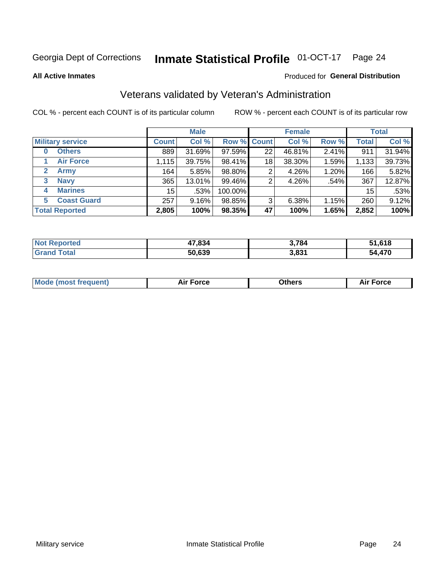#### **Inmate Statistical Profile 01-OCT-17** Page 24

**All Active Inmates** 

### Produced for General Distribution

## Veterans validated by Veteran's Administration

COL % - percent each COUNT is of its particular column

|                             |              | <b>Male</b> |         |                    | <b>Female</b> |          |              | <b>Total</b> |
|-----------------------------|--------------|-------------|---------|--------------------|---------------|----------|--------------|--------------|
| <b>Military service</b>     | <b>Count</b> | Col %       |         | <b>Row % Count</b> | Col %         | Row %    | <b>Total</b> | Col %        |
| <b>Others</b><br>0          | 889          | 31.69%      | 97.59%  | 22                 | 46.81%        | 2.41%    | 911          | 31.94%       |
| <b>Air Force</b>            | 1,115        | 39.75%      | 98.41%  | 18                 | 38.30%        | 1.59%    | 1,133        | 39.73%       |
| <b>Army</b><br>$\mathbf{2}$ | 164          | 5.85%       | 98.80%  | 2                  | 4.26%         | 1.20%    | 166          | 5.82%        |
| <b>Navy</b><br>3            | 365          | 13.01%      | 99.46%  | 2                  | 4.26%         | .54%     | 367          | 12.87%       |
| <b>Marines</b><br>4         | 15           | .53%        | 100.00% |                    |               |          | 15           | .53%         |
| <b>Coast Guard</b><br>5.    | 257          | 9.16%       | 98.85%  | 3                  | 6.38%         | $1.15\%$ | 260          | 9.12%        |
| <b>Total Reported</b>       | 2,805        | 100%        | 98.35%  | 47                 | 100%          | 1.65%    | 2,852        | 100%         |

| <b>Not</b><br>Reported       | 47,834 | 3,784 | 618,61<br>τл |
|------------------------------|--------|-------|--------------|
| <b>Total</b><br><b>Grand</b> | 50,639 | 3,831 | ,470<br>- 24 |

|  |  | <b>Mode (most frequent)</b> | <b>Force</b><br>Aır | วthers | orce |
|--|--|-----------------------------|---------------------|--------|------|
|--|--|-----------------------------|---------------------|--------|------|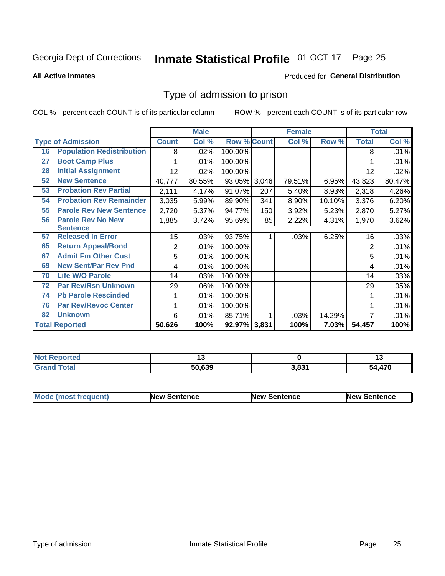#### Inmate Statistical Profile 01-OCT-17 Page 25

**All Active Inmates** 

### Produced for General Distribution

## Type of admission to prison

COL % - percent each COUNT is of its particular column

|    |                                  |                | <b>Male</b> |                    |       | <b>Female</b> |        |                | <b>Total</b> |
|----|----------------------------------|----------------|-------------|--------------------|-------|---------------|--------|----------------|--------------|
|    | <b>Type of Admission</b>         | <b>Count</b>   | Col %       | <b>Row % Count</b> |       | Col %         | Row %  | <b>Total</b>   | Col %        |
| 16 | <b>Population Redistribution</b> | 8              | .02%        | 100.00%            |       |               |        | 8              | .01%         |
| 27 | <b>Boot Camp Plus</b>            |                | .01%        | 100.00%            |       |               |        |                | .01%         |
| 28 | <b>Initial Assignment</b>        | 12             | .02%        | 100.00%            |       |               |        | 12             | .02%         |
| 52 | <b>New Sentence</b>              | 40,777         | 80.55%      | 93.05%             | 3,046 | 79.51%        | 6.95%  | 43,823         | 80.47%       |
| 53 | <b>Probation Rev Partial</b>     | 2,111          | 4.17%       | 91.07%             | 207   | 5.40%         | 8.93%  | 2,318          | 4.26%        |
| 54 | <b>Probation Rev Remainder</b>   | 3,035          | 5.99%       | 89.90%             | 341   | 8.90%         | 10.10% | 3,376          | 6.20%        |
| 55 | <b>Parole Rev New Sentence</b>   | 2,720          | 5.37%       | 94.77%             | 150   | 3.92%         | 5.23%  | 2,870          | 5.27%        |
| 56 | <b>Parole Rev No New</b>         | 1,885          | 3.72%       | 95.69%             | 85    | 2.22%         | 4.31%  | 1,970          | 3.62%        |
|    | <b>Sentence</b>                  |                |             |                    |       |               |        |                |              |
| 57 | <b>Released In Error</b>         | 15             | .03%        | 93.75%             |       | .03%          | 6.25%  | 16             | .03%         |
| 65 | <b>Return Appeal/Bond</b>        | $\overline{2}$ | .01%        | 100.00%            |       |               |        | $\overline{2}$ | .01%         |
| 67 | <b>Admit Fm Other Cust</b>       | 5              | .01%        | 100.00%            |       |               |        | 5              | .01%         |
| 69 | <b>New Sent/Par Rev Pnd</b>      | 4              | .01%        | 100.00%            |       |               |        | 4              | .01%         |
| 70 | <b>Life W/O Parole</b>           | 14             | .03%        | 100.00%            |       |               |        | 14             | .03%         |
| 72 | <b>Par Rev/Rsn Unknown</b>       | 29             | .06%        | 100.00%            |       |               |        | 29             | .05%         |
| 74 | <b>Pb Parole Rescinded</b>       |                | .01%        | 100.00%            |       |               |        |                | .01%         |
| 76 | <b>Par Rev/Revoc Center</b>      |                | .01%        | 100.00%            |       |               |        |                | .01%         |
| 82 | <b>Unknown</b>                   | 6              | .01%        | 85.71%             |       | .03%          | 14.29% | 7              | .01%         |
|    | <b>Total Reported</b>            | 50,626         | 100%        | 92.97% 3,831       |       | 100%          | 7.03%  | 54,457         | 100%         |

| <b>Not</b><br>orted |        |       | . . |
|---------------------|--------|-------|-----|
| `otal               | 50.639 | 3,831 | 170 |

| <b>Mode (most frequent)</b> | New Sentence | <b>New Sentence</b> | <b>New Sentence</b> |
|-----------------------------|--------------|---------------------|---------------------|
|                             |              |                     |                     |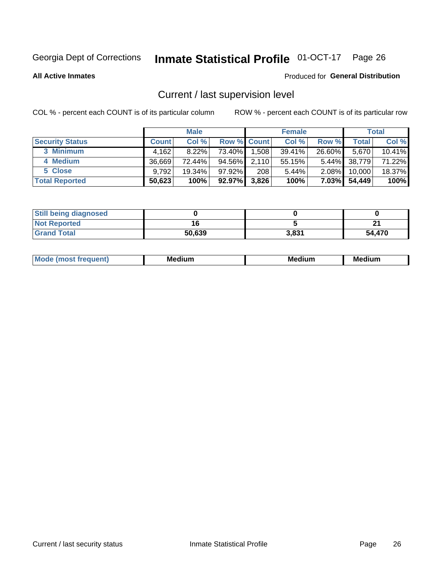## Inmate Statistical Profile 01-OCT-17 Page 26

**All Active Inmates** 

### Produced for General Distribution

## Current / last supervision level

COL % - percent each COUNT is of its particular column

|                        |              | <b>Male</b> |                    |       | <b>Female</b> |          |        | <b>Total</b> |
|------------------------|--------------|-------------|--------------------|-------|---------------|----------|--------|--------------|
| <b>Security Status</b> | <b>Count</b> | Col %       | <b>Row % Count</b> |       | Col %         | Row %    | Total  | Col %        |
| 3 Minimum              | 4,162        | $8.22\%$    | 73.40%             | 1,508 | 39.41%        | 26.60%   | 5,670  | 10.41%       |
| 4 Medium               | 36.669       | 72.44%      | 94.56%             | 2,110 | 55.15%        | $5.44\%$ | 38,779 | 71.22%       |
| 5 Close                | 9,792        | 19.34%      | $97.92\%$          | 208   | 5.44%         | $2.08\%$ | 10.000 | 18.37%       |
| <b>Total Reported</b>  | 50,623       | 100%        | 92.97%             | 3,826 | 100%          | $7.03\%$ | 54,449 | 100%         |

| <b>Still being diagnosed</b> |        |       |        |
|------------------------------|--------|-------|--------|
| <b>Not Reported</b>          |        |       | Λ.     |
| <b>Grand Total</b>           | 50,639 | 3.831 | 54,470 |

| M | M | . . |
|---|---|-----|
|   |   |     |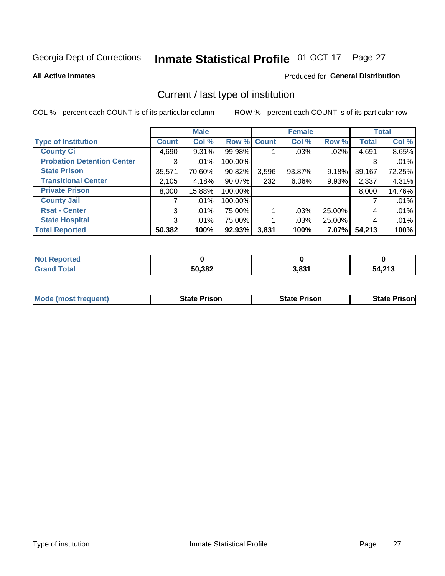## Inmate Statistical Profile 01-OCT-17 Page 27

**All Active Inmates** 

### Produced for General Distribution

## Current / last type of institution

COL % - percent each COUNT is of its particular column

|                                   |                | <b>Male</b> |             |       | <b>Female</b> |        |              | <b>Total</b> |
|-----------------------------------|----------------|-------------|-------------|-------|---------------|--------|--------------|--------------|
| <b>Type of Institution</b>        | <b>Count</b>   | Col %       | Row % Count |       | Col %         | Row %  | <b>Total</b> | Col %        |
| <b>County Ci</b>                  | 4,690          | $9.31\%$    | 99.98%      |       | .03%          | .02%   | 4,691        | 8.65%        |
| <b>Probation Detention Center</b> | 3              | .01%        | 100.00%     |       |               |        | 3            | .01%         |
| <b>State Prison</b>               | 35,571         | 70.60%      | $90.82\%$   | 3,596 | 93.87%        | 9.18%  | 39,167       | 72.25%       |
| <b>Transitional Center</b>        | 2,105          | 4.18%       | 90.07%      | 232   | $6.06\%$      | 9.93%  | 2,337        | 4.31%        |
| <b>Private Prison</b>             | 8,000          | 15.88%      | 100.00%     |       |               |        | 8,000        | 14.76%       |
| <b>County Jail</b>                |                | .01%        | 100.00%     |       |               |        |              | .01%         |
| <b>Rsat - Center</b>              | 3 <sup>1</sup> | .01%        | 75.00%      |       | .03%          | 25.00% | 4            | .01%         |
| <b>State Hospital</b>             | 3 <sup>1</sup> | .01%        | 75.00%      |       | $.03\%$       | 25.00% | 4            | .01%         |
| <b>Total Reported</b>             | 50,382         | 100%        | $92.93\%$   | 3,831 | 100%          | 7.07%  | 54,213       | 100%         |

| <b>ported</b><br><b>NOT</b> |        |       |        |
|-----------------------------|--------|-------|--------|
| `otal                       | 50,382 | 3,831 | 54,213 |

| <b>Mode (most frequent)</b> | <b>State Prison</b> | <b>State Prison</b> | <b>State Prisonl</b> |
|-----------------------------|---------------------|---------------------|----------------------|
|                             |                     |                     |                      |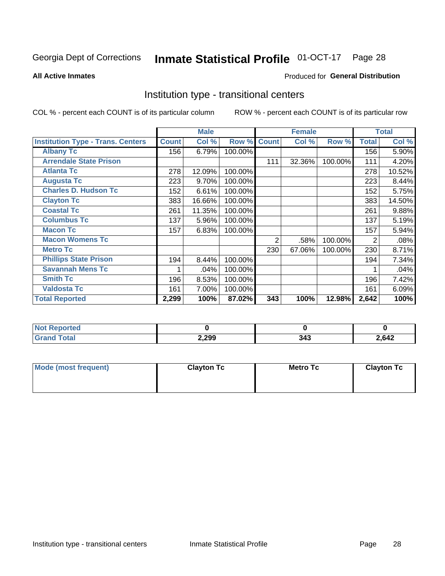## Inmate Statistical Profile 01-OCT-17 Page 28

#### **All Active Inmates**

## Produced for General Distribution

## Institution type - transitional centers

COL % - percent each COUNT is of its particular column

|                                          |              | <b>Male</b> |         |              | <b>Female</b> |         |              | <b>Total</b> |
|------------------------------------------|--------------|-------------|---------|--------------|---------------|---------|--------------|--------------|
| <b>Institution Type - Trans. Centers</b> | <b>Count</b> | Col %       | Row %   | <b>Count</b> | Col %         | Row %   | <b>Total</b> | Col %        |
| <b>Albany Tc</b>                         | 156          | 6.79%       | 100.00% |              |               |         | 156          | 5.90%        |
| <b>Arrendale State Prison</b>            |              |             |         | 111          | 32.36%        | 100.00% | 111          | 4.20%        |
| <b>Atlanta Tc</b>                        | 278          | 12.09%      | 100.00% |              |               |         | 278          | 10.52%       |
| <b>Augusta Tc</b>                        | 223          | 9.70%       | 100.00% |              |               |         | 223          | 8.44%        |
| <b>Charles D. Hudson Tc</b>              | 152          | 6.61%       | 100.00% |              |               |         | 152          | 5.75%        |
| <b>Clayton Tc</b>                        | 383          | 16.66%      | 100.00% |              |               |         | 383          | 14.50%       |
| <b>Coastal Tc</b>                        | 261          | 11.35%      | 100.00% |              |               |         | 261          | 9.88%        |
| <b>Columbus Tc</b>                       | 137          | 5.96%       | 100.00% |              |               |         | 137          | 5.19%        |
| <b>Macon Tc</b>                          | 157          | 6.83%       | 100.00% |              |               |         | 157          | 5.94%        |
| <b>Macon Womens Tc</b>                   |              |             |         | 2            | .58%          | 100.00% | 2            | .08%         |
| <b>Metro Tc</b>                          |              |             |         | 230          | 67.06%        | 100.00% | 230          | 8.71%        |
| <b>Phillips State Prison</b>             | 194          | 8.44%       | 100.00% |              |               |         | 194          | 7.34%        |
| <b>Savannah Mens Tc</b>                  |              | .04%        | 100.00% |              |               |         |              | .04%         |
| <b>Smith Tc</b>                          | 196          | 8.53%       | 100.00% |              |               |         | 196          | 7.42%        |
| <b>Valdosta Tc</b>                       | 161          | 7.00%       | 100.00% |              |               |         | 161          | 6.09%        |
| <b>Total Reported</b>                    | 2,299        | 100%        | 87.02%  | 343          | 100%          | 12.98%  | 2,642        | 100%         |

| τeα |       |   |      |
|-----|-------|---|------|
|     | 2,299 | . | ,642 |

| Mode (most frequent) | <b>Clayton Tc</b> | <b>Metro Tc</b> | <b>Clayton Tc</b> |
|----------------------|-------------------|-----------------|-------------------|
|                      |                   |                 |                   |
|                      |                   |                 |                   |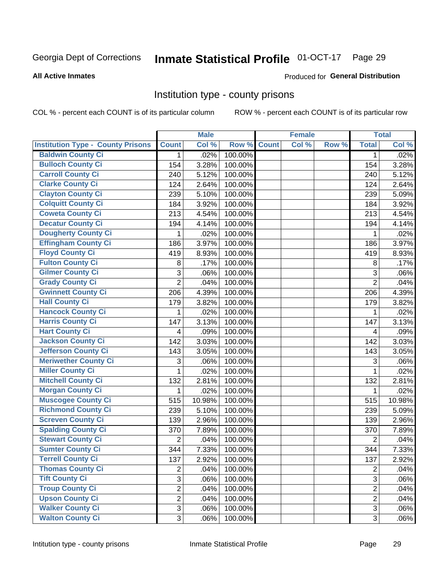## Inmate Statistical Profile 01-OCT-17 Page 29

#### **All Active Inmates**

### Produced for General Distribution

## Institution type - county prisons

COL % - percent each COUNT is of its particular column

|                                          |                | <b>Male</b> |         |              | <b>Female</b> |       |                | <b>Total</b> |
|------------------------------------------|----------------|-------------|---------|--------------|---------------|-------|----------------|--------------|
| <b>Institution Type - County Prisons</b> | <b>Count</b>   | Col %       | Row %   | <b>Count</b> | Col %         | Row % | <b>Total</b>   | Col %        |
| <b>Baldwin County Ci</b>                 | $\mathbf{1}$   | .02%        | 100.00% |              |               |       | $\mathbf{1}$   | .02%         |
| <b>Bulloch County Ci</b>                 | 154            | 3.28%       | 100.00% |              |               |       | 154            | 3.28%        |
| <b>Carroll County Ci</b>                 | 240            | 5.12%       | 100.00% |              |               |       | 240            | 5.12%        |
| <b>Clarke County Ci</b>                  | 124            | 2.64%       | 100.00% |              |               |       | 124            | 2.64%        |
| <b>Clayton County Ci</b>                 | 239            | 5.10%       | 100.00% |              |               |       | 239            | 5.09%        |
| <b>Colquitt County Ci</b>                | 184            | 3.92%       | 100.00% |              |               |       | 184            | 3.92%        |
| <b>Coweta County Ci</b>                  | 213            | 4.54%       | 100.00% |              |               |       | 213            | 4.54%        |
| <b>Decatur County Ci</b>                 | 194            | 4.14%       | 100.00% |              |               |       | 194            | 4.14%        |
| <b>Dougherty County Ci</b>               | 1              | .02%        | 100.00% |              |               |       | 1              | .02%         |
| <b>Effingham County Ci</b>               | 186            | 3.97%       | 100.00% |              |               |       | 186            | 3.97%        |
| <b>Floyd County Ci</b>                   | 419            | 8.93%       | 100.00% |              |               |       | 419            | 8.93%        |
| <b>Fulton County Ci</b>                  | 8              | .17%        | 100.00% |              |               |       | $\,8\,$        | .17%         |
| <b>Gilmer County Ci</b>                  | 3              | .06%        | 100.00% |              |               |       | 3              | .06%         |
| <b>Grady County Ci</b>                   | $\overline{2}$ | .04%        | 100.00% |              |               |       | $\overline{2}$ | .04%         |
| <b>Gwinnett County Ci</b>                | 206            | 4.39%       | 100.00% |              |               |       | 206            | 4.39%        |
| <b>Hall County Ci</b>                    | 179            | 3.82%       | 100.00% |              |               |       | 179            | 3.82%        |
| <b>Hancock County Ci</b>                 | 1              | .02%        | 100.00% |              |               |       | 1              | .02%         |
| <b>Harris County Ci</b>                  | 147            | 3.13%       | 100.00% |              |               |       | 147            | 3.13%        |
| <b>Hart County Ci</b>                    | 4              | .09%        | 100.00% |              |               |       | 4              | .09%         |
| <b>Jackson County Ci</b>                 | 142            | 3.03%       | 100.00% |              |               |       | 142            | 3.03%        |
| <b>Jefferson County Ci</b>               | 143            | 3.05%       | 100.00% |              |               |       | 143            | 3.05%        |
| <b>Meriwether County Ci</b>              | 3              | .06%        | 100.00% |              |               |       | 3              | .06%         |
| <b>Miller County Ci</b>                  | 1              | .02%        | 100.00% |              |               |       | 1              | .02%         |
| <b>Mitchell County Ci</b>                | 132            | 2.81%       | 100.00% |              |               |       | 132            | 2.81%        |
| <b>Morgan County Ci</b>                  | 1              | .02%        | 100.00% |              |               |       | 1              | .02%         |
| <b>Muscogee County Ci</b>                | 515            | 10.98%      | 100.00% |              |               |       | 515            | 10.98%       |
| <b>Richmond County Ci</b>                | 239            | 5.10%       | 100.00% |              |               |       | 239            | 5.09%        |
| <b>Screven County Ci</b>                 | 139            | 2.96%       | 100.00% |              |               |       | 139            | 2.96%        |
| <b>Spalding County Ci</b>                | 370            | 7.89%       | 100.00% |              |               |       | 370            | 7.89%        |
| <b>Stewart County Ci</b>                 | $\overline{2}$ | .04%        | 100.00% |              |               |       | $\overline{2}$ | .04%         |
| <b>Sumter County Ci</b>                  | 344            | 7.33%       | 100.00% |              |               |       | 344            | 7.33%        |
| <b>Terrell County Ci</b>                 | 137            | 2.92%       | 100.00% |              |               |       | 137            | 2.92%        |
| <b>Thomas County Ci</b>                  | $\overline{2}$ | .04%        | 100.00% |              |               |       | $\overline{2}$ | .04%         |
| <b>Tift County Ci</b>                    | 3              | .06%        | 100.00% |              |               |       | 3              | .06%         |
| <b>Troup County Ci</b>                   | $\overline{2}$ | .04%        | 100.00% |              |               |       | $\overline{2}$ | .04%         |
| <b>Upson County Ci</b>                   | $\overline{2}$ | .04%        | 100.00% |              |               |       | $\overline{2}$ | .04%         |
| <b>Walker County Ci</b>                  | 3              | .06%        | 100.00% |              |               |       | 3              | .06%         |
| <b>Walton County Ci</b>                  | 3              | .06%        | 100.00% |              |               |       | 3 <sup>1</sup> | .06%         |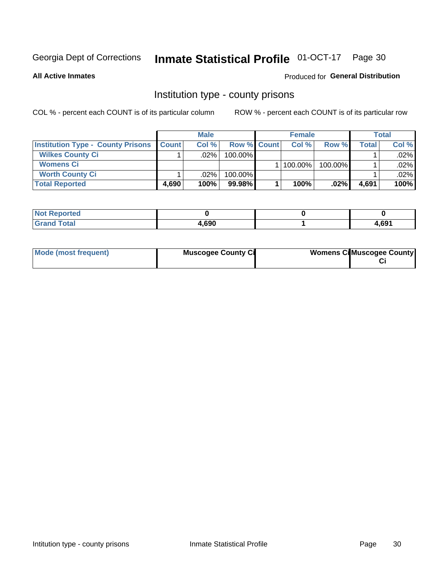## Inmate Statistical Profile 01-OCT-17 Page 30

**All Active Inmates** 

## Produced for General Distribution

## Institution type - county prisons

COL % - percent each COUNT is of its particular column

|                                          |                  | <b>Male</b> |                    | <b>Female</b> |         |       | Total   |
|------------------------------------------|------------------|-------------|--------------------|---------------|---------|-------|---------|
| <b>Institution Type - County Prisons</b> | <b>I</b> Count l | Col%        | <b>Row % Count</b> | Col%          | Row %   | Total | Col %   |
| <b>Wilkes County Ci</b>                  |                  | $.02\%$     | 100.00%            |               |         |       | $.02\%$ |
| <b>Womens Ci</b>                         |                  |             |                    | $ 100.00\% $  | 100.00% |       | $.02\%$ |
| <b>Worth County Ci</b>                   |                  | $.02\%$     | 100.00%            |               |         |       | .02% l  |
| <b>Total Reported</b>                    | 4.690            | 100%        | $99.98\%$          | 100%          | $.02\%$ | 4,691 | 100%    |

| τeα             |       |      |
|-----------------|-------|------|
| $\sim$ - $\sim$ | 4,690 | .691 |

| Mode (most frequent) | <b>Muscogee County Ci</b> | <b>Womens CilMuscogee County</b> |
|----------------------|---------------------------|----------------------------------|
|----------------------|---------------------------|----------------------------------|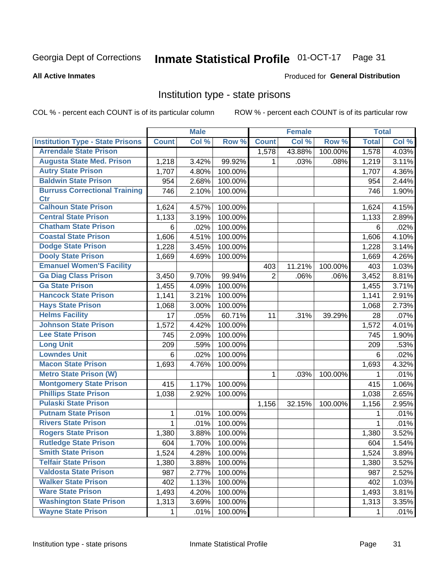## Inmate Statistical Profile 01-OCT-17 Page 31

#### **All Active Inmates**

## Produced for General Distribution

## Institution type - state prisons

COL % - percent each COUNT is of its particular column

|                                         |              | <b>Male</b> |         |                | <b>Female</b> |         | <b>Total</b> |       |
|-----------------------------------------|--------------|-------------|---------|----------------|---------------|---------|--------------|-------|
| <b>Institution Type - State Prisons</b> | <b>Count</b> | Col %       | Row %   | <b>Count</b>   | Col %         | Row %   | <b>Total</b> | Col % |
| <b>Arrendale State Prison</b>           |              |             |         | 1,578          | 43.88%        | 100.00% | 1,578        | 4.03% |
| <b>Augusta State Med. Prison</b>        | 1,218        | 3.42%       | 99.92%  | 1              | .03%          | .08%    | 1,219        | 3.11% |
| <b>Autry State Prison</b>               | 1,707        | 4.80%       | 100.00% |                |               |         | 1,707        | 4.36% |
| <b>Baldwin State Prison</b>             | 954          | 2.68%       | 100.00% |                |               |         | 954          | 2.44% |
| <b>Burruss Correctional Training</b>    | 746          | 2.10%       | 100.00% |                |               |         | 746          | 1.90% |
| <b>Ctr</b>                              |              |             |         |                |               |         |              |       |
| <b>Calhoun State Prison</b>             | 1,624        | 4.57%       | 100.00% |                |               |         | 1,624        | 4.15% |
| <b>Central State Prison</b>             | 1,133        | 3.19%       | 100.00% |                |               |         | 1,133        | 2.89% |
| <b>Chatham State Prison</b>             | 6            | .02%        | 100.00% |                |               |         | 6            | .02%  |
| <b>Coastal State Prison</b>             | 1,606        | 4.51%       | 100.00% |                |               |         | 1,606        | 4.10% |
| <b>Dodge State Prison</b>               | 1,228        | 3.45%       | 100.00% |                |               |         | 1,228        | 3.14% |
| <b>Dooly State Prison</b>               | 1,669        | 4.69%       | 100.00% |                |               |         | 1,669        | 4.26% |
| <b>Emanuel Women'S Facility</b>         |              |             |         | 403            | 11.21%        | 100.00% | 403          | 1.03% |
| <b>Ga Diag Class Prison</b>             | 3,450        | 9.70%       | 99.94%  | $\overline{2}$ | .06%          | .06%    | 3,452        | 8.81% |
| <b>Ga State Prison</b>                  | 1,455        | 4.09%       | 100.00% |                |               |         | 1,455        | 3.71% |
| <b>Hancock State Prison</b>             | 1,141        | 3.21%       | 100.00% |                |               |         | 1,141        | 2.91% |
| <b>Hays State Prison</b>                | 1,068        | 3.00%       | 100.00% |                |               |         | 1,068        | 2.73% |
| <b>Helms Facility</b>                   | 17           | .05%        | 60.71%  | 11             | .31%          | 39.29%  | 28           | .07%  |
| <b>Johnson State Prison</b>             | 1,572        | 4.42%       | 100.00% |                |               |         | 1,572        | 4.01% |
| <b>Lee State Prison</b>                 | 745          | 2.09%       | 100.00% |                |               |         | 745          | 1.90% |
| <b>Long Unit</b>                        | 209          | .59%        | 100.00% |                |               |         | 209          | .53%  |
| <b>Lowndes Unit</b>                     | 6            | .02%        | 100.00% |                |               |         | 6            | .02%  |
| <b>Macon State Prison</b>               | 1,693        | 4.76%       | 100.00% |                |               |         | 1,693        | 4.32% |
| <b>Metro State Prison (W)</b>           |              |             |         | 1              | .03%          | 100.00% | 1            | .01%  |
| <b>Montgomery State Prison</b>          | 415          | 1.17%       | 100.00% |                |               |         | 415          | 1.06% |
| <b>Phillips State Prison</b>            | 1,038        | 2.92%       | 100.00% |                |               |         | 1,038        | 2.65% |
| <b>Pulaski State Prison</b>             |              |             |         | 1,156          | 32.15%        | 100.00% | 1,156        | 2.95% |
| <b>Putnam State Prison</b>              | 1            | .01%        | 100.00% |                |               |         |              | .01%  |
| <b>Rivers State Prison</b>              | 1            | .01%        | 100.00% |                |               |         | 1            | .01%  |
| <b>Rogers State Prison</b>              | 1,380        | 3.88%       | 100.00% |                |               |         | 1,380        | 3.52% |
| <b>Rutledge State Prison</b>            | 604          | 1.70%       | 100.00% |                |               |         | 604          | 1.54% |
| <b>Smith State Prison</b>               | 1,524        | 4.28%       | 100.00% |                |               |         | 1,524        | 3.89% |
| <b>Telfair State Prison</b>             | 1,380        | 3.88%       | 100.00% |                |               |         | 1,380        | 3.52% |
| <b>Valdosta State Prison</b>            | 987          | 2.77%       | 100.00% |                |               |         | 987          | 2.52% |
| <b>Walker State Prison</b>              | 402          | 1.13%       | 100.00% |                |               |         | 402          | 1.03% |
| <b>Ware State Prison</b>                | 1,493        | 4.20%       | 100.00% |                |               |         | 1,493        | 3.81% |
| <b>Washington State Prison</b>          | 1,313        | 3.69%       | 100.00% |                |               |         | 1,313        | 3.35% |
| <b>Wayne State Prison</b>               | 1            | .01%        | 100.00% |                |               |         | 1            | .01%  |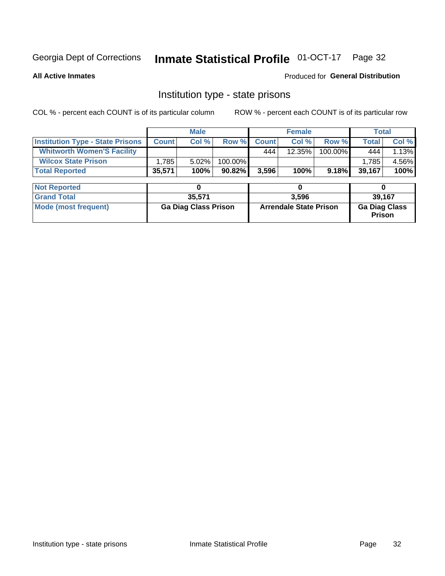## Inmate Statistical Profile 01-OCT-17 Page 32

**All Active Inmates** 

### Produced for General Distribution

## Institution type - state prisons

COL % - percent each COUNT is of its particular column

|                                         |              | <b>Male</b>                 |         |              | <b>Female</b>                 |         | <b>Total</b>                   |       |
|-----------------------------------------|--------------|-----------------------------|---------|--------------|-------------------------------|---------|--------------------------------|-------|
| <b>Institution Type - State Prisons</b> | <b>Count</b> | Col %                       | Row %   | <b>Count</b> | Col %                         | Row %   | <b>Total</b>                   | Col % |
| <b>Whitworth Women'S Facility</b>       |              |                             |         | 444          | 12.35%                        | 100.00% | 444                            | 1.13% |
| <b>Wilcox State Prison</b>              | 1,785        | 5.02%                       | 100.00% |              |                               |         | 1,785                          | 4.56% |
| <b>Total Reported</b>                   | 35,571       | 100%                        | 90.82%  | 3,596        | 100%                          | 9.18%   | 39,167                         | 100%  |
| <b>Not Reported</b>                     |              | 0                           |         |              | 0                             |         | 0                              |       |
| <b>Grand Total</b>                      |              | 35,571                      |         |              | 3,596                         |         | 39,167                         |       |
| <b>Mode (most frequent)</b>             |              | <b>Ga Diag Class Prison</b> |         |              | <b>Arrendale State Prison</b> |         | <b>Ga Diag Class</b><br>Prison |       |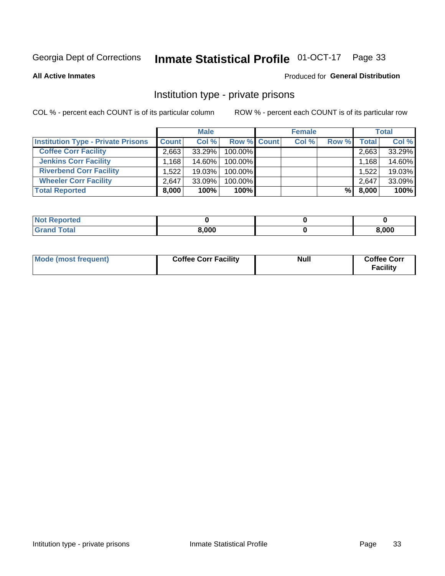## Inmate Statistical Profile 01-OCT-17 Page 33

**All Active Inmates** 

## Produced for General Distribution

## Institution type - private prisons

COL % - percent each COUNT is of its particular column

|                                           |                    | <b>Male</b> |                    | <b>Female</b> |       |       | <b>Total</b> |
|-------------------------------------------|--------------------|-------------|--------------------|---------------|-------|-------|--------------|
| <b>Institution Type - Private Prisons</b> | <b>Count</b>       | Col %       | <b>Row % Count</b> | Col %         | Row % | Total | Col %        |
| <b>Coffee Corr Facility</b>               | 2.663              | 33.29%      | 100.00%            |               |       | 2,663 | 33.29%       |
| <b>Jenkins Corr Facility</b>              | $.168$ $^{\prime}$ | 14.60%      | $100.00\%$         |               |       | 1,168 | 14.60%       |
| <b>Riverbend Corr Facility</b>            | 1.522              | 19.03%      | 100.00%            |               |       | 1,522 | 19.03%       |
| <b>Wheeler Corr Facility</b>              | 2.647              | $33.09\%$   | 100.00%            |               |       | 2,647 | 33.09%       |
| <b>Total Reported</b>                     | 8,000              | 100%        | 100%               |               | %     | 8,000 | 100%         |

| Reported    |       |       |
|-------------|-------|-------|
| <b>otal</b> | 8,000 | 3,000 |

| Mode (most frequent) | <b>Coffee Corr Facility</b> | <b>Null</b> | <b>Coffee Corr</b><br><b>Facility</b> |
|----------------------|-----------------------------|-------------|---------------------------------------|
|----------------------|-----------------------------|-------------|---------------------------------------|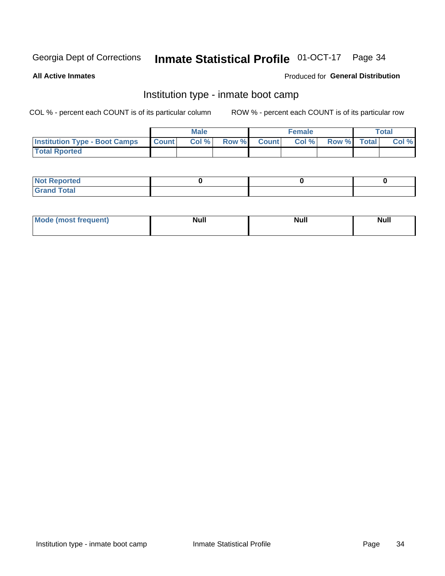## Inmate Statistical Profile 01-OCT-17 Page 34

**All Active Inmates** 

## Produced for General Distribution

## Institution type - inmate boot camp

COL % - percent each COUNT is of its particular column

|                                      |                  | <b>Male</b> |              |              | <b>Female</b> |             | <b>Total</b> |
|--------------------------------------|------------------|-------------|--------------|--------------|---------------|-------------|--------------|
| <b>Institution Type - Boot Camps</b> | <b>I</b> Count I | Col %       | <b>Row %</b> | <b>Count</b> | Col %         | Row % Total | Col %        |
| <b>Total Rported</b>                 |                  |             |              |              |               |             |              |

| <b>Not Reported</b>            |  |  |
|--------------------------------|--|--|
| <b>Total</b><br>C <sub>r</sub> |  |  |

| Mod<br>uamo | Nul.<br>$- - - - - -$ | <b>Null</b> | . .<br>uu.<br>------ |
|-------------|-----------------------|-------------|----------------------|
|             |                       |             |                      |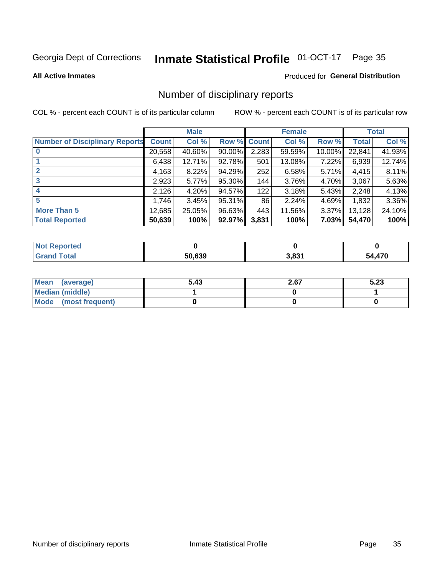## Inmate Statistical Profile 01-OCT-17 Page 35

#### **All Active Inmates**

### Produced for General Distribution

## Number of disciplinary reports

COL % - percent each COUNT is of its particular column

|                                       |              | <b>Male</b> |        |       | <b>Female</b> |          |              | <b>Total</b> |
|---------------------------------------|--------------|-------------|--------|-------|---------------|----------|--------------|--------------|
| <b>Number of Disciplinary Reports</b> | <b>Count</b> | Col %       | Row %  | Count | Col %         | Row %    | <b>Total</b> | Col %        |
|                                       | 20,558       | 40.60%      | 90.00% | 2,283 | 59.59%        | 10.00%   | 22,841       | 41.93%       |
|                                       | 6,438        | 12.71%      | 92.78% | 501   | 13.08%        | 7.22%    | 6,939        | 12.74%       |
|                                       | 4,163        | 8.22%       | 94.29% | 252   | 6.58%         | 5.71%    | 4,415        | 8.11%        |
| 3                                     | 2,923        | $5.77\%$    | 95.30% | 144   | 3.76%         | 4.70%    | 3,067        | 5.63%        |
| 4                                     | 2,126        | 4.20%       | 94.57% | 122   | 3.18%         | 5.43%    | 2,248        | 4.13%        |
| 5                                     | 1,746        | 3.45%       | 95.31% | 86    | 2.24%         | 4.69%    | 1,832        | 3.36%        |
| <b>More Than 5</b>                    | 12,685       | 25.05%      | 96.63% | 443   | 11.56%        | $3.37\%$ | 13,128       | 24.10%       |
| <b>Total Reported</b>                 | 50,639       | 100%        | 92.97% | 3,831 | 100%          | 7.03%    | 54,470       | 100%         |

| Reported<br>Not F |        |       |            |
|-------------------|--------|-------|------------|
| <b>Total</b>      | 50.639 | 3,831 | ,470<br>^^ |

| Mean (average)       | 5.43 | 2.67 | 5.23 |
|----------------------|------|------|------|
| Median (middle)      |      |      |      |
| Mode (most frequent) |      |      |      |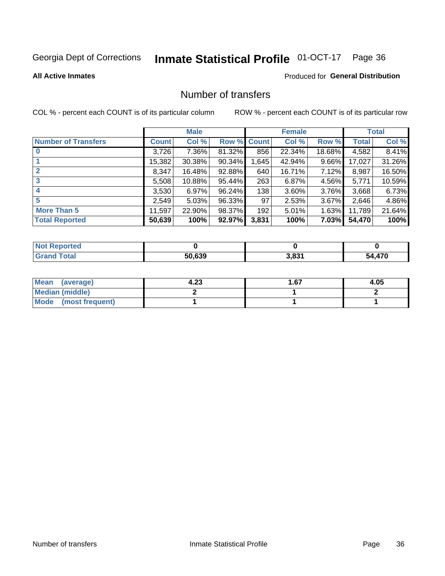## Inmate Statistical Profile 01-OCT-17 Page 36

#### **All Active Inmates**

## **Produced for General Distribution**

## Number of transfers

COL % - percent each COUNT is of its particular column

|                            |         | <b>Male</b> |        |              | <b>Female</b> |          |              | <b>Total</b> |
|----------------------------|---------|-------------|--------|--------------|---------------|----------|--------------|--------------|
| <b>Number of Transfers</b> | Count l | Col %       | Row %  | <b>Count</b> | Col %         | Row %    | <b>Total</b> | Col %        |
|                            | 3,726   | 7.36%       | 81.32% | 856          | 22.34%        | 18.68%   | 4,582        | 8.41%        |
|                            | 15,382  | 30.38%      | 90.34% | 1,645        | 42.94%        | $9.66\%$ | 17,027       | 31.26%       |
| $\mathbf{2}$               | 8,347   | 16.48%      | 92.88% | 640          | 16.71%        | $7.12\%$ | 8,987        | 16.50%       |
| 3                          | 5,508   | 10.88%      | 95.44% | 263          | 6.87%         | 4.56%    | 5,771        | 10.59%       |
| 4                          | 3,530   | 6.97%       | 96.24% | 138          | 3.60%         | 3.76%    | 3,668        | 6.73%        |
| 5                          | 2,549   | 5.03%       | 96.33% | 97           | 2.53%         | 3.67%    | 2,646        | 4.86%        |
| <b>More Than 5</b>         | 11,597  | 22.90%      | 98.37% | 192          | 5.01%         | 1.63%    | 11,789       | 21.64%       |
| <b>Total Reported</b>      | 50,639  | 100%        | 92.97% | 3,831        | 100%          | $7.03\%$ | 54,470       | 100%         |

| Reported<br>Not F |        |       |            |
|-------------------|--------|-------|------------|
| <b>Total</b>      | 50.639 | 3,831 | ,470<br>^^ |

| Mean (average)         | 4.23 | 1.67 | 4.05 |
|------------------------|------|------|------|
| <b>Median (middle)</b> |      |      |      |
| Mode (most frequent)   |      |      |      |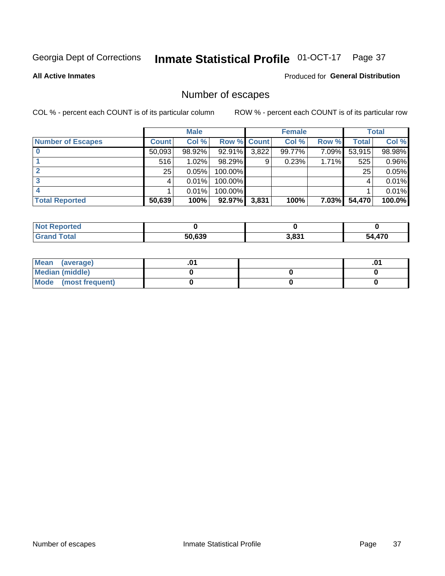## Inmate Statistical Profile 01-OCT-17 Page 37

**All Active Inmates** 

### Produced for General Distribution

## Number of escapes

COL % - percent each COUNT is of its particular column

|                          |              | <b>Male</b> |             |       | <b>Female</b> |          |        | <b>Total</b> |
|--------------------------|--------------|-------------|-------------|-------|---------------|----------|--------|--------------|
| <b>Number of Escapes</b> | <b>Count</b> | Col %       | Row % Count |       | Col %         | Row %    | Total  | Col %        |
|                          | 50,093       | 98.92%      | 92.91%      | 3,822 | 99.77%        | 7.09%    | 53,915 | 98.98%       |
|                          | 516          | $1.02\%$    | 98.29%      | 9     | 0.23%         | 1.71%    | 525    | 0.96%        |
|                          | 25           | 0.05%       | 100.00%     |       |               |          | 25     | 0.05%        |
|                          |              | 0.01%       | 100.00%     |       |               |          |        | 0.01%        |
|                          |              | 0.01%       | 100.00%     |       |               |          |        | 0.01%        |
| <b>Total Reported</b>    | 50,639       | 100%        | 92.97%      | 3,831 | 100%          | $7.03\%$ | 54,470 | 100.0%       |

| orted        |        |       |     |
|--------------|--------|-------|-----|
| <b>Total</b> | 50.639 | 3.831 | 470 |

| Mean (average)       |  | .01 |
|----------------------|--|-----|
| Median (middle)      |  |     |
| Mode (most frequent) |  |     |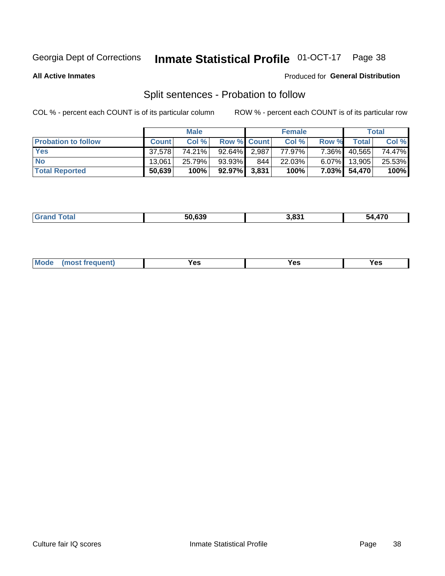#### **Inmate Statistical Profile 01-OCT-17** Page 38

**All Active Inmates** 

## Produced for General Distribution

## Split sentences - Probation to follow

COL % - percent each COUNT is of its particular column

|                            |              | <b>Male</b> |                    |       | <b>Female</b> |          |              | <b>Total</b> |
|----------------------------|--------------|-------------|--------------------|-------|---------------|----------|--------------|--------------|
| <b>Probation to follow</b> | <b>Count</b> | Col%        | <b>Row % Count</b> |       | Col %         | Row %    | Total        | Col %        |
| <b>Yes</b>                 | 37.578       | 74.21%      | 92.64%             | 2,987 | 77.97%        | $7.36\%$ | 40,565       | 74.47%       |
| <b>No</b>                  | 13.061       | 25.79%      | 93.93%             | 844   | 22.03%        | $6.07\%$ | 13,905       | 25.53%       |
| <b>Total Reported</b>      | 50,639       | 100%        | 92.97% 3.831       |       | 100%          |          | 7.03% 54,470 | 100%         |

| <b>FO COO</b> | גרם ו | .470 |
|---------------|-------|------|
| 30.639        | ינ הי | 54.  |
|               |       |      |

| M<br>reauent)<br>/٥<br>$\sim$<br>v.,<br>.<br>w<br>$\cdot$ - $\cdot$ |  |  |  |  |  |
|---------------------------------------------------------------------|--|--|--|--|--|
|---------------------------------------------------------------------|--|--|--|--|--|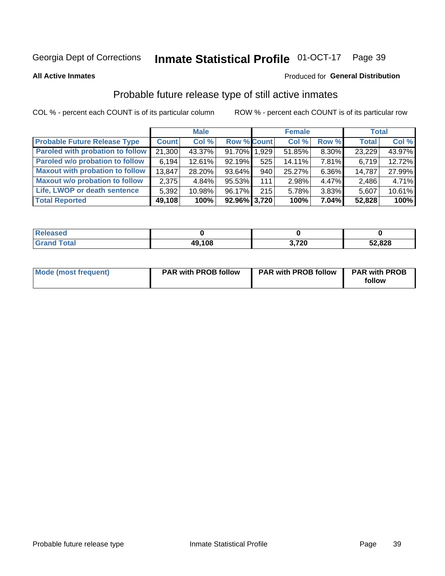#### **Inmate Statistical Profile 01-OCT-17** Page 39

**All Active Inmates** 

### Produced for General Distribution

## Probable future release type of still active inmates

COL % - percent each COUNT is of its particular column

|                                         |              | <b>Male</b> |                    |      | <b>Female</b> |          | <b>Total</b> |        |
|-----------------------------------------|--------------|-------------|--------------------|------|---------------|----------|--------------|--------|
| <b>Probable Future Release Type</b>     | <b>Count</b> | Col %       | <b>Row % Count</b> |      | Col %         | Row %    | <b>Total</b> | Col %  |
| <b>Paroled with probation to follow</b> | 21,300       | 43.37%      | 91.70% 1,929       |      | 51.85%        | 8.30%    | 23,229       | 43.97% |
| Paroled w/o probation to follow         | 6,194        | 12.61%      | 92.19%             | 525  | 14.11%        | $7.81\%$ | 6,719        | 12.72% |
| <b>Maxout with probation to follow</b>  | 13,847       | 28.20%      | 93.64%             | 940  | 25.27%        | 6.36%    | 14,787       | 27.99% |
| <b>Maxout w/o probation to follow</b>   | 2,375        | 4.84%       | 95.53%             | 1111 | 2.98%         | 4.47%    | 2,486        | 4.71%  |
| Life, LWOP or death sentence            | 5,392        | 10.98%      | 96.17%             | 215  | 5.78%         | 3.83%    | 5,607        | 10.61% |
| <b>Total Reported</b>                   | 49,108       | 100%        | $92.96\%$ 3,720    |      | 100%          | $7.04\%$ | 52,828       | 100%   |

| 456U                  |        |      |        |
|-----------------------|--------|------|--------|
| $f \wedge f \wedge f$ | 49,108 | ,720 | 52,828 |

| <b>Mode (most frequent)</b> | <b>PAR with PROB follow</b> | <b>PAR with PROB follow</b> | <b>PAR with PROB</b> |
|-----------------------------|-----------------------------|-----------------------------|----------------------|
|                             |                             |                             | follow               |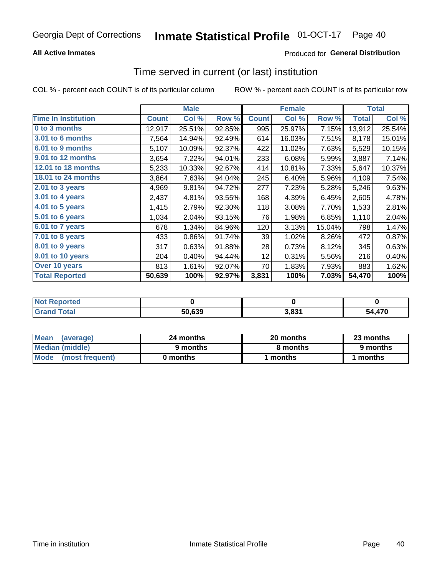## **All Active Inmates**

## **Produced for General Distribution**

# Time served in current (or last) institution

COL % - percent each COUNT is of its particular column

|                            |              | <b>Male</b> |        |              | <b>Female</b> |        |              | <b>Total</b> |
|----------------------------|--------------|-------------|--------|--------------|---------------|--------|--------------|--------------|
| <b>Time In Institution</b> | <b>Count</b> | Col %       | Row %  | <b>Count</b> | Col %         | Row %  | <b>Total</b> | Col %        |
| 0 to 3 months              | 12,917       | 25.51%      | 92.85% | 995          | 25.97%        | 7.15%  | 13,912       | 25.54%       |
| 3.01 to 6 months           | 7,564        | 14.94%      | 92.49% | 614          | 16.03%        | 7.51%  | 8,178        | 15.01%       |
| 6.01 to 9 months           | 5,107        | 10.09%      | 92.37% | 422          | 11.02%        | 7.63%  | 5,529        | 10.15%       |
| 9.01 to 12 months          | 3,654        | 7.22%       | 94.01% | 233          | 6.08%         | 5.99%  | 3,887        | 7.14%        |
| 12.01 to 18 months         | 5,233        | 10.33%      | 92.67% | 414          | 10.81%        | 7.33%  | 5,647        | 10.37%       |
| <b>18.01 to 24 months</b>  | 3,864        | 7.63%       | 94.04% | 245          | 6.40%         | 5.96%  | 4,109        | 7.54%        |
| 2.01 to 3 years            | 4,969        | 9.81%       | 94.72% | 277          | 7.23%         | 5.28%  | 5,246        | 9.63%        |
| $3.01$ to 4 years          | 2,437        | 4.81%       | 93.55% | 168          | 4.39%         | 6.45%  | 2,605        | 4.78%        |
| 4.01 to 5 years            | 1,415        | 2.79%       | 92.30% | 118          | 3.08%         | 7.70%  | 1,533        | 2.81%        |
| 5.01 to 6 years            | 1,034        | 2.04%       | 93.15% | 76           | 1.98%         | 6.85%  | 1,110        | 2.04%        |
| 6.01 to 7 years            | 678          | 1.34%       | 84.96% | 120          | 3.13%         | 15.04% | 798          | 1.47%        |
| 7.01 to 8 years            | 433          | 0.86%       | 91.74% | 39           | 1.02%         | 8.26%  | 472          | 0.87%        |
| $8.01$ to 9 years          | 317          | 0.63%       | 91.88% | 28           | 0.73%         | 8.12%  | 345          | 0.63%        |
| 9.01 to 10 years           | 204          | 0.40%       | 94.44% | 12           | 0.31%         | 5.56%  | 216          | 0.40%        |
| Over 10 years              | 813          | 1.61%       | 92.07% | 70           | 1.83%         | 7.93%  | 883          | 1.62%        |
| <b>Total Reported</b>      | 50,639       | 100%        | 92.97% | 3,831        | 100%          | 7.03%  | 54,470       | 100%         |

| <b>Not</b><br>Renorted |        |            |          |
|------------------------|--------|------------|----------|
| Total                  | 50.639 | <u>იია</u> | 170<br>״ |

| <b>Mean</b><br>(average) | 24 months | 20 months | 23 months |
|--------------------------|-----------|-----------|-----------|
| Median (middle)          | 9 months  | 8 months  | 9 months  |
| Mode (most frequent)     | 0 months  | months    | 1 months  |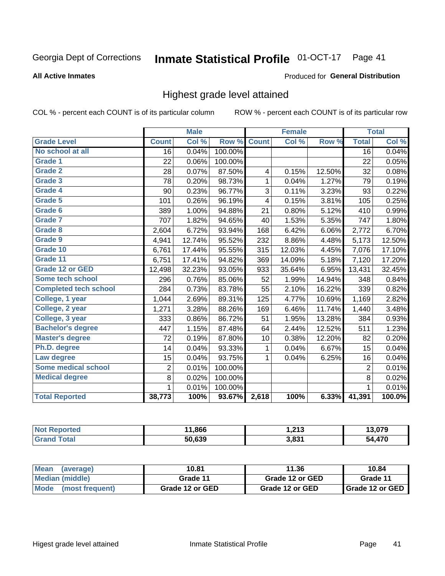#### Inmate Statistical Profile 01-OCT-17 Page 41

#### **All Active Inmates**

#### Produced for General Distribution

## Highest grade level attained

COL % - percent each COUNT is of its particular column

|                              |                 | <b>Male</b> |         |              | <b>Female</b> |        |                 | <b>Total</b> |
|------------------------------|-----------------|-------------|---------|--------------|---------------|--------|-----------------|--------------|
| <b>Grade Level</b>           | <b>Count</b>    | Col %       | Row %   | <b>Count</b> | Col %         | Row %  | <b>Total</b>    | Col %        |
| No school at all             | $\overline{16}$ | 0.04%       | 100.00% |              |               |        | $\overline{16}$ | 0.04%        |
| <b>Grade 1</b>               | 22              | 0.06%       | 100.00% |              |               |        | 22              | 0.05%        |
| <b>Grade 2</b>               | 28              | 0.07%       | 87.50%  | 4            | 0.15%         | 12.50% | 32              | 0.08%        |
| Grade 3                      | 78              | 0.20%       | 98.73%  | $\mathbf{1}$ | 0.04%         | 1.27%  | 79              | 0.19%        |
| <b>Grade 4</b>               | 90              | 0.23%       | 96.77%  | 3            | 0.11%         | 3.23%  | 93              | 0.22%        |
| Grade 5                      | 101             | 0.26%       | 96.19%  | 4            | 0.15%         | 3.81%  | 105             | 0.25%        |
| Grade 6                      | 389             | 1.00%       | 94.88%  | 21           | 0.80%         | 5.12%  | 410             | 0.99%        |
| <b>Grade 7</b>               | 707             | 1.82%       | 94.65%  | 40           | 1.53%         | 5.35%  | 747             | 1.80%        |
| Grade 8                      | 2,604           | 6.72%       | 93.94%  | 168          | 6.42%         | 6.06%  | 2,772           | 6.70%        |
| Grade 9                      | 4,941           | 12.74%      | 95.52%  | 232          | 8.86%         | 4.48%  | 5,173           | 12.50%       |
| Grade 10                     | 6,761           | 17.44%      | 95.55%  | 315          | 12.03%        | 4.45%  | 7,076           | 17.10%       |
| Grade 11                     | 6,751           | 17.41%      | 94.82%  | 369          | 14.09%        | 5.18%  | 7,120           | 17.20%       |
| <b>Grade 12 or GED</b>       | 12,498          | 32.23%      | 93.05%  | 933          | 35.64%        | 6.95%  | 13,431          | 32.45%       |
| <b>Some tech school</b>      | 296             | 0.76%       | 85.06%  | 52           | 1.99%         | 14.94% | 348             | 0.84%        |
| <b>Completed tech school</b> | 284             | 0.73%       | 83.78%  | 55           | 2.10%         | 16.22% | 339             | 0.82%        |
| College, 1 year              | 1,044           | 2.69%       | 89.31%  | 125          | 4.77%         | 10.69% | 1,169           | 2.82%        |
| College, 2 year              | 1,271           | 3.28%       | 88.26%  | 169          | 6.46%         | 11.74% | 1,440           | 3.48%        |
| College, 3 year              | 333             | 0.86%       | 86.72%  | 51           | 1.95%         | 13.28% | 384             | 0.93%        |
| <b>Bachelor's degree</b>     | 447             | 1.15%       | 87.48%  | 64           | 2.44%         | 12.52% | 511             | 1.23%        |
| <b>Master's degree</b>       | 72              | 0.19%       | 87.80%  | 10           | 0.38%         | 12.20% | 82              | 0.20%        |
| Ph.D. degree                 | 14              | 0.04%       | 93.33%  | $\mathbf{1}$ | 0.04%         | 6.67%  | 15              | 0.04%        |
| Law degree                   | 15              | 0.04%       | 93.75%  | $\mathbf{1}$ | 0.04%         | 6.25%  | 16              | 0.04%        |
| <b>Some medical school</b>   | $\overline{2}$  | 0.01%       | 100.00% |              |               |        | $\overline{2}$  | 0.01%        |
| <b>Medical degree</b>        | 8               | 0.02%       | 100.00% |              |               |        | 8               | 0.02%        |
|                              | $\mathbf 1$     | 0.01%       | 100.00% |              |               |        | 1               | 0.01%        |
| <b>Total Reported</b>        | 38,773          | 100%        | 93.67%  | 2,618        | 100%          | 6.33%  | 41,391          | 100.0%       |

| .866   | 212<br>31.21 | $\sim$<br>79       |
|--------|--------------|--------------------|
| 50.639 | 2024         | $1 - \alpha$<br>70 |

| Mean<br>(average)    | 10.81           | 11.36           | 10.84           |
|----------------------|-----------------|-----------------|-----------------|
| Median (middle)      | Grade 11        | Grade 12 or GED | Grade 11        |
| Mode (most frequent) | Grade 12 or GED | Grade 12 or GED | Grade 12 or GED |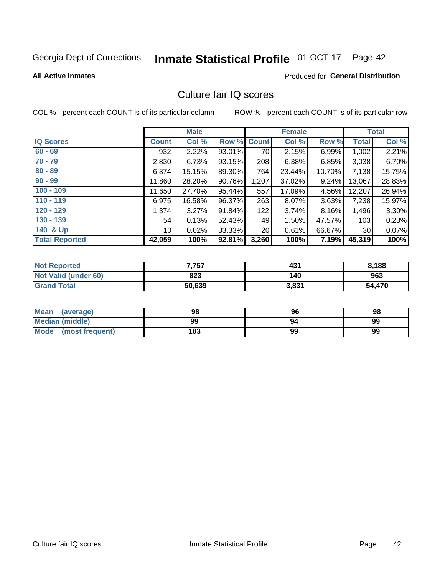# Inmate Statistical Profile 01-OCT-17 Page 42

#### **All Active Inmates**

## **Produced for General Distribution**

# Culture fair IQ scores

COL % - percent each COUNT is of its particular column

|                       |                 | <b>Male</b> |             |                 | <b>Female</b> |        |                 | <b>Total</b> |
|-----------------------|-----------------|-------------|-------------|-----------------|---------------|--------|-----------------|--------------|
| <b>IQ Scores</b>      | <b>Count</b>    | Col %       | Row % Count |                 | Col %         | Row %  | <b>Total</b>    | Col %        |
| $60 - 69$             | 932             | 2.22%       | 93.01%      | 70              | 2.15%         | 6.99%  | 1,002           | 2.21%        |
| $70 - 79$             | 2,830           | 6.73%       | 93.15%      | 208             | 6.38%         | 6.85%  | 3,038           | 6.70%        |
| $80 - 89$             | 6,374           | 15.15%      | 89.30%      | 764             | 23.44%        | 10.70% | 7,138           | 15.75%       |
| $90 - 99$             | 11,860          | 28.20%      | 90.76%      | 1,207           | 37.02%        | 9.24%  | 13,067          | 28.83%       |
| $100 - 109$           | 11,650          | 27.70%      | 95.44%      | 557             | 17.09%        | 4.56%  | 12,207          | 26.94%       |
| $110 - 119$           | 6,975           | 16.58%      | 96.37%      | 263             | 8.07%         | 3.63%  | 7,238           | 15.97%       |
| $120 - 129$           | 1,374           | 3.27%       | 91.84%      | 122             | 3.74%         | 8.16%  | 1,496           | 3.30%        |
| $130 - 139$           | 54              | 0.13%       | 52.43%      | 49              | 1.50%         | 47.57% | 103             | 0.23%        |
| 140 & Up              | 10 <sup>1</sup> | 0.02%       | 33.33%      | 20 <sub>1</sub> | 0.61%         | 66.67% | 30 <sup>1</sup> | 0.07%        |
| <b>Total Reported</b> | 42,059          | 100%        | 92.81%      | 3,260           | 100%          | 7.19%  | 45,319          | 100%         |

| <b>Not Reported</b>         | 7,757  | 431   | 8,188  |
|-----------------------------|--------|-------|--------|
| <b>Not Valid (under 60)</b> | 823    | 140   | 963    |
| <b>Grand Total</b>          | 50,639 | 3,831 | 54,470 |

| <b>Mean</b><br>(average) | 98  | 96 | 98 |
|--------------------------|-----|----|----|
| <b>Median (middle)</b>   | 99  | 94 | 99 |
| Mode<br>(most frequent)  | 103 | 99 | 99 |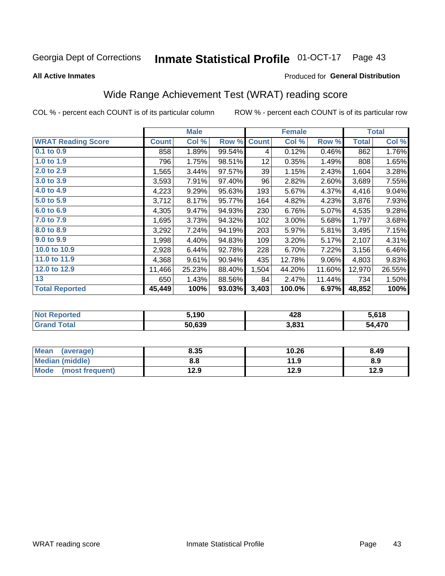#### **Inmate Statistical Profile 01-OCT-17** Page 43

#### **All Active Inmates**

### Produced for General Distribution

# Wide Range Achievement Test (WRAT) reading score

COL % - percent each COUNT is of its particular column

|                           |              | <b>Male</b> |        |              | <b>Female</b> |        |              | <b>Total</b> |
|---------------------------|--------------|-------------|--------|--------------|---------------|--------|--------------|--------------|
| <b>WRAT Reading Score</b> | <b>Count</b> | Col %       | Row %  | <b>Count</b> | Col %         | Row %  | <b>Total</b> | Col %        |
| 0.1 to 0.9                | 858          | 1.89%       | 99.54% | 4            | 0.12%         | 0.46%  | 862          | 1.76%        |
| 1.0 to 1.9                | 796          | 1.75%       | 98.51% | 12           | 0.35%         | 1.49%  | 808          | 1.65%        |
| 2.0 to 2.9                | 1,565        | 3.44%       | 97.57% | 39           | 1.15%         | 2.43%  | 1,604        | 3.28%        |
| 3.0 to 3.9                | 3,593        | 7.91%       | 97.40% | 96           | 2.82%         | 2.60%  | 3,689        | 7.55%        |
| 4.0 to 4.9                | 4,223        | 9.29%       | 95.63% | 193          | 5.67%         | 4.37%  | 4,416        | 9.04%        |
| 5.0 to 5.9                | 3,712        | 8.17%       | 95.77% | 164          | 4.82%         | 4.23%  | 3,876        | 7.93%        |
| 6.0 to 6.9                | 4,305        | 9.47%       | 94.93% | 230          | 6.76%         | 5.07%  | 4,535        | 9.28%        |
| 7.0 to 7.9                | 1,695        | 3.73%       | 94.32% | 102          | 3.00%         | 5.68%  | 1,797        | 3.68%        |
| 8.0 to 8.9                | 3,292        | 7.24%       | 94.19% | 203          | 5.97%         | 5.81%  | 3,495        | 7.15%        |
| 9.0 to 9.9                | 1,998        | 4.40%       | 94.83% | 109          | 3.20%         | 5.17%  | 2,107        | 4.31%        |
| 10.0 to 10.9              | 2,928        | 6.44%       | 92.78% | 228          | 6.70%         | 7.22%  | 3,156        | 6.46%        |
| 11.0 to 11.9              | 4,368        | 9.61%       | 90.94% | 435          | 12.78%        | 9.06%  | 4,803        | 9.83%        |
| 12.0 to 12.9              | 11,466       | 25.23%      | 88.40% | 1,504        | 44.20%        | 11.60% | 12,970       | 26.55%       |
| 13                        | 650          | 1.43%       | 88.56% | 84           | 2.47%         | 11.44% | 734          | 1.50%        |
| <b>Total Reported</b>     | 45,449       | 100%        | 93.03% | 3,403        | 100.0%        | 6.97%  | 48,852       | 100%         |

| prtea<br>NO. | <b>5,190</b> | 428   | 5,618      |
|--------------|--------------|-------|------------|
| int          | 50,639       | 3,831 | ,470<br>51 |

| Mean (average)         | 8.35 | 10.26 | 8.49 |
|------------------------|------|-------|------|
| <b>Median (middle)</b> | 8.8  | 11.9  | 8.9  |
| Mode (most frequent)   | 12.9 | 12.9  | 12.9 |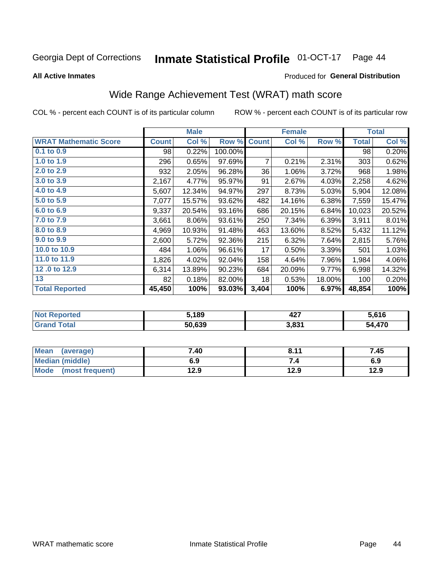#### **Inmate Statistical Profile 01-OCT-17** Page 44

**All Active Inmates** 

## Produced for General Distribution

# Wide Range Achievement Test (WRAT) math score

COL % - percent each COUNT is of its particular column

|                              |              | <b>Male</b> |         |              | <b>Female</b> |        |              | <b>Total</b> |
|------------------------------|--------------|-------------|---------|--------------|---------------|--------|--------------|--------------|
| <b>WRAT Mathematic Score</b> | <b>Count</b> | Col %       | Row %   | <b>Count</b> | Col %         | Row %  | <b>Total</b> | Col %        |
| 0.1 to 0.9                   | 98           | 0.22%       | 100.00% |              |               |        | 98           | 0.20%        |
| 1.0 to 1.9                   | 296          | 0.65%       | 97.69%  | 7            | 0.21%         | 2.31%  | 303          | 0.62%        |
| 2.0 to 2.9                   | 932          | 2.05%       | 96.28%  | 36           | 1.06%         | 3.72%  | 968          | 1.98%        |
| 3.0 to 3.9                   | 2,167        | 4.77%       | 95.97%  | 91           | 2.67%         | 4.03%  | 2,258        | 4.62%        |
| 4.0 to 4.9                   | 5,607        | 12.34%      | 94.97%  | 297          | 8.73%         | 5.03%  | 5,904        | 12.08%       |
| 5.0 to 5.9                   | 7,077        | 15.57%      | 93.62%  | 482          | 14.16%        | 6.38%  | 7,559        | 15.47%       |
| 6.0 to 6.9                   | 9,337        | 20.54%      | 93.16%  | 686          | 20.15%        | 6.84%  | 10,023       | 20.52%       |
| 7.0 to 7.9                   | 3,661        | 8.06%       | 93.61%  | 250          | 7.34%         | 6.39%  | 3,911        | 8.01%        |
| 8.0 to 8.9                   | 4,969        | 10.93%      | 91.48%  | 463          | 13.60%        | 8.52%  | 5,432        | 11.12%       |
| 9.0 to 9.9                   | 2,600        | 5.72%       | 92.36%  | 215          | 6.32%         | 7.64%  | 2,815        | 5.76%        |
| 10.0 to 10.9                 | 484          | 1.06%       | 96.61%  | 17           | 0.50%         | 3.39%  | 501          | 1.03%        |
| 11.0 to 11.9                 | 1,826        | 4.02%       | 92.04%  | 158          | 4.64%         | 7.96%  | 1,984        | 4.06%        |
| 12.0 to 12.9                 | 6,314        | 13.89%      | 90.23%  | 684          | 20.09%        | 9.77%  | 6,998        | 14.32%       |
| 13                           | 82           | 0.18%       | 82.00%  | 18           | 0.53%         | 18.00% | 100          | 0.20%        |
| <b>Total Reported</b>        | 45,450       | 100%        | 93.03%  | 3,404        | 100%          | 6.97%  | 48,854       | 100%         |

| <b>Not</b><br>Reported | ,189   | דהו<br>44 I | i.616       |
|------------------------|--------|-------------|-------------|
| <b>Total</b>           | 50,639 | 3,831       | ,470<br>מר: |

| <b>Mean</b><br>(average) | 7.40 | 8.11 | 7.45 |
|--------------------------|------|------|------|
| Median (middle)          | 6.9  | ۰.,  | 6.9  |
| Mode<br>(most frequent)  | 12.9 | 12.9 | 12.9 |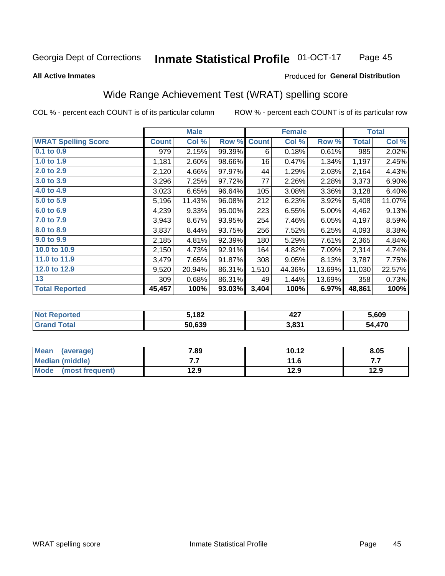#### **Inmate Statistical Profile 01-OCT-17** Page 45

**All Active Inmates** 

#### Produced for General Distribution

# Wide Range Achievement Test (WRAT) spelling score

COL % - percent each COUNT is of its particular column

|                            |              | <b>Male</b> |        |              | <b>Female</b> |        |              | <b>Total</b> |
|----------------------------|--------------|-------------|--------|--------------|---------------|--------|--------------|--------------|
| <b>WRAT Spelling Score</b> | <b>Count</b> | Col %       | Row %  | <b>Count</b> | Col %         | Row %  | <b>Total</b> | Col %        |
| 0.1 to 0.9                 | 979          | 2.15%       | 99.39% | 6            | 0.18%         | 0.61%  | 985          | 2.02%        |
| 1.0 to 1.9                 | 1,181        | 2.60%       | 98.66% | 16           | 0.47%         | 1.34%  | 1,197        | 2.45%        |
| 2.0 to 2.9                 | 2,120        | 4.66%       | 97.97% | 44           | 1.29%         | 2.03%  | 2,164        | 4.43%        |
| 3.0 to 3.9                 | 3,296        | 7.25%       | 97.72% | 77           | 2.26%         | 2.28%  | 3,373        | 6.90%        |
| 4.0 to 4.9                 | 3,023        | 6.65%       | 96.64% | 105          | 3.08%         | 3.36%  | 3,128        | 6.40%        |
| 5.0 to 5.9                 | 5,196        | 11.43%      | 96.08% | 212          | 6.23%         | 3.92%  | 5,408        | 11.07%       |
| 6.0 to 6.9                 | 4,239        | 9.33%       | 95.00% | 223          | 6.55%         | 5.00%  | 4,462        | 9.13%        |
| 7.0 to 7.9                 | 3,943        | 8.67%       | 93.95% | 254          | 7.46%         | 6.05%  | 4,197        | 8.59%        |
| 8.0 to 8.9                 | 3,837        | 8.44%       | 93.75% | 256          | 7.52%         | 6.25%  | 4,093        | 8.38%        |
| 9.0 to 9.9                 | 2,185        | 4.81%       | 92.39% | 180          | 5.29%         | 7.61%  | 2,365        | 4.84%        |
| 10.0 to 10.9               | 2,150        | 4.73%       | 92.91% | 164          | 4.82%         | 7.09%  | 2,314        | 4.74%        |
| 11.0 to 11.9               | 3,479        | 7.65%       | 91.87% | 308          | 9.05%         | 8.13%  | 3,787        | 7.75%        |
| 12.0 to 12.9               | 9,520        | 20.94%      | 86.31% | 1,510        | 44.36%        | 13.69% | 11,030       | 22.57%       |
| 13                         | 309          | 0.68%       | 86.31% | 49           | 1.44%         | 13.69% | 358          | 0.73%        |
| <b>Total Reported</b>      | 45,457       | 100%        | 93.03% | 3,404        | 100%          | 6.97%  | 48,861       | 100%         |

| rted<br>NOT             | ;,182<br>. . | כ ה<br>441 | 609.ز      |
|-------------------------|--------------|------------|------------|
| $f$ $f \circ f \circ f$ | 50,639       | 3,831      | .470<br>ЫЛ |

| Mean<br>(average)       | 7.89 | 10.12 | 8.05 |
|-------------------------|------|-------|------|
| <b>Median (middle)</b>  | . .  | 11.6  | .    |
| Mode<br>(most frequent) | 12.9 | 12.9  | 12.9 |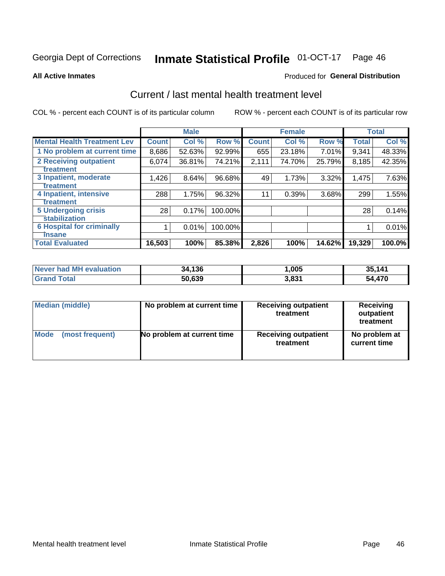# Inmate Statistical Profile 01-OCT-17 Page 46

**All Active Inmates** 

#### Produced for General Distribution

# Current / last mental health treatment level

COL % - percent each COUNT is of its particular column

|                                    |                 | <b>Male</b> |         |              | <b>Female</b> |        |              | <b>Total</b> |
|------------------------------------|-----------------|-------------|---------|--------------|---------------|--------|--------------|--------------|
| <b>Mental Health Treatment Lev</b> | <b>Count</b>    | Col%        | Row %   | <b>Count</b> | Col %         | Row %  | <b>Total</b> | Col %        |
| 1 No problem at current time       | 8,686           | 52.63%      | 92.99%  | 655          | 23.18%        | 7.01%  | 9,341        | 48.33%       |
| 2 Receiving outpatient             | 6,074           | 36.81%      | 74.21%  | 2,111        | 74.70%        | 25.79% | 8,185        | 42.35%       |
| <b>Treatment</b>                   |                 |             |         |              |               |        |              |              |
| 3 Inpatient, moderate              | 1,426           | 8.64%       | 96.68%  | 49           | 1.73%         | 3.32%  | 1,475        | 7.63%        |
| Treatment                          |                 |             |         |              |               |        |              |              |
| 4 Inpatient, intensive             | 288             | 1.75%       | 96.32%  | 11           | 0.39%         | 3.68%  | 299          | 1.55%        |
| <b>Treatment</b>                   |                 |             |         |              |               |        |              |              |
| 5 Undergoing crisis                | 28 <sub>1</sub> | 0.17%       | 100.00% |              |               |        | 28           | 0.14%        |
| <b>stabilization</b>               |                 |             |         |              |               |        |              |              |
| <b>6 Hospital for criminally</b>   |                 | 0.01%       | 100.00% |              |               |        |              | 0.01%        |
| <b>Tinsane</b>                     |                 |             |         |              |               |        |              |              |
| <b>Total Evaluated</b>             | 16,503          | 100%        | 85.38%  | 2,826        | 100%          | 14.62% | 19,329       | 100.0%       |

| Never had MH evaluation | 34.136 | ,005  | 35.141      |
|-------------------------|--------|-------|-------------|
| $\tau$ otal             | 50,639 | 3,831 | .470<br>- ר |

| Median (middle) | No problem at current time | <b>Receiving outpatient</b><br>treatment | <b>Receiving</b><br>outpatient<br>treatment |
|-----------------|----------------------------|------------------------------------------|---------------------------------------------|
| <b>Mode</b>     | No problem at current time | <b>Receiving outpatient</b>              | No problem at                               |
| (most frequent) |                            | treatment                                | current time                                |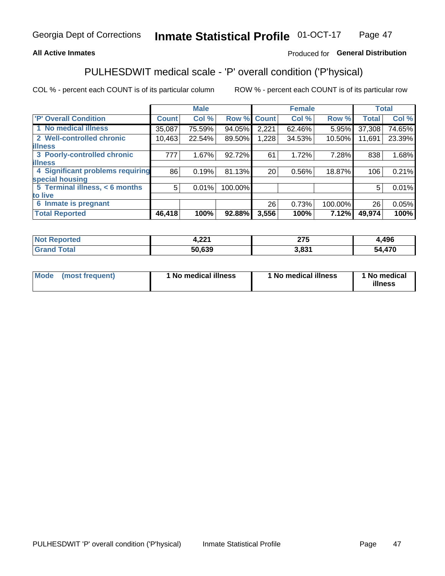## **All Active Inmates**

## Produced for General Distribution

# PULHESDWIT medical scale - 'P' overall condition ('P'hysical)

COL % - percent each COUNT is of its particular column

|                                  |              | <b>Male</b> |         |                 | <b>Female</b> |         |              | <b>Total</b> |
|----------------------------------|--------------|-------------|---------|-----------------|---------------|---------|--------------|--------------|
| 'P' Overall Condition            | <b>Count</b> | Col %       | Row %   | <b>Count</b>    | Col %         | Row %   | <b>Total</b> | Col %        |
| 1 No medical illness             | 35,087       | 75.59%      | 94.05%  | 2,221           | 62.46%        | 5.95%   | 37,308       | 74.65%       |
| 2 Well-controlled chronic        | 10,463       | 22.54%      | 89.50%  | 1,228           | 34.53%        | 10.50%  | 11,691       | 23.39%       |
| <b>illness</b>                   |              |             |         |                 |               |         |              |              |
| 3 Poorly-controlled chronic      | 777          | 1.67%       | 92.72%  | 61              | 1.72%         | 7.28%   | 838          | 1.68%        |
| <b>illness</b>                   |              |             |         |                 |               |         |              |              |
| 4 Significant problems requiring | 86           | 0.19%       | 81.13%  | 20 <sub>1</sub> | 0.56%         | 18.87%  | 106          | 0.21%        |
| special housing                  |              |             |         |                 |               |         |              |              |
| 5 Terminal illness, < 6 months   | 5            | 0.01%       | 100.00% |                 |               |         | 5            | 0.01%        |
| to live                          |              |             |         |                 |               |         |              |              |
| 6 Inmate is pregnant             |              |             |         | 26              | 0.73%         | 100.00% | 26           | 0.05%        |
| <b>Total Reported</b>            | 46,418       | 100%        | 92.88%  | 3,556           | 100%          | 7.12%   | 49,974       | 100%         |

| тео | 224<br>ч. 44 г | ヘラビ<br>21 V | ,496      |
|-----|----------------|-------------|-----------|
|     | ra coo         | 024         | 17c<br>51 |

| Mode | (most frequent) | 1 No medical illness | 1 No medical illness | 1 No medical<br>illness |
|------|-----------------|----------------------|----------------------|-------------------------|
|------|-----------------|----------------------|----------------------|-------------------------|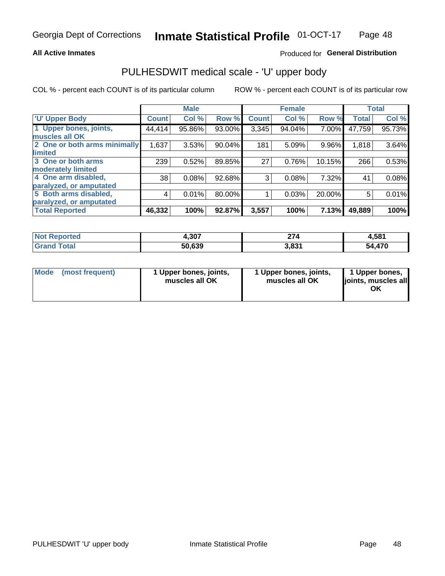### **All Active Inmates**

## Produced for General Distribution

# PULHESDWIT medical scale - 'U' upper body

COL % - percent each COUNT is of its particular column

|                              |                    | <b>Male</b> |        |              | <b>Female</b> |        |              | <b>Total</b> |
|------------------------------|--------------------|-------------|--------|--------------|---------------|--------|--------------|--------------|
| <b>U' Upper Body</b>         | Count <sup>!</sup> | Col %       | Row %  | <b>Count</b> | Col %         | Row %  | <b>Total</b> | Col %        |
| 1 Upper bones, joints,       | 44,414             | 95.86%      | 93.00% | 3,345        | 94.04%        | 7.00%  | 47,759       | 95.73%       |
| muscles all OK               |                    |             |        |              |               |        |              |              |
| 2 One or both arms minimally | 1,637              | 3.53%       | 90.04% | 181          | 5.09%         | 9.96%  | 1,818        | 3.64%        |
| <b>limited</b>               |                    |             |        |              |               |        |              |              |
| 3 One or both arms           | 239                | 0.52%       | 89.85% | 27           | 0.76%         | 10.15% | 266          | 0.53%        |
| <b>moderately limited</b>    |                    |             |        |              |               |        |              |              |
| 4 One arm disabled,          | 38                 | 0.08%       | 92.68% | 3            | 0.08%         | 7.32%  | 41           | 0.08%        |
| paralyzed, or amputated      |                    |             |        |              |               |        |              |              |
| 5 Both arms disabled,        | 4                  | 0.01%       | 80.00% |              | 0.03%         | 20.00% | 5            | 0.01%        |
| paralyzed, or amputated      |                    |             |        |              |               |        |              |              |
| <b>Total Reported</b>        | 46,332             | 100%        | 92.87% | 3,557        | 100%          | 7.13%  | 49,889       | 100%         |

| <b>Not Reported</b>   | 4,307  | 274           | 4,581 |
|-----------------------|--------|---------------|-------|
| <b>Total</b><br>Grand | 50,639 | 2021<br>ა.ია. | 4,470 |

| Mode (most frequent) | 1 Upper bones, joints,<br>muscles all OK | 1 Upper bones, joints,<br>muscles all OK | 1 Upper bones,<br>joints, muscles all<br>ΟK |
|----------------------|------------------------------------------|------------------------------------------|---------------------------------------------|
|----------------------|------------------------------------------|------------------------------------------|---------------------------------------------|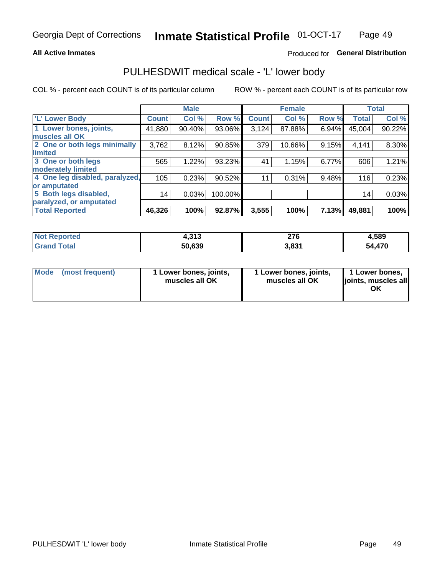#### **All Active Inmates**

## Produced for General Distribution

# PULHESDWIT medical scale - 'L' lower body

COL % - percent each COUNT is of its particular column

|                                |              | <b>Male</b> |         |              | <b>Female</b> |       |              | <b>Total</b> |
|--------------------------------|--------------|-------------|---------|--------------|---------------|-------|--------------|--------------|
| 'L' Lower Body                 | <b>Count</b> | Col %       | Row %   | <b>Count</b> | Col %         | Row % | <b>Total</b> | Col %        |
| 1 Lower bones, joints,         | 41,880       | 90.40%      | 93.06%  | 3,124        | 87.88%        | 6.94% | 45,004       | 90.22%       |
| muscles all OK                 |              |             |         |              |               |       |              |              |
| 2 One or both legs minimally   | 3,762        | 8.12%       | 90.85%  | 379          | 10.66%        | 9.15% | 4,141        | 8.30%        |
| limited                        |              |             |         |              |               |       |              |              |
| 3 One or both legs             | 565          | 1.22%       | 93.23%  | 41           | 1.15%         | 6.77% | 606          | 1.21%        |
| moderately limited             |              |             |         |              |               |       |              |              |
| 4 One leg disabled, paralyzed, | 105          | 0.23%       | 90.52%  | 11           | 0.31%         | 9.48% | 116          | 0.23%        |
| or amputated                   |              |             |         |              |               |       |              |              |
| 5 Both legs disabled,          | 14           | 0.03%       | 100.00% |              |               |       | 14           | 0.03%        |
| paralyzed, or amputated        |              |             |         |              |               |       |              |              |
| <b>Total Reported</b>          | 46,326       | 100%        | 92.87%  | 3,555        | 100%          | 7.13% | 49,881       | 100%         |

| <b>Not Reported</b> | 242<br>4.919 | 276   | 4,589  |
|---------------------|--------------|-------|--------|
| <b>Grand Total</b>  | 50,639       | 3,831 | 54,470 |

| Mode (most frequent) | 1 Lower bones, joints,<br>muscles all OK | 1 Lower bones, joints,<br>muscles all OK | 1 Lower bones,<br>joints, muscles all<br>ОK |
|----------------------|------------------------------------------|------------------------------------------|---------------------------------------------|
|----------------------|------------------------------------------|------------------------------------------|---------------------------------------------|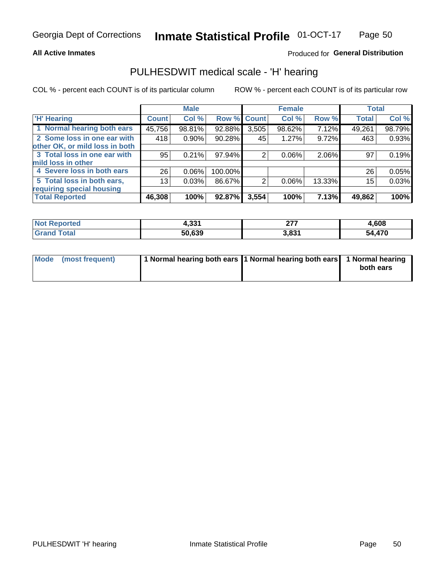### **All Active Inmates**

## Produced for General Distribution

## PULHESDWIT medical scale - 'H' hearing

COL % - percent each COUNT is of its particular column

|                                |                 | <b>Male</b> |                    |       | <b>Female</b> |        | <b>Total</b> |        |
|--------------------------------|-----------------|-------------|--------------------|-------|---------------|--------|--------------|--------|
| <b>'H' Hearing</b>             | <b>Count</b>    | Col %       | <b>Row % Count</b> |       | Col %         | Row %  | <b>Total</b> | Col %  |
| 1 Normal hearing both ears     | 45,756          | 98.81%      | 92.88%             | 3,505 | 98.62%        | 7.12%  | 49,261       | 98.79% |
| 2 Some loss in one ear with    | 418             | 0.90%       | 90.28%             | 45    | 1.27%         | 9.72%  | 463          | 0.93%  |
| other OK, or mild loss in both |                 |             |                    |       |               |        |              |        |
| 3 Total loss in one ear with   | 95              | 0.21%       | 97.94%             | 2     | $0.06\%$      | 2.06%  | 97           | 0.19%  |
| mild loss in other             |                 |             |                    |       |               |        |              |        |
| 4 Severe loss in both ears     | 26              | 0.06%       | 100.00%            |       |               |        | 26           | 0.05%  |
| 5 Total loss in both ears,     | 13 <sub>1</sub> | 0.03%       | 86.67%             | 2     | $0.06\%$      | 13.33% | 15           | 0.03%  |
| requiring special housing      |                 |             |                    |       |               |        |              |        |
| <b>Total Reported</b>          | 46,308          | 100%        | 92.87%             | 3,554 | 100%          | 7.13%  | 49,862       | 100%   |

| <b>Not Reno</b><br><b>roorted</b> | $\sim$<br>7.JJ | ^77<br>--- | .608   |
|-----------------------------------|----------------|------------|--------|
| Total                             | 50,639         | 3,831      | 54,470 |

| Mode (most frequent) | 1 Normal hearing both ears 1 Normal hearing both ears 1 Normal hearing | both ears |
|----------------------|------------------------------------------------------------------------|-----------|
|                      |                                                                        |           |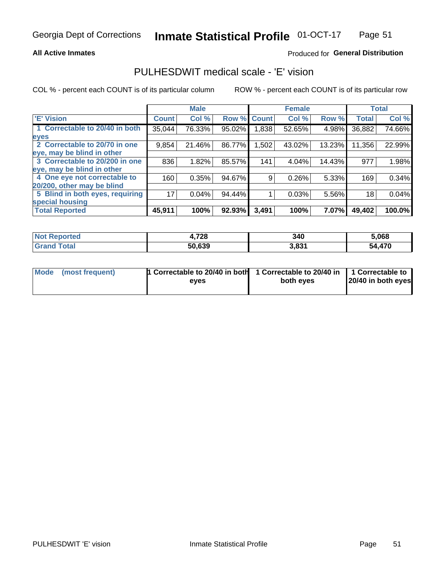### **All Active Inmates**

## Produced for General Distribution

## PULHESDWIT medical scale - 'E' vision

COL % - percent each COUNT is of its particular column

|                                 |              | <b>Male</b> |        |              | <b>Female</b> |        |              | <b>Total</b> |
|---------------------------------|--------------|-------------|--------|--------------|---------------|--------|--------------|--------------|
| <b>E' Vision</b>                | <b>Count</b> | Col %       | Row %  | <b>Count</b> | Col %         | Row %  | <b>Total</b> | Col %        |
| 1 Correctable to 20/40 in both  | 35,044       | 76.33%      | 95.02% | ,838         | 52.65%        | 4.98%  | 36,882       | 74.66%       |
| eyes                            |              |             |        |              |               |        |              |              |
| 2 Correctable to 20/70 in one   | 9,854        | 21.46%      | 86.77% | 1,502        | 43.02%        | 13.23% | 11,356       | 22.99%       |
| eye, may be blind in other      |              |             |        |              |               |        |              |              |
| 3 Correctable to 20/200 in one  | 836          | 1.82%       | 85.57% | 141          | 4.04%         | 14.43% | 977          | 1.98%        |
| eye, may be blind in other      |              |             |        |              |               |        |              |              |
| 4 One eye not correctable to    | 160          | 0.35%       | 94.67% | 9.           | 0.26%         | 5.33%  | 169          | 0.34%        |
| 20/200, other may be blind      |              |             |        |              |               |        |              |              |
| 5 Blind in both eyes, requiring | 17           | 0.04%       | 94.44% |              | 0.03%         | 5.56%  | 18           | 0.04%        |
| special housing                 |              |             |        |              |               |        |              |              |
| <b>Total Reported</b>           | 45,911       | 100%        | 92.93% | 3,491        | 100%          | 7.07%  | 49,402       | 100.0%       |

| <b>Not Reported</b> | 4,728  | 340   | 5,068       |
|---------------------|--------|-------|-------------|
| Гоtal<br>.Gran      | 50,639 | 3,831 | ,470<br>'nΔ |

| Mode (most frequent) | 1 Correctable to 20/40 in both<br>eves | 1 Correctable to 20/40 in   1 Correctable to  <br>both eves | 20/40 in both eyes |
|----------------------|----------------------------------------|-------------------------------------------------------------|--------------------|
|                      |                                        |                                                             |                    |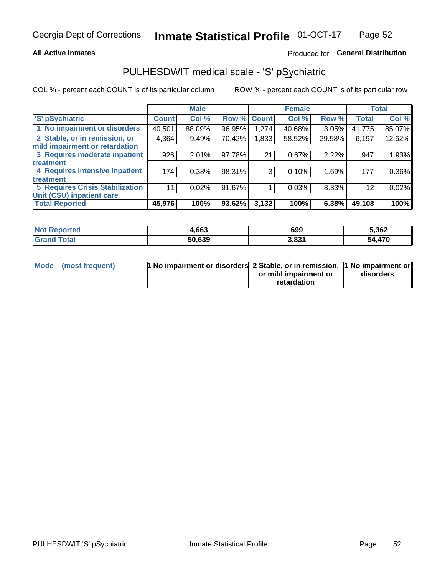### **All Active Inmates**

## Produced for General Distribution

# PULHESDWIT medical scale - 'S' pSychiatric

COL % - percent each COUNT is of its particular column

|                                        |              | <b>Male</b> |        |              | <b>Female</b> |        |              | <b>Total</b> |
|----------------------------------------|--------------|-------------|--------|--------------|---------------|--------|--------------|--------------|
| 'S' pSychiatric                        | <b>Count</b> | Col %       | Row %  | <b>Count</b> | Col %         | Row %  | <b>Total</b> | Col %        |
| 1 No impairment or disorders           | 40,501       | 88.09%      | 96.95% | 1,274        | 40.68%        | 3.05%  | 41,775       | 85.07%       |
| 2 Stable, or in remission, or          | 4,364        | 9.49%       | 70.42% | 1,833        | 58.52%        | 29.58% | 6,197        | 12.62%       |
| mild impairment or retardation         |              |             |        |              |               |        |              |              |
| 3 Requires moderate inpatient          | 926          | 2.01%       | 97.78% | 21           | 0.67%         | 2.22%  | 947          | 1.93%        |
| treatment                              |              |             |        |              |               |        |              |              |
| 4 Requires intensive inpatient         | 174          | 0.38%       | 98.31% | 3            | 0.10%         | 1.69%  | 177          | 0.36%        |
| treatment                              |              |             |        |              |               |        |              |              |
| <b>5 Requires Crisis Stabilization</b> | 11           | 0.02%       | 91.67% |              | 0.03%         | 8.33%  | 12           | 0.02%        |
| Unit (CSU) inpatient care              |              |             |        |              |               |        |              |              |
| <b>Total Reported</b>                  | 45,976       | 100%        | 93.62% | 3,132        | 100%          | 6.38%  | 49,108       | 100%         |

| <b>Not Reported</b>   | 4,663  | 699   | 5,362      |
|-----------------------|--------|-------|------------|
| Total<br><b>Grand</b> | 50,639 | 3,831 | .470<br>٠л |

| Mode (most frequent) | <b>1 No impairment or disorders 2 Stable, or in remission, 1 No impairment or</b> |                       |           |
|----------------------|-----------------------------------------------------------------------------------|-----------------------|-----------|
|                      |                                                                                   | or mild impairment or | disorders |
|                      |                                                                                   | retardation           |           |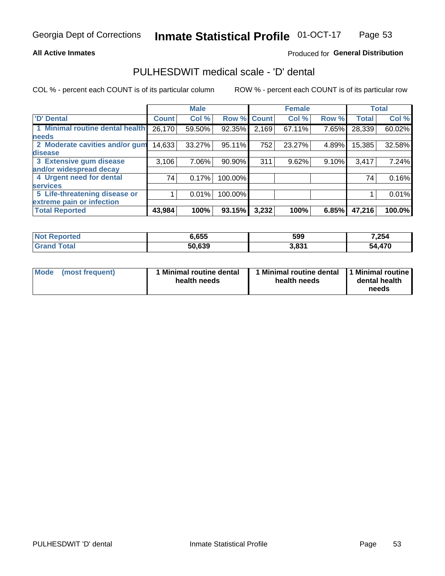### **All Active Inmates**

## Produced for General Distribution

# PULHESDWIT medical scale - 'D' dental

COL % - percent each COUNT is of its particular column

|                                 |              | <b>Male</b> |         |              | <b>Female</b> |       |              | <b>Total</b> |
|---------------------------------|--------------|-------------|---------|--------------|---------------|-------|--------------|--------------|
| <b>D' Dental</b>                | <b>Count</b> | Col %       | Row %   | <b>Count</b> | Col %         | Row % | <b>Total</b> | Col %        |
| 1 Minimal routine dental health | 26,170       | 59.50%      | 92.35%  | 2,169        | 67.11%        | 7.65% | 28,339       | 60.02%       |
| <b>needs</b>                    |              |             |         |              |               |       |              |              |
| 2 Moderate cavities and/or gum  | 14,633       | 33.27%      | 95.11%  | 752          | 23.27%        | 4.89% | 15,385       | 32.58%       |
| disease                         |              |             |         |              |               |       |              |              |
| 3 Extensive gum disease         | 3,106        | 7.06%       | 90.90%  | 311          | 9.62%         | 9.10% | 3,417        | 7.24%        |
| and/or widespread decay         |              |             |         |              |               |       |              |              |
| 4 Urgent need for dental        | 74           | 0.17%       | 100.00% |              |               |       | 74           | 0.16%        |
| <b>services</b>                 |              |             |         |              |               |       |              |              |
| 5 Life-threatening disease or   |              | 0.01%       | 100.00% |              |               |       |              | 0.01%        |
| extreme pain or infection       |              |             |         |              |               |       |              |              |
| <b>Total Reported</b>           | 43,984       | 100%        | 93.15%  | 3,232        | 100%          | 6.85% | 47,216       | 100.0%       |

| <b>Not Reported</b>    | 6,655  | 599   | 7,254  |
|------------------------|--------|-------|--------|
| <b>Total</b><br>'Grand | 50,639 | 3,831 | 54,470 |

| Mode<br><b>Minimal routine dental</b><br>(most frequent)<br>health needs | 1 Minimal routine dental<br>health needs | 1 Minimal routine<br>dental health<br>needs |
|--------------------------------------------------------------------------|------------------------------------------|---------------------------------------------|
|--------------------------------------------------------------------------|------------------------------------------|---------------------------------------------|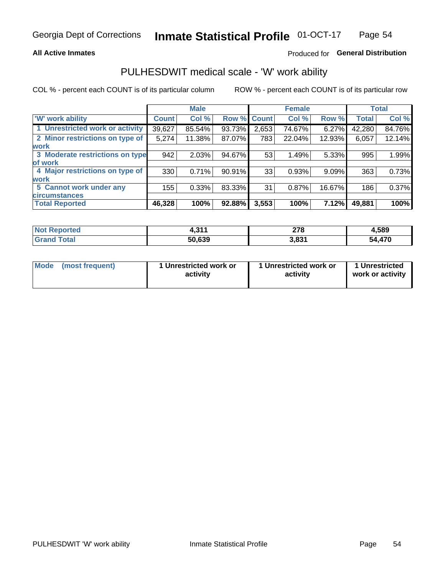### **All Active Inmates**

## Produced for General Distribution

# PULHESDWIT medical scale - 'W' work ability

COL % - percent each COUNT is of its particular column

|                                 |                    | <b>Male</b> |        |             | <b>Female</b> |        |              | <b>Total</b> |
|---------------------------------|--------------------|-------------|--------|-------------|---------------|--------|--------------|--------------|
| 'W' work ability                | Count <sup>'</sup> | Col %       |        | Row % Count | Col %         | Row %  | <b>Total</b> | Col %        |
| 1 Unrestricted work or activity | 39,627             | 85.54%      | 93.73% | 2,653       | 74.67%        | 6.27%  | 42,280       | 84.76%       |
| 2 Minor restrictions on type of | 5,274              | 11.38%      | 87.07% | 783         | 22.04%        | 12.93% | 6,057        | 12.14%       |
| <b>work</b>                     |                    |             |        |             |               |        |              |              |
| 3 Moderate restrictions on type | 942                | 2.03%       | 94.67% | 53          | 1.49%         | 5.33%  | 995          | 1.99%        |
| lof work                        |                    |             |        |             |               |        |              |              |
| 4 Major restrictions on type of | 330                | 0.71%       | 90.91% | 33          | 0.93%         | 9.09%  | 363          | 0.73%        |
| <b>work</b>                     |                    |             |        |             |               |        |              |              |
| 5 Cannot work under any         | 155                | 0.33%       | 83.33% | 31          | 0.87%         | 16.67% | 186          | 0.37%        |
| <b>circumstances</b>            |                    |             |        |             |               |        |              |              |
| <b>Total Reported</b>           | 46,328             | 100%        | 92.88% | 3,553       | 100%          | 7.12%  | 49,881       | 100%         |

| <b>Not Reported</b> | 244<br>. . | 270<br>210 | 1,589      |
|---------------------|------------|------------|------------|
| Total<br>Grand      | 50,639     | 3,831      | ,470<br>54 |

| <b>Mode</b>     | 1 Unrestricted work or | 1 Unrestricted work or | 1 Unrestricted   |
|-----------------|------------------------|------------------------|------------------|
| (most frequent) | activity               | activity               | work or activity |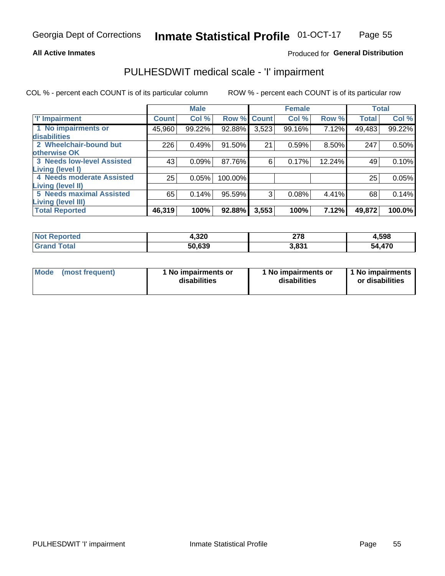### **All Active Inmates**

## Produced for General Distribution

# PULHESDWIT medical scale - 'I' impairment

COL % - percent each COUNT is of its particular column

|                                                              |              | <b>Male</b> |         |             | <b>Female</b> |        |              | <b>Total</b> |
|--------------------------------------------------------------|--------------|-------------|---------|-------------|---------------|--------|--------------|--------------|
| <b>T' Impairment</b>                                         | <b>Count</b> | Col %       |         | Row % Count | Col %         | Row %  | <b>Total</b> | Col %        |
| 1 No impairments or<br>disabilities                          | 45,960       | 99.22%      | 92.88%  | 3,523       | 99.16%        | 7.12%  | 49,483       | 99.22%       |
| 2 Wheelchair-bound but<br>otherwise OK                       | 226          | 0.49%       | 91.50%  | 21          | 0.59%         | 8.50%  | 247          | 0.50%        |
| <b>3 Needs low-level Assisted</b><br>Living (level I)        | 43           | 0.09%       | 87.76%  | 6           | 0.17%         | 12.24% | 49           | 0.10%        |
| 4 Needs moderate Assisted<br><b>Living (level II)</b>        | 25           | 0.05%       | 100.00% |             |               |        | 25           | 0.05%        |
| <b>5 Needs maximal Assisted</b><br><b>Living (level III)</b> | 65           | 0.14%       | 95.59%  | 3           | 0.08%         | 4.41%  | 68           | 0.14%        |
| <b>Total Reported</b>                                        | 46,319       | 100%        | 92.88%  | 3,553       | 100%          | 7.12%  | 49,872       | 100.0%       |

| <b>Reported</b> | 4,320  | 278<br>$\sim$ | 4,598       |
|-----------------|--------|---------------|-------------|
| Total           | 50,639 | 021<br>ა.თ    | ,470<br>'nД |

| Mode | (most frequent) | 1 No impairments or<br>disabilities | 1 No impairments or<br>disabilities | 1 No impairments<br>or disabilities |
|------|-----------------|-------------------------------------|-------------------------------------|-------------------------------------|
|------|-----------------|-------------------------------------|-------------------------------------|-------------------------------------|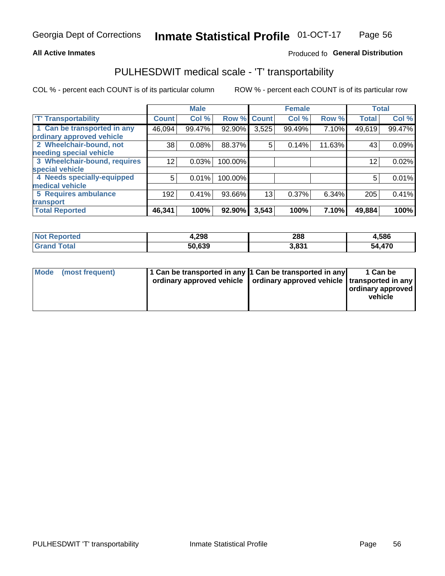### **All Active Inmates**

## Produced fo General Distribution

# PULHESDWIT medical scale - 'T' transportability

COL % - percent each COUNT is of its particular column

|                              |              | <b>Male</b> |         |              | <b>Female</b> |        |              | <b>Total</b> |
|------------------------------|--------------|-------------|---------|--------------|---------------|--------|--------------|--------------|
| <b>T' Transportability</b>   | <b>Count</b> | Col %       | Row %   | <b>Count</b> | Col %         | Row %  | <b>Total</b> | Col %        |
| 1 Can be transported in any  | 46,094       | 99.47%      | 92.90%  | 3,525        | 99.49%        | 7.10%  | 49,619       | 99.47%       |
| ordinary approved vehicle    |              |             |         |              |               |        |              |              |
| 2 Wheelchair-bound, not      | 38           | 0.08%       | 88.37%  | 5            | 0.14%         | 11.63% | 43           | 0.09%        |
| needing special vehicle      |              |             |         |              |               |        |              |              |
| 3 Wheelchair-bound, requires | 12           | 0.03%       | 100.00% |              |               |        | 12           | 0.02%        |
| special vehicle              |              |             |         |              |               |        |              |              |
| 4 Needs specially-equipped   | 5            | 0.01%       | 100.00% |              |               |        | 5            | 0.01%        |
| medical vehicle              |              |             |         |              |               |        |              |              |
| <b>5 Requires ambulance</b>  | 192          | 0.41%       | 93.66%  | 13           | 0.37%         | 6.34%  | 205          | 0.41%        |
| transport                    |              |             |         |              |               |        |              |              |
| <b>Total Reported</b>        | 46,341       | 100%        | 92.90%  | 3,543        | 100%          | 7.10%  | 49,884       | 100%         |

| orted       | 4,298  | 288          | 4,586       |
|-------------|--------|--------------|-------------|
| <b>otal</b> | 50.639 | כס פ<br>J.OJ | ,470<br>מרי |

|  | Mode (most frequent) | 1 Can be transported in any 1 Can be transported in any<br>ordinary approved vehicle   ordinary approved vehicle   transported in any |  | 1 Can be<br>  ordinary approved  <br>vehicle |
|--|----------------------|---------------------------------------------------------------------------------------------------------------------------------------|--|----------------------------------------------|
|--|----------------------|---------------------------------------------------------------------------------------------------------------------------------------|--|----------------------------------------------|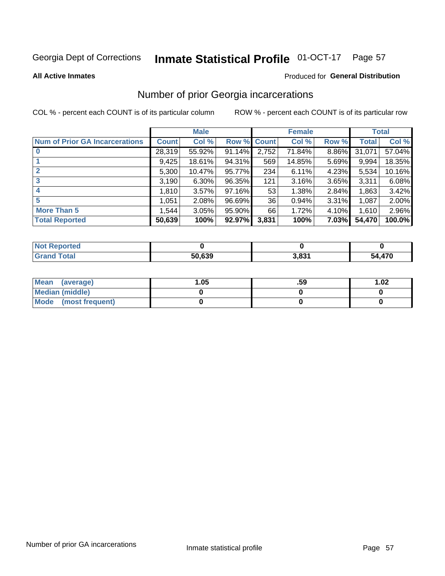#### **Inmate Statistical Profile 01-OCT-17** Page 57

#### **All Active Inmates**

### Produced for General Distribution

## Number of prior Georgia incarcerations

COL % - percent each COUNT is of its particular column

|                                       |              | <b>Male</b> |             |       | <b>Female</b> |       |        | <b>Total</b> |
|---------------------------------------|--------------|-------------|-------------|-------|---------------|-------|--------|--------------|
| <b>Num of Prior GA Incarcerations</b> | <b>Count</b> | Col %       | Row % Count |       | Col %         | Row % | Total  | Col %        |
|                                       | 28,319       | 55.92%      | 91.14%      | 2,752 | 71.84%        | 8.86% | 31,071 | 57.04%       |
|                                       | 9,425        | 18.61%      | 94.31%      | 569   | 14.85%        | 5.69% | 9,994  | 18.35%       |
| $\overline{2}$                        | 5,300        | 10.47%      | 95.77%      | 234   | 6.11%         | 4.23% | 5,534  | 10.16%       |
| 3                                     | 3,190        | $6.30\%$    | 96.35%      | 121   | 3.16%         | 3.65% | 3,311  | 6.08%        |
| $\boldsymbol{4}$                      | 1,810        | 3.57%       | 97.16%      | 53    | 1.38%         | 2.84% | 1,863  | 3.42%        |
| 5                                     | 1,051        | 2.08%       | 96.69%      | 36 I  | 0.94%         | 3.31% | 1,087  | 2.00%        |
| <b>More Than 5</b>                    | 1,544        | 3.05%       | $95.90\%$   | 66    | 1.72%         | 4.10% | 1.610  | 2.96%        |
| <b>Total Reported</b>                 | 50,639       | 100%        | 92.97%      | 3,831 | 100%          | 7.03% | 54,470 | 100.0%       |

| enorted<br>NO:   |        |      |            |
|------------------|--------|------|------------|
| <b>ota</b><br>Gr | 50,639 | ∌ מי | ,470<br>יי |

| Mean (average)       | 1.05 | .59 | 1.02 |
|----------------------|------|-----|------|
| Median (middle)      |      |     |      |
| Mode (most frequent) |      |     |      |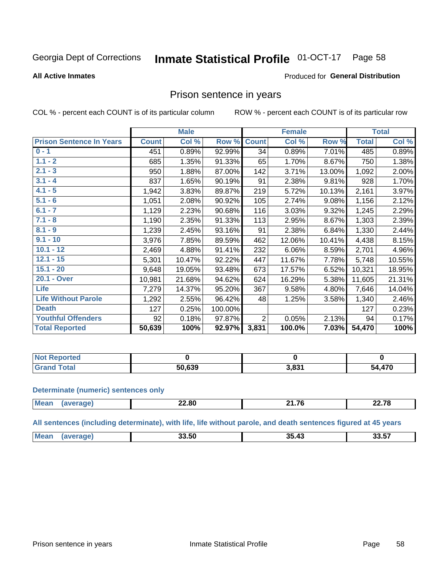#### Inmate Statistical Profile 01-OCT-17 Page 58

#### **All Active Inmates**

#### Produced for General Distribution

## Prison sentence in years

COL % - percent each COUNT is of its particular column

ROW % - percent each COUNT is of its particular row

|                                 |              | <b>Male</b> |         |                | <b>Female</b> |        |              | <b>Total</b> |
|---------------------------------|--------------|-------------|---------|----------------|---------------|--------|--------------|--------------|
| <b>Prison Sentence In Years</b> | <b>Count</b> | Col %       | Row %   | <b>Count</b>   | Col %         | Row %  | <b>Total</b> | Col %        |
| $0 - 1$                         | 451          | 0.89%       | 92.99%  | 34             | 0.89%         | 7.01%  | 485          | 0.89%        |
| $1.1 - 2$                       | 685          | 1.35%       | 91.33%  | 65             | 1.70%         | 8.67%  | 750          | 1.38%        |
| $2.1 - 3$                       | 950          | 1.88%       | 87.00%  | 142            | 3.71%         | 13.00% | 1,092        | 2.00%        |
| $3.1 - 4$                       | 837          | 1.65%       | 90.19%  | 91             | 2.38%         | 9.81%  | 928          | 1.70%        |
| $4.1 - 5$                       | 1,942        | 3.83%       | 89.87%  | 219            | 5.72%         | 10.13% | 2,161        | 3.97%        |
| $5.1 - 6$                       | 1,051        | 2.08%       | 90.92%  | 105            | 2.74%         | 9.08%  | 1,156        | 2.12%        |
| $6.1 - 7$                       | 1,129        | 2.23%       | 90.68%  | 116            | 3.03%         | 9.32%  | 1,245        | 2.29%        |
| $7.1 - 8$                       | 1,190        | 2.35%       | 91.33%  | 113            | 2.95%         | 8.67%  | 1,303        | 2.39%        |
| $8.1 - 9$                       | 1,239        | 2.45%       | 93.16%  | 91             | 2.38%         | 6.84%  | 1,330        | 2.44%        |
| $9.1 - 10$                      | 3,976        | 7.85%       | 89.59%  | 462            | 12.06%        | 10.41% | 4,438        | 8.15%        |
| $10.1 - 12$                     | 2,469        | 4.88%       | 91.41%  | 232            | 6.06%         | 8.59%  | 2,701        | 4.96%        |
| $12.1 - 15$                     | 5,301        | 10.47%      | 92.22%  | 447            | 11.67%        | 7.78%  | 5,748        | 10.55%       |
| $15.1 - 20$                     | 9,648        | 19.05%      | 93.48%  | 673            | 17.57%        | 6.52%  | 10,321       | 18.95%       |
| 20.1 - Over                     | 10,981       | 21.68%      | 94.62%  | 624            | 16.29%        | 5.38%  | 11,605       | 21.31%       |
| <b>Life</b>                     | 7,279        | 14.37%      | 95.20%  | 367            | 9.58%         | 4.80%  | 7,646        | 14.04%       |
| <b>Life Without Parole</b>      | 1,292        | 2.55%       | 96.42%  | 48             | 1.25%         | 3.58%  | 1,340        | 2.46%        |
| <b>Death</b>                    | 127          | 0.25%       | 100.00% |                |               |        | 127          | 0.23%        |
| <b>Youthful Offenders</b>       | 92           | 0.18%       | 97.87%  | $\overline{2}$ | 0.05%         | 2.13%  | 94           | 0.17%        |
| <b>Total Reported</b>           | 50,639       | 100%        | 92.97%  | 3,831          | 100.0%        | 7.03%  | 54,470       | 100%         |

| <b>Not Reported</b> |        |                   |            |
|---------------------|--------|-------------------|------------|
| $\sim$<br>. Caro    | 50.639 | 3.83 <sup>4</sup> | .470<br>٠л |

#### **Determinate (numeric) sentences only**

| <b>Mean</b> | <u>__</u><br>–∠.ŏ∪ | $\rightarrow$<br>$\sim$<br>----- | <b>00.70</b><br>,,,<br><i><u>LL.IV</u></i> |
|-------------|--------------------|----------------------------------|--------------------------------------------|
|             |                    |                                  |                                            |

All sentences (including determinate), with life, life without parole, and death sentences figured at 45 years

| <b>Me</b> | $\sim$ $\sim$ $\sim$<br>33.JU | つら<br>- -<br>$\overline{\mathbf{u}}$<br>. די | $\sim$ $-$<br>33.5 |
|-----------|-------------------------------|----------------------------------------------|--------------------|
|           |                               |                                              |                    |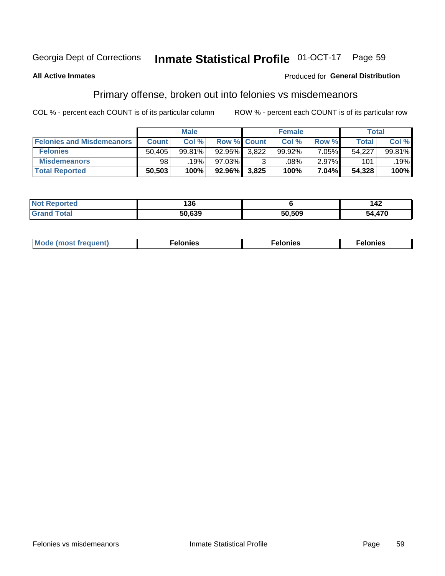#### **Inmate Statistical Profile 01-OCT-17** Page 59

### **All Active Inmates**

## **Produced for General Distribution**

# Primary offense, broken out into felonies vs misdemeanors

COL % - percent each COUNT is of its particular column

|                                  |              | <b>Male</b> |           |                    | <b>Female</b> |          | Total  |        |
|----------------------------------|--------------|-------------|-----------|--------------------|---------------|----------|--------|--------|
| <b>Felonies and Misdemeanors</b> | <b>Count</b> | Col%        |           | <b>Row % Count</b> | Col%          | Row %    | Total, | Col %  |
| <b>Felonies</b>                  | 50,405       | 99.81%      | $92.95\%$ | 3.822              | 99.92%        | $7.05\%$ | 54.227 | 99.81% |
| <b>Misdemeanors</b>              | 98           | 19%         | 97.03%    |                    | .08%          | 2.97%    | 101    | .19%   |
| <b>Total Reported</b>            | 50,503       | 100%        | 92.96%    | 3,825              | 100%          | $7.04\%$ | 54,328 | 100%   |

| <b>Not</b><br>Reported | 196<br>סכ ו |        | 42     |
|------------------------|-------------|--------|--------|
| <b>Grand</b><br>⊺otal  | 50.639      | 50.509 | 54,470 |

| Mo | ___ | 11 C.S<br>. | onies<br>. |
|----|-----|-------------|------------|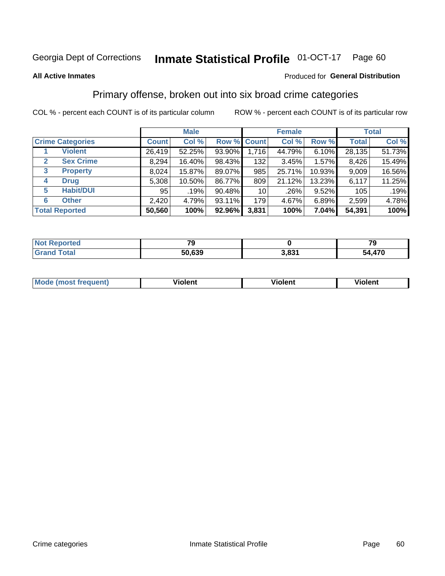#### **Inmate Statistical Profile 01-OCT-17** Page 60

#### **All Active Inmates**

### Produced for General Distribution

## Primary offense, broken out into six broad crime categories

COL % - percent each COUNT is of its particular column

|                                 | <b>Male</b>  |        |        |                 | <b>Female</b> |        | <b>Total</b> |        |  |
|---------------------------------|--------------|--------|--------|-----------------|---------------|--------|--------------|--------|--|
| <b>Crime Categories</b>         | <b>Count</b> | Col %  |        | Row % Count     | Col %         | Row %  | <b>Total</b> | Col %  |  |
| <b>Violent</b>                  | 26,419       | 52.25% | 93.90% | 1,716           | 44.79%        | 6.10%  | 28,135       | 51.73% |  |
| <b>Sex Crime</b><br>2           | 8,294        | 16.40% | 98.43% | 132             | 3.45%         | 1.57%  | 8,426        | 15.49% |  |
| $\mathbf{3}$<br><b>Property</b> | 8,024        | 15.87% | 89.07% | 985             | 25.71%        | 10.93% | 9,009        | 16.56% |  |
| <b>Drug</b><br>4                | 5,308        | 10.50% | 86.77% | 809             | 21.12%        | 13.23% | 6,117        | 11.25% |  |
| <b>Habit/DUI</b><br>5           | 95           | .19%   | 90.48% | 10 <sup>1</sup> | .26%          | 9.52%  | 105          | .19%   |  |
| <b>Other</b><br>6               | 2,420        | 4.79%  | 93.11% | 179             | 4.67%         | 6.89%  | 2,599        | 4.78%  |  |
| <b>Total Reported</b>           | 50,560       | 100%   | 92.96% | 3,831           | 100%          | 7.04%  | 54,391       | 100%   |  |

| <b>Not Reported</b>    | - -    |       | -~<br>- 3   |
|------------------------|--------|-------|-------------|
| <b>Total</b><br>'Grand | 50,639 | 3,831 | ,470<br>54. |

| M | - --<br>100011 | .<br><b>VIOIGIIL</b> | 1.91311 |
|---|----------------|----------------------|---------|
|   |                |                      |         |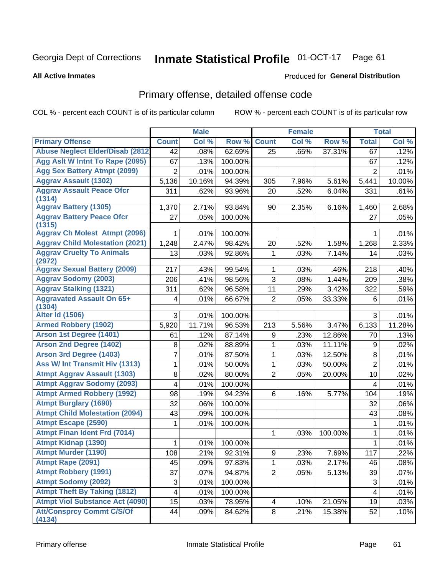#### **Inmate Statistical Profile 01-OCT-17** Page 61

#### **All Active Inmates**

#### Produced for General Distribution

# Primary offense, detailed offense code

COL % - percent each COUNT is of its particular column

| <b>Primary Offense</b><br>Col %<br>Row %<br><b>Count</b><br>Col %<br>Row %<br>Col %<br><b>Count</b><br><b>Total</b><br><b>Abuse Neglect Elder/Disab (2812)</b><br>62.69%<br>37.31%<br>42<br>.08%<br>25<br>.65%<br>.12%<br>67<br>Agg Aslt W Intnt To Rape (2095)<br>67<br>100.00%<br>.13%<br>67<br>.12%<br><b>Agg Sex Battery Atmpt (2099)</b><br>$\overline{2}$<br>$\overline{2}$<br>.01%<br>100.00%<br>.01%<br><b>Aggrav Assault (1302)</b><br>5,136<br>10.16%<br>94.39%<br>7.96%<br>5.61%<br>10.00%<br>305<br>5,441<br><b>Aggrav Assault Peace Ofcr</b><br>311<br>.62%<br>93.96%<br>.52%<br>6.04%<br>331<br>.61%<br>20<br>(1314)<br><b>Aggrav Battery (1305)</b><br>2.71%<br>93.84%<br>2.35%<br>2.68%<br>1,370<br>90<br>6.16%<br>1,460<br><b>Aggrav Battery Peace Ofcr</b><br>27<br>.05%<br>100.00%<br>.05%<br>27<br>(1315)<br><b>Aggrav Ch Molest Atmpt (2096)</b><br>100.00%<br>.01%<br>1<br>.01%<br>1<br><b>Aggrav Child Molestation (2021)</b><br>1,248<br>2.47%<br>98.42%<br>20<br>1,268<br>2.33%<br>.52%<br>1.58%<br><b>Aggrav Cruelty To Animals</b><br>92.86%<br>7.14%<br>13<br>.03%<br>1<br>.03%<br>.03%<br>14<br>(2972)<br><b>Aggrav Sexual Battery (2009)</b><br>217<br>99.54%<br>1<br>218<br>.40%<br>.43%<br>.03%<br>.46%<br><b>Aggrav Sodomy (2003)</b><br>3<br>206<br>.41%<br>98.56%<br>1.44%<br>209<br>.08%<br>.38%<br><b>Aggrav Stalking (1321)</b><br>311<br>96.58%<br>11<br>322<br>.62%<br>.29%<br>3.42%<br>.59%<br><b>Aggravated Assault On 65+</b><br>.01%<br>66.67%<br>$\overline{2}$<br>.05%<br>33.33%<br>.01%<br>4<br>6<br>(1304)<br><b>Alter Id (1506)</b><br>3<br>100.00%<br>3<br>.01%<br>.01%<br><b>Armed Robbery (1902)</b><br>11.71%<br>96.53%<br>213<br>3.47%<br>6,133<br>11.28%<br>5,920<br>5.56%<br>Arson 1st Degree (1401)<br>87.14%<br>12.86%<br>.12%<br>9<br>.23%<br>.13%<br>61<br>70<br><b>Arson 2nd Degree (1402)</b><br>88.89%<br>1<br>11.11%<br>.02%<br>8<br>.02%<br>.03%<br>9<br><b>Arson 3rd Degree (1403)</b><br>7<br>.01%<br>87.50%<br>1<br>.03%<br>12.50%<br>8<br>.01%<br>Ass W/ Int Transmit Hiv (1313)<br>$\overline{2}$<br>1<br>.01%<br>50.00%<br>1<br>.03%<br>50.00%<br>.01%<br><b>Atmpt Aggrav Assault (1303)</b><br>8<br>$\overline{2}$<br>.02%<br>80.00%<br>.05%<br>20.00%<br>10<br>.02%<br><b>Atmpt Aggrav Sodomy (2093)</b><br>4<br>100.00%<br>.01%<br>.01%<br>4<br><b>Atmpt Armed Robbery (1992)</b><br>94.23%<br>98<br>.19%<br>6<br>5.77%<br>.19%<br>.16%<br>104<br><b>Atmpt Burglary (1690)</b><br>32<br>.06%<br>100.00%<br>.06%<br>32<br><b>Atmpt Child Molestation (2094)</b><br>100.00%<br>43<br>.09%<br>.08%<br>43<br><b>Atmpt Escape (2590)</b><br>100.00%<br>.01%<br>.01%<br>1<br>1<br><b>Atmpt Finan Ident Frd (7014)</b><br>1<br>.03%<br>100.00%<br>1<br>.01%<br><b>Atmpt Kidnap (1390)</b><br>.01%<br>.01%<br>100.00%<br>1<br>1<br><b>Atmpt Murder (1190)</b><br>.21%<br>$\frac{117}{117}$<br>108<br>92.31%<br>.23%<br>7.69%<br>9<br>Atmpt Rape (2091)<br>45<br>.09%<br>97.83%<br>1<br>2.17%<br>.08%<br>.03%<br>46<br><b>Atmpt Robbery (1991)</b><br>37<br>.07%<br>94.87%<br>$\overline{2}$<br>.05%<br>5.13%<br>39<br>.07%<br><b>Atmpt Sodomy (2092)</b><br>3<br>.01%<br>3<br>.01%<br>100.00%<br><b>Atmpt Theft By Taking (1812)</b><br>$\overline{\mathbf{4}}$<br>.01%<br>100.00%<br>4<br>.01%<br><b>Atmpt Viol Substance Act (4090)</b><br>15<br>78.95%<br>.03%<br>.10%<br>21.05%<br>19<br>.03%<br>4<br><b>Att/Consprcy Commt C/S/Of</b><br>44<br>84.62%<br>8 <sup>1</sup><br>15.38%<br>.09%<br>.21%<br>52<br>.10%<br>(4134) |  | <b>Male</b> |  | <b>Female</b> |  | <b>Total</b> |
|--------------------------------------------------------------------------------------------------------------------------------------------------------------------------------------------------------------------------------------------------------------------------------------------------------------------------------------------------------------------------------------------------------------------------------------------------------------------------------------------------------------------------------------------------------------------------------------------------------------------------------------------------------------------------------------------------------------------------------------------------------------------------------------------------------------------------------------------------------------------------------------------------------------------------------------------------------------------------------------------------------------------------------------------------------------------------------------------------------------------------------------------------------------------------------------------------------------------------------------------------------------------------------------------------------------------------------------------------------------------------------------------------------------------------------------------------------------------------------------------------------------------------------------------------------------------------------------------------------------------------------------------------------------------------------------------------------------------------------------------------------------------------------------------------------------------------------------------------------------------------------------------------------------------------------------------------------------------------------------------------------------------------------------------------------------------------------------------------------------------------------------------------------------------------------------------------------------------------------------------------------------------------------------------------------------------------------------------------------------------------------------------------------------------------------------------------------------------------------------------------------------------------------------------------------------------------------------------------------------------------------------------------------------------------------------------------------------------------------------------------------------------------------------------------------------------------------------------------------------------------------------------------------------------------------------------------------------------------------------------------------------------------------------------------------------------------------------------------------------------------------------------------------------------------------------------------------------------------------------------------------------------------------------------------------------------------------------------------------------------------------------------------------------------------------------------------------------------------------------------------|--|-------------|--|---------------|--|--------------|
|                                                                                                                                                                                                                                                                                                                                                                                                                                                                                                                                                                                                                                                                                                                                                                                                                                                                                                                                                                                                                                                                                                                                                                                                                                                                                                                                                                                                                                                                                                                                                                                                                                                                                                                                                                                                                                                                                                                                                                                                                                                                                                                                                                                                                                                                                                                                                                                                                                                                                                                                                                                                                                                                                                                                                                                                                                                                                                                                                                                                                                                                                                                                                                                                                                                                                                                                                                                                                                                                                                  |  |             |  |               |  |              |
|                                                                                                                                                                                                                                                                                                                                                                                                                                                                                                                                                                                                                                                                                                                                                                                                                                                                                                                                                                                                                                                                                                                                                                                                                                                                                                                                                                                                                                                                                                                                                                                                                                                                                                                                                                                                                                                                                                                                                                                                                                                                                                                                                                                                                                                                                                                                                                                                                                                                                                                                                                                                                                                                                                                                                                                                                                                                                                                                                                                                                                                                                                                                                                                                                                                                                                                                                                                                                                                                                                  |  |             |  |               |  |              |
|                                                                                                                                                                                                                                                                                                                                                                                                                                                                                                                                                                                                                                                                                                                                                                                                                                                                                                                                                                                                                                                                                                                                                                                                                                                                                                                                                                                                                                                                                                                                                                                                                                                                                                                                                                                                                                                                                                                                                                                                                                                                                                                                                                                                                                                                                                                                                                                                                                                                                                                                                                                                                                                                                                                                                                                                                                                                                                                                                                                                                                                                                                                                                                                                                                                                                                                                                                                                                                                                                                  |  |             |  |               |  |              |
| .22%                                                                                                                                                                                                                                                                                                                                                                                                                                                                                                                                                                                                                                                                                                                                                                                                                                                                                                                                                                                                                                                                                                                                                                                                                                                                                                                                                                                                                                                                                                                                                                                                                                                                                                                                                                                                                                                                                                                                                                                                                                                                                                                                                                                                                                                                                                                                                                                                                                                                                                                                                                                                                                                                                                                                                                                                                                                                                                                                                                                                                                                                                                                                                                                                                                                                                                                                                                                                                                                                                             |  |             |  |               |  |              |
|                                                                                                                                                                                                                                                                                                                                                                                                                                                                                                                                                                                                                                                                                                                                                                                                                                                                                                                                                                                                                                                                                                                                                                                                                                                                                                                                                                                                                                                                                                                                                                                                                                                                                                                                                                                                                                                                                                                                                                                                                                                                                                                                                                                                                                                                                                                                                                                                                                                                                                                                                                                                                                                                                                                                                                                                                                                                                                                                                                                                                                                                                                                                                                                                                                                                                                                                                                                                                                                                                                  |  |             |  |               |  |              |
|                                                                                                                                                                                                                                                                                                                                                                                                                                                                                                                                                                                                                                                                                                                                                                                                                                                                                                                                                                                                                                                                                                                                                                                                                                                                                                                                                                                                                                                                                                                                                                                                                                                                                                                                                                                                                                                                                                                                                                                                                                                                                                                                                                                                                                                                                                                                                                                                                                                                                                                                                                                                                                                                                                                                                                                                                                                                                                                                                                                                                                                                                                                                                                                                                                                                                                                                                                                                                                                                                                  |  |             |  |               |  |              |
|                                                                                                                                                                                                                                                                                                                                                                                                                                                                                                                                                                                                                                                                                                                                                                                                                                                                                                                                                                                                                                                                                                                                                                                                                                                                                                                                                                                                                                                                                                                                                                                                                                                                                                                                                                                                                                                                                                                                                                                                                                                                                                                                                                                                                                                                                                                                                                                                                                                                                                                                                                                                                                                                                                                                                                                                                                                                                                                                                                                                                                                                                                                                                                                                                                                                                                                                                                                                                                                                                                  |  |             |  |               |  |              |
|                                                                                                                                                                                                                                                                                                                                                                                                                                                                                                                                                                                                                                                                                                                                                                                                                                                                                                                                                                                                                                                                                                                                                                                                                                                                                                                                                                                                                                                                                                                                                                                                                                                                                                                                                                                                                                                                                                                                                                                                                                                                                                                                                                                                                                                                                                                                                                                                                                                                                                                                                                                                                                                                                                                                                                                                                                                                                                                                                                                                                                                                                                                                                                                                                                                                                                                                                                                                                                                                                                  |  |             |  |               |  |              |
|                                                                                                                                                                                                                                                                                                                                                                                                                                                                                                                                                                                                                                                                                                                                                                                                                                                                                                                                                                                                                                                                                                                                                                                                                                                                                                                                                                                                                                                                                                                                                                                                                                                                                                                                                                                                                                                                                                                                                                                                                                                                                                                                                                                                                                                                                                                                                                                                                                                                                                                                                                                                                                                                                                                                                                                                                                                                                                                                                                                                                                                                                                                                                                                                                                                                                                                                                                                                                                                                                                  |  |             |  |               |  |              |
|                                                                                                                                                                                                                                                                                                                                                                                                                                                                                                                                                                                                                                                                                                                                                                                                                                                                                                                                                                                                                                                                                                                                                                                                                                                                                                                                                                                                                                                                                                                                                                                                                                                                                                                                                                                                                                                                                                                                                                                                                                                                                                                                                                                                                                                                                                                                                                                                                                                                                                                                                                                                                                                                                                                                                                                                                                                                                                                                                                                                                                                                                                                                                                                                                                                                                                                                                                                                                                                                                                  |  |             |  |               |  |              |
|                                                                                                                                                                                                                                                                                                                                                                                                                                                                                                                                                                                                                                                                                                                                                                                                                                                                                                                                                                                                                                                                                                                                                                                                                                                                                                                                                                                                                                                                                                                                                                                                                                                                                                                                                                                                                                                                                                                                                                                                                                                                                                                                                                                                                                                                                                                                                                                                                                                                                                                                                                                                                                                                                                                                                                                                                                                                                                                                                                                                                                                                                                                                                                                                                                                                                                                                                                                                                                                                                                  |  |             |  |               |  |              |
|                                                                                                                                                                                                                                                                                                                                                                                                                                                                                                                                                                                                                                                                                                                                                                                                                                                                                                                                                                                                                                                                                                                                                                                                                                                                                                                                                                                                                                                                                                                                                                                                                                                                                                                                                                                                                                                                                                                                                                                                                                                                                                                                                                                                                                                                                                                                                                                                                                                                                                                                                                                                                                                                                                                                                                                                                                                                                                                                                                                                                                                                                                                                                                                                                                                                                                                                                                                                                                                                                                  |  |             |  |               |  |              |
|                                                                                                                                                                                                                                                                                                                                                                                                                                                                                                                                                                                                                                                                                                                                                                                                                                                                                                                                                                                                                                                                                                                                                                                                                                                                                                                                                                                                                                                                                                                                                                                                                                                                                                                                                                                                                                                                                                                                                                                                                                                                                                                                                                                                                                                                                                                                                                                                                                                                                                                                                                                                                                                                                                                                                                                                                                                                                                                                                                                                                                                                                                                                                                                                                                                                                                                                                                                                                                                                                                  |  |             |  |               |  |              |
|                                                                                                                                                                                                                                                                                                                                                                                                                                                                                                                                                                                                                                                                                                                                                                                                                                                                                                                                                                                                                                                                                                                                                                                                                                                                                                                                                                                                                                                                                                                                                                                                                                                                                                                                                                                                                                                                                                                                                                                                                                                                                                                                                                                                                                                                                                                                                                                                                                                                                                                                                                                                                                                                                                                                                                                                                                                                                                                                                                                                                                                                                                                                                                                                                                                                                                                                                                                                                                                                                                  |  |             |  |               |  |              |
|                                                                                                                                                                                                                                                                                                                                                                                                                                                                                                                                                                                                                                                                                                                                                                                                                                                                                                                                                                                                                                                                                                                                                                                                                                                                                                                                                                                                                                                                                                                                                                                                                                                                                                                                                                                                                                                                                                                                                                                                                                                                                                                                                                                                                                                                                                                                                                                                                                                                                                                                                                                                                                                                                                                                                                                                                                                                                                                                                                                                                                                                                                                                                                                                                                                                                                                                                                                                                                                                                                  |  |             |  |               |  |              |
|                                                                                                                                                                                                                                                                                                                                                                                                                                                                                                                                                                                                                                                                                                                                                                                                                                                                                                                                                                                                                                                                                                                                                                                                                                                                                                                                                                                                                                                                                                                                                                                                                                                                                                                                                                                                                                                                                                                                                                                                                                                                                                                                                                                                                                                                                                                                                                                                                                                                                                                                                                                                                                                                                                                                                                                                                                                                                                                                                                                                                                                                                                                                                                                                                                                                                                                                                                                                                                                                                                  |  |             |  |               |  |              |
|                                                                                                                                                                                                                                                                                                                                                                                                                                                                                                                                                                                                                                                                                                                                                                                                                                                                                                                                                                                                                                                                                                                                                                                                                                                                                                                                                                                                                                                                                                                                                                                                                                                                                                                                                                                                                                                                                                                                                                                                                                                                                                                                                                                                                                                                                                                                                                                                                                                                                                                                                                                                                                                                                                                                                                                                                                                                                                                                                                                                                                                                                                                                                                                                                                                                                                                                                                                                                                                                                                  |  |             |  |               |  |              |
|                                                                                                                                                                                                                                                                                                                                                                                                                                                                                                                                                                                                                                                                                                                                                                                                                                                                                                                                                                                                                                                                                                                                                                                                                                                                                                                                                                                                                                                                                                                                                                                                                                                                                                                                                                                                                                                                                                                                                                                                                                                                                                                                                                                                                                                                                                                                                                                                                                                                                                                                                                                                                                                                                                                                                                                                                                                                                                                                                                                                                                                                                                                                                                                                                                                                                                                                                                                                                                                                                                  |  |             |  |               |  |              |
|                                                                                                                                                                                                                                                                                                                                                                                                                                                                                                                                                                                                                                                                                                                                                                                                                                                                                                                                                                                                                                                                                                                                                                                                                                                                                                                                                                                                                                                                                                                                                                                                                                                                                                                                                                                                                                                                                                                                                                                                                                                                                                                                                                                                                                                                                                                                                                                                                                                                                                                                                                                                                                                                                                                                                                                                                                                                                                                                                                                                                                                                                                                                                                                                                                                                                                                                                                                                                                                                                                  |  |             |  |               |  |              |
|                                                                                                                                                                                                                                                                                                                                                                                                                                                                                                                                                                                                                                                                                                                                                                                                                                                                                                                                                                                                                                                                                                                                                                                                                                                                                                                                                                                                                                                                                                                                                                                                                                                                                                                                                                                                                                                                                                                                                                                                                                                                                                                                                                                                                                                                                                                                                                                                                                                                                                                                                                                                                                                                                                                                                                                                                                                                                                                                                                                                                                                                                                                                                                                                                                                                                                                                                                                                                                                                                                  |  |             |  |               |  |              |
|                                                                                                                                                                                                                                                                                                                                                                                                                                                                                                                                                                                                                                                                                                                                                                                                                                                                                                                                                                                                                                                                                                                                                                                                                                                                                                                                                                                                                                                                                                                                                                                                                                                                                                                                                                                                                                                                                                                                                                                                                                                                                                                                                                                                                                                                                                                                                                                                                                                                                                                                                                                                                                                                                                                                                                                                                                                                                                                                                                                                                                                                                                                                                                                                                                                                                                                                                                                                                                                                                                  |  |             |  |               |  |              |
|                                                                                                                                                                                                                                                                                                                                                                                                                                                                                                                                                                                                                                                                                                                                                                                                                                                                                                                                                                                                                                                                                                                                                                                                                                                                                                                                                                                                                                                                                                                                                                                                                                                                                                                                                                                                                                                                                                                                                                                                                                                                                                                                                                                                                                                                                                                                                                                                                                                                                                                                                                                                                                                                                                                                                                                                                                                                                                                                                                                                                                                                                                                                                                                                                                                                                                                                                                                                                                                                                                  |  |             |  |               |  |              |
|                                                                                                                                                                                                                                                                                                                                                                                                                                                                                                                                                                                                                                                                                                                                                                                                                                                                                                                                                                                                                                                                                                                                                                                                                                                                                                                                                                                                                                                                                                                                                                                                                                                                                                                                                                                                                                                                                                                                                                                                                                                                                                                                                                                                                                                                                                                                                                                                                                                                                                                                                                                                                                                                                                                                                                                                                                                                                                                                                                                                                                                                                                                                                                                                                                                                                                                                                                                                                                                                                                  |  |             |  |               |  |              |
|                                                                                                                                                                                                                                                                                                                                                                                                                                                                                                                                                                                                                                                                                                                                                                                                                                                                                                                                                                                                                                                                                                                                                                                                                                                                                                                                                                                                                                                                                                                                                                                                                                                                                                                                                                                                                                                                                                                                                                                                                                                                                                                                                                                                                                                                                                                                                                                                                                                                                                                                                                                                                                                                                                                                                                                                                                                                                                                                                                                                                                                                                                                                                                                                                                                                                                                                                                                                                                                                                                  |  |             |  |               |  |              |
|                                                                                                                                                                                                                                                                                                                                                                                                                                                                                                                                                                                                                                                                                                                                                                                                                                                                                                                                                                                                                                                                                                                                                                                                                                                                                                                                                                                                                                                                                                                                                                                                                                                                                                                                                                                                                                                                                                                                                                                                                                                                                                                                                                                                                                                                                                                                                                                                                                                                                                                                                                                                                                                                                                                                                                                                                                                                                                                                                                                                                                                                                                                                                                                                                                                                                                                                                                                                                                                                                                  |  |             |  |               |  |              |
|                                                                                                                                                                                                                                                                                                                                                                                                                                                                                                                                                                                                                                                                                                                                                                                                                                                                                                                                                                                                                                                                                                                                                                                                                                                                                                                                                                                                                                                                                                                                                                                                                                                                                                                                                                                                                                                                                                                                                                                                                                                                                                                                                                                                                                                                                                                                                                                                                                                                                                                                                                                                                                                                                                                                                                                                                                                                                                                                                                                                                                                                                                                                                                                                                                                                                                                                                                                                                                                                                                  |  |             |  |               |  |              |
|                                                                                                                                                                                                                                                                                                                                                                                                                                                                                                                                                                                                                                                                                                                                                                                                                                                                                                                                                                                                                                                                                                                                                                                                                                                                                                                                                                                                                                                                                                                                                                                                                                                                                                                                                                                                                                                                                                                                                                                                                                                                                                                                                                                                                                                                                                                                                                                                                                                                                                                                                                                                                                                                                                                                                                                                                                                                                                                                                                                                                                                                                                                                                                                                                                                                                                                                                                                                                                                                                                  |  |             |  |               |  |              |
|                                                                                                                                                                                                                                                                                                                                                                                                                                                                                                                                                                                                                                                                                                                                                                                                                                                                                                                                                                                                                                                                                                                                                                                                                                                                                                                                                                                                                                                                                                                                                                                                                                                                                                                                                                                                                                                                                                                                                                                                                                                                                                                                                                                                                                                                                                                                                                                                                                                                                                                                                                                                                                                                                                                                                                                                                                                                                                                                                                                                                                                                                                                                                                                                                                                                                                                                                                                                                                                                                                  |  |             |  |               |  |              |
|                                                                                                                                                                                                                                                                                                                                                                                                                                                                                                                                                                                                                                                                                                                                                                                                                                                                                                                                                                                                                                                                                                                                                                                                                                                                                                                                                                                                                                                                                                                                                                                                                                                                                                                                                                                                                                                                                                                                                                                                                                                                                                                                                                                                                                                                                                                                                                                                                                                                                                                                                                                                                                                                                                                                                                                                                                                                                                                                                                                                                                                                                                                                                                                                                                                                                                                                                                                                                                                                                                  |  |             |  |               |  |              |
|                                                                                                                                                                                                                                                                                                                                                                                                                                                                                                                                                                                                                                                                                                                                                                                                                                                                                                                                                                                                                                                                                                                                                                                                                                                                                                                                                                                                                                                                                                                                                                                                                                                                                                                                                                                                                                                                                                                                                                                                                                                                                                                                                                                                                                                                                                                                                                                                                                                                                                                                                                                                                                                                                                                                                                                                                                                                                                                                                                                                                                                                                                                                                                                                                                                                                                                                                                                                                                                                                                  |  |             |  |               |  |              |
|                                                                                                                                                                                                                                                                                                                                                                                                                                                                                                                                                                                                                                                                                                                                                                                                                                                                                                                                                                                                                                                                                                                                                                                                                                                                                                                                                                                                                                                                                                                                                                                                                                                                                                                                                                                                                                                                                                                                                                                                                                                                                                                                                                                                                                                                                                                                                                                                                                                                                                                                                                                                                                                                                                                                                                                                                                                                                                                                                                                                                                                                                                                                                                                                                                                                                                                                                                                                                                                                                                  |  |             |  |               |  |              |
|                                                                                                                                                                                                                                                                                                                                                                                                                                                                                                                                                                                                                                                                                                                                                                                                                                                                                                                                                                                                                                                                                                                                                                                                                                                                                                                                                                                                                                                                                                                                                                                                                                                                                                                                                                                                                                                                                                                                                                                                                                                                                                                                                                                                                                                                                                                                                                                                                                                                                                                                                                                                                                                                                                                                                                                                                                                                                                                                                                                                                                                                                                                                                                                                                                                                                                                                                                                                                                                                                                  |  |             |  |               |  |              |
|                                                                                                                                                                                                                                                                                                                                                                                                                                                                                                                                                                                                                                                                                                                                                                                                                                                                                                                                                                                                                                                                                                                                                                                                                                                                                                                                                                                                                                                                                                                                                                                                                                                                                                                                                                                                                                                                                                                                                                                                                                                                                                                                                                                                                                                                                                                                                                                                                                                                                                                                                                                                                                                                                                                                                                                                                                                                                                                                                                                                                                                                                                                                                                                                                                                                                                                                                                                                                                                                                                  |  |             |  |               |  |              |
|                                                                                                                                                                                                                                                                                                                                                                                                                                                                                                                                                                                                                                                                                                                                                                                                                                                                                                                                                                                                                                                                                                                                                                                                                                                                                                                                                                                                                                                                                                                                                                                                                                                                                                                                                                                                                                                                                                                                                                                                                                                                                                                                                                                                                                                                                                                                                                                                                                                                                                                                                                                                                                                                                                                                                                                                                                                                                                                                                                                                                                                                                                                                                                                                                                                                                                                                                                                                                                                                                                  |  |             |  |               |  |              |
|                                                                                                                                                                                                                                                                                                                                                                                                                                                                                                                                                                                                                                                                                                                                                                                                                                                                                                                                                                                                                                                                                                                                                                                                                                                                                                                                                                                                                                                                                                                                                                                                                                                                                                                                                                                                                                                                                                                                                                                                                                                                                                                                                                                                                                                                                                                                                                                                                                                                                                                                                                                                                                                                                                                                                                                                                                                                                                                                                                                                                                                                                                                                                                                                                                                                                                                                                                                                                                                                                                  |  |             |  |               |  |              |
|                                                                                                                                                                                                                                                                                                                                                                                                                                                                                                                                                                                                                                                                                                                                                                                                                                                                                                                                                                                                                                                                                                                                                                                                                                                                                                                                                                                                                                                                                                                                                                                                                                                                                                                                                                                                                                                                                                                                                                                                                                                                                                                                                                                                                                                                                                                                                                                                                                                                                                                                                                                                                                                                                                                                                                                                                                                                                                                                                                                                                                                                                                                                                                                                                                                                                                                                                                                                                                                                                                  |  |             |  |               |  |              |
|                                                                                                                                                                                                                                                                                                                                                                                                                                                                                                                                                                                                                                                                                                                                                                                                                                                                                                                                                                                                                                                                                                                                                                                                                                                                                                                                                                                                                                                                                                                                                                                                                                                                                                                                                                                                                                                                                                                                                                                                                                                                                                                                                                                                                                                                                                                                                                                                                                                                                                                                                                                                                                                                                                                                                                                                                                                                                                                                                                                                                                                                                                                                                                                                                                                                                                                                                                                                                                                                                                  |  |             |  |               |  |              |
|                                                                                                                                                                                                                                                                                                                                                                                                                                                                                                                                                                                                                                                                                                                                                                                                                                                                                                                                                                                                                                                                                                                                                                                                                                                                                                                                                                                                                                                                                                                                                                                                                                                                                                                                                                                                                                                                                                                                                                                                                                                                                                                                                                                                                                                                                                                                                                                                                                                                                                                                                                                                                                                                                                                                                                                                                                                                                                                                                                                                                                                                                                                                                                                                                                                                                                                                                                                                                                                                                                  |  |             |  |               |  |              |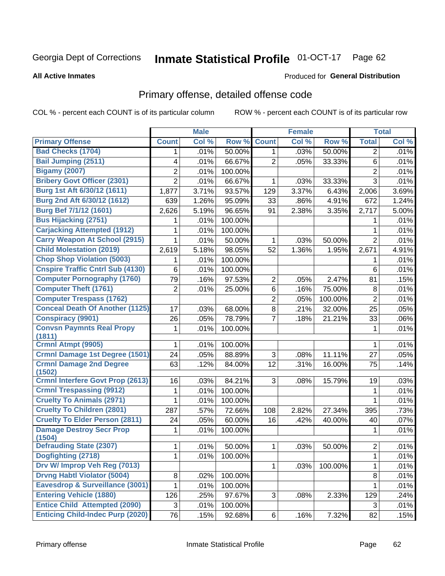#### **Inmate Statistical Profile 01-OCT-17** Page 62

#### **All Active Inmates**

#### Produced for General Distribution

# Primary offense, detailed offense code

COL % - percent each COUNT is of its particular column

|                                            |                 | <b>Male</b> |                  |                | <b>Female</b> |         |                | <b>Total</b> |
|--------------------------------------------|-----------------|-------------|------------------|----------------|---------------|---------|----------------|--------------|
| <b>Primary Offense</b>                     | <b>Count</b>    | Col %       | Row <sup>%</sup> | <b>Count</b>   | Col %         | Row %   | <b>Total</b>   | Col %        |
| <b>Bad Checks (1704)</b>                   | 1               | .01%        | 50.00%           | 1              | .03%          | 50.00%  | $\overline{2}$ | .01%         |
| <b>Bail Jumping (2511)</b>                 | 4               | .01%        | 66.67%           | 2              | .05%          | 33.33%  | 6              | .01%         |
| <b>Bigamy (2007)</b>                       | 2               | .01%        | 100.00%          |                |               |         | $\overline{c}$ | .01%         |
| <b>Bribery Govt Officer (2301)</b>         | $\overline{2}$  | .01%        | 66.67%           | 1              | .03%          | 33.33%  | 3              | .01%         |
| Burg 1st Aft 6/30/12 (1611)                | 1,877           | 3.71%       | 93.57%           | 129            | 3.37%         | 6.43%   | 2,006          | 3.69%        |
| Burg 2nd Aft 6/30/12 (1612)                | 639             | 1.26%       | 95.09%           | 33             | .86%          | 4.91%   | 672            | 1.24%        |
| Burg Bef 7/1/12 (1601)                     | 2,626           | 5.19%       | 96.65%           | 91             | 2.38%         | 3.35%   | 2,717          | 5.00%        |
| <b>Bus Hijacking (2751)</b>                | 1               | .01%        | 100.00%          |                |               |         | 1              | .01%         |
| <b>Carjacking Attempted (1912)</b>         | 1               | .01%        | 100.00%          |                |               |         | 1              | .01%         |
| <b>Carry Weapon At School (2915)</b>       | 1               | .01%        | 50.00%           | 1              | .03%          | 50.00%  | $\overline{2}$ | .01%         |
| <b>Child Molestation (2019)</b>            | 2,619           | 5.18%       | 98.05%           | 52             | 1.36%         | 1.95%   | 2,671          | 4.91%        |
| <b>Chop Shop Violation (5003)</b>          | 1               | .01%        | 100.00%          |                |               |         | 1              | .01%         |
| <b>Cnspire Traffic Cntrl Sub (4130)</b>    | 6               | .01%        | 100.00%          |                |               |         | 6              | .01%         |
| <b>Computer Pornography (1760)</b>         | 79              | .16%        | 97.53%           | $\overline{2}$ | .05%          | 2.47%   | 81             | .15%         |
| <b>Computer Theft (1761)</b>               | $\overline{2}$  | .01%        | 25.00%           | 6              | .16%          | 75.00%  | 8              | .01%         |
| <b>Computer Trespass (1762)</b>            |                 |             |                  | 2              | .05%          | 100.00% | $\overline{2}$ | .01%         |
| <b>Conceal Death Of Another (1125)</b>     | 17              | .03%        | 68.00%           | 8              | .21%          | 32.00%  | 25             | .05%         |
| <b>Conspiracy (9901)</b>                   | 26              | .05%        | 78.79%           | 7              | .18%          | 21.21%  | 33             | .06%         |
| <b>Convsn Paymnts Real Propy</b><br>(1811) | 1               | .01%        | 100.00%          |                |               |         | $\mathbf 1$    | .01%         |
| Crmnl Atmpt (9905)                         | 1               | .01%        | 100.00%          |                |               |         | 1              | .01%         |
| <b>Crmnl Damage 1st Degree (1501)</b>      | 24              | .05%        | 88.89%           | $\sqrt{3}$     | .08%          | 11.11%  | 27             | .05%         |
| <b>Crmnl Damage 2nd Degree</b><br>(1502)   | 63              | .12%        | 84.00%           | 12             | .31%          | 16.00%  | 75             | .14%         |
| <b>Crmnl Interfere Govt Prop (2613)</b>    | 16              | .03%        | 84.21%           | 3              | .08%          | 15.79%  | 19             | .03%         |
| <b>Crmnl Trespassing (9912)</b>            | 1               | .01%        | 100.00%          |                |               |         | 1              | .01%         |
| <b>Cruelty To Animals (2971)</b>           | 1               | .01%        | 100.00%          |                |               |         | 1              | .01%         |
| <b>Cruelty To Children (2801)</b>          | 287             | .57%        | 72.66%           | 108            | 2.82%         | 27.34%  | 395            | .73%         |
| <b>Cruelty To Elder Person (2811)</b>      | 24              | .05%        | 60.00%           | 16             | .42%          | 40.00%  | 40             | .07%         |
| <b>Damage Destroy Secr Prop</b><br>(1504)  | 1               | .01%        | 100.00%          |                |               |         | 1              | .01%         |
| <b>Defrauding State (2307)</b>             | $\mathbf{1}$    | .01%        | 50.00%           | 1              | .03%          | 50.00%  | $\overline{2}$ | .01%         |
| Dogfighting (2718)                         | $\mathbf 1$     | .01%        | 100.00%          |                |               |         | 1              | .01%         |
| Drv W/ Improp Veh Reg (7013)               |                 |             |                  | 1              | .03%          | 100.00% | 1              | .01%         |
| <b>Drvng Habtl Violator (5004)</b>         | 8               | .02%        | 100.00%          |                |               |         | 8              | .01%         |
| Eavesdrop & Surveillance (3001)            | $\mathbf{1}$    | .01%        | 100.00%          |                |               |         | 1.             | .01%         |
| <b>Entering Vehicle (1880)</b>             | 126             | .25%        | 97.67%           | 3              | .08%          | 2.33%   | 129            | .24%         |
| <b>Entice Child Attempted (2090)</b>       | 3               | .01%        | 100.00%          |                |               |         | 3              | .01%         |
| <b>Enticing Child-Indec Purp (2020)</b>    | $\overline{76}$ | .15%        | 92.68%           | 6              | .16%          | 7.32%   | 82             | .15%         |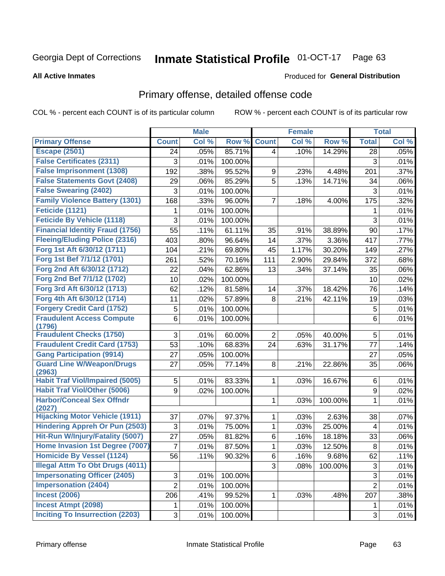#### Inmate Statistical Profile 01-OCT-17 Page 63

#### **All Active Inmates**

## **Produced for General Distribution**

## Primary offense, detailed offense code

COL % - percent each COUNT is of its particular column

|                                            |                 | <b>Male</b> |         |                | <b>Female</b> |         |                | <b>Total</b> |
|--------------------------------------------|-----------------|-------------|---------|----------------|---------------|---------|----------------|--------------|
| <b>Primary Offense</b>                     | <b>Count</b>    | Col %       | Row %   | <b>Count</b>   | Col %         | Row %   | <b>Total</b>   | Col %        |
| <b>Escape (2501)</b>                       | 24              | .05%        | 85.71%  | 4              | .10%          | 14.29%  | 28             | .05%         |
| <b>False Certificates (2311)</b>           | 3               | .01%        | 100.00% |                |               |         | 3              | .01%         |
| <b>False Imprisonment (1308)</b>           | 192             | .38%        | 95.52%  | 9              | .23%          | 4.48%   | 201            | .37%         |
| <b>False Statements Govt (2408)</b>        | 29              | .06%        | 85.29%  | 5              | .13%          | 14.71%  | 34             | .06%         |
| <b>False Swearing (2402)</b>               | 3               | .01%        | 100.00% |                |               |         | 3              | .01%         |
| <b>Family Violence Battery (1301)</b>      | 168             | .33%        | 96.00%  | 7              | .18%          | 4.00%   | 175            | .32%         |
| Feticide (1121)                            | 1               | .01%        | 100.00% |                |               |         | 1              | .01%         |
| <b>Feticide By Vehicle (1118)</b>          | 3               | .01%        | 100.00% |                |               |         | 3              | .01%         |
| <b>Financial Identity Fraud (1756)</b>     | $\overline{55}$ | .11%        | 61.11%  | 35             | .91%          | 38.89%  | 90             | .17%         |
| <b>Fleeing/Eluding Police (2316)</b>       | 403             | .80%        | 96.64%  | 14             | .37%          | 3.36%   | 417            | .77%         |
| Forg 1st Aft 6/30/12 (1711)                | 104             | .21%        | 69.80%  | 45             | 1.17%         | 30.20%  | 149            | .27%         |
| Forg 1st Bef 7/1/12 (1701)                 | 261             | .52%        | 70.16%  | 111            | 2.90%         | 29.84%  | 372            | .68%         |
| Forg 2nd Aft 6/30/12 (1712)                | 22              | .04%        | 62.86%  | 13             | .34%          | 37.14%  | 35             | .06%         |
| Forg 2nd Bef 7/1/12 (1702)                 | 10              | .02%        | 100.00% |                |               |         | 10             | .02%         |
| Forg 3rd Aft 6/30/12 (1713)                | 62              | .12%        | 81.58%  | 14             | .37%          | 18.42%  | 76             | .14%         |
| Forg 4th Aft 6/30/12 (1714)                | 11              | .02%        | 57.89%  | 8              | .21%          | 42.11%  | 19             | .03%         |
| <b>Forgery Credit Card (1752)</b>          | 5               | .01%        | 100.00% |                |               |         | 5              | .01%         |
| <b>Fraudulent Access Compute</b><br>(1796) | 6               | .01%        | 100.00% |                |               |         | $6\phantom{1}$ | .01%         |
| <b>Fraudulent Checks (1750)</b>            | 3               | .01%        | 60.00%  | $\overline{2}$ | .05%          | 40.00%  | 5              | .01%         |
| <b>Fraudulent Credit Card (1753)</b>       | 53              | .10%        | 68.83%  | 24             | .63%          | 31.17%  | 77             | .14%         |
| <b>Gang Participation (9914)</b>           | 27              | .05%        | 100.00% |                |               |         | 27             | .05%         |
| <b>Guard Line W/Weapon/Drugs</b><br>(2963) | 27              | .05%        | 77.14%  | 8              | .21%          | 22.86%  | 35             | .06%         |
| <b>Habit Traf Viol/Impaired (5005)</b>     | 5               | .01%        | 83.33%  | 1              | .03%          | 16.67%  | 6              | .01%         |
| <b>Habit Traf Viol/Other (5006)</b>        | 9               | .02%        | 100.00% |                |               |         | 9              | .02%         |
| <b>Harbor/Conceal Sex Offndr</b><br>(2027) |                 |             |         | 1              | .03%          | 100.00% | 1              | .01%         |
| <b>Hijacking Motor Vehicle (1911)</b>      | 37              | .07%        | 97.37%  | 1              | .03%          | 2.63%   | 38             | .07%         |
| <b>Hindering Appreh Or Pun (2503)</b>      | 3               | .01%        | 75.00%  | 1              | .03%          | 25.00%  | $\overline{4}$ | .01%         |
| Hit-Run W/Injury/Fatality (5007)           | 27              | .05%        | 81.82%  | 6              | .16%          | 18.18%  | 33             | .06%         |
| Home Invasion 1st Degree (7007)            | $\overline{7}$  | .01%        | 87.50%  | 1              | .03%          | 12.50%  | 8              | .01%         |
| <b>Homicide By Vessel (1124)</b>           | 56              | .11%        | 90.32%  | $6 \mid$       | .16%          | 9.68%   | 62             | .11%         |
| <b>Illegal Attm To Obt Drugs (4011)</b>    |                 |             |         | 3              | .08%          | 100.00% | 3              | .01%         |
| <b>Impersonating Officer (2405)</b>        | 3               | .01%        | 100.00% |                |               |         | $\overline{3}$ | .01%         |
| <b>Impersonation (2404)</b>                | $\overline{2}$  | .01%        | 100.00% |                |               |         | $\overline{2}$ | .01%         |
| <b>Incest (2006)</b>                       | 206             | .41%        | 99.52%  | 1              | .03%          | .48%    | 207            | .38%         |
| <b>Incest Atmpt (2098)</b>                 | 1               | .01%        | 100.00% |                |               |         | 1              | .01%         |
| <b>Inciting To Insurrection (2203)</b>     | 3               | .01%        | 100.00% |                |               |         | $\overline{3}$ | .01%         |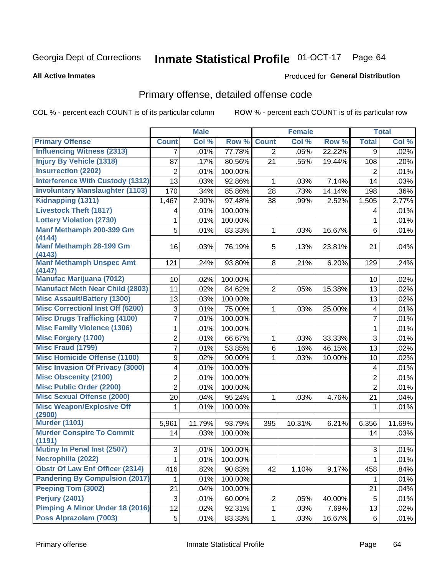#### **Inmate Statistical Profile 01-OCT-17** Page 64

#### **All Active Inmates**

#### Produced for General Distribution

# Primary offense, detailed offense code

COL % - percent each COUNT is of its particular column

|                                            |                 | <b>Male</b> |         |                | <b>Female</b> |        |                         | <b>Total</b> |
|--------------------------------------------|-----------------|-------------|---------|----------------|---------------|--------|-------------------------|--------------|
| <b>Primary Offense</b>                     | <b>Count</b>    | Col %       | Row %   | <b>Count</b>   | Col %         | Row %  | <b>Total</b>            | Col %        |
| <b>Influencing Witness (2313)</b>          | $\overline{7}$  | .01%        | 77.78%  | $\overline{2}$ | .05%          | 22.22% | 9                       | .02%         |
| <b>Injury By Vehicle (1318)</b>            | 87              | .17%        | 80.56%  | 21             | .55%          | 19.44% | 108                     | .20%         |
| <b>Insurrection (2202)</b>                 | $\overline{2}$  | .01%        | 100.00% |                |               |        | $\overline{2}$          | .01%         |
| <b>Interference With Custody (1312)</b>    | 13              | .03%        | 92.86%  | 1              | .03%          | 7.14%  | 14                      | .03%         |
| <b>Involuntary Manslaughter (1103)</b>     | 170             | .34%        | 85.86%  | 28             | .73%          | 14.14% | 198                     | .36%         |
| Kidnapping (1311)                          | 1,467           | 2.90%       | 97.48%  | 38             | .99%          | 2.52%  | 1,505                   | 2.77%        |
| <b>Livestock Theft (1817)</b>              | 4               | .01%        | 100.00% |                |               |        | 4                       | .01%         |
| <b>Lottery Violation (2730)</b>            | 1               | .01%        | 100.00% |                |               |        | 1                       | .01%         |
| Manf Methamph 200-399 Gm<br>(4144)         | 5               | .01%        | 83.33%  | 1              | .03%          | 16.67% | 6                       | .01%         |
| Manf Methamph 28-199 Gm<br>(4143)          | 16              | .03%        | 76.19%  | 5              | .13%          | 23.81% | 21                      | .04%         |
| <b>Manf Methamph Unspec Amt</b><br>(4147)  | 121             | .24%        | 93.80%  | 8 <sup>1</sup> | .21%          | 6.20%  | 129                     | .24%         |
| <b>Manufac Marijuana (7012)</b>            | 10 <sup>1</sup> | .02%        | 100.00% |                |               |        | 10                      | .02%         |
| <b>Manufact Meth Near Child (2803)</b>     | 11              | .02%        | 84.62%  | 2              | .05%          | 15.38% | 13                      | .02%         |
| <b>Misc Assault/Battery (1300)</b>         | 13              | .03%        | 100.00% |                |               |        | 13                      | .02%         |
| <b>Misc Correctionl Inst Off (6200)</b>    | 3               | .01%        | 75.00%  | 1              | .03%          | 25.00% | $\overline{\mathbf{4}}$ | .01%         |
| <b>Misc Drugs Trafficking (4100)</b>       | 7               | .01%        | 100.00% |                |               |        | $\overline{7}$          | .01%         |
| <b>Misc Family Violence (1306)</b>         | 1               | .01%        | 100.00% |                |               |        | 1                       | .01%         |
| <b>Misc Forgery (1700)</b>                 | $\overline{2}$  | .01%        | 66.67%  | 1              | .03%          | 33.33% | 3                       | .01%         |
| <b>Misc Fraud (1799)</b>                   | 7               | .01%        | 53.85%  | 6              | .16%          | 46.15% | 13                      | .02%         |
| <b>Misc Homicide Offense (1100)</b>        | 9               | .02%        | 90.00%  | 1              | .03%          | 10.00% | 10                      | .02%         |
| <b>Misc Invasion Of Privacy (3000)</b>     | 4               | .01%        | 100.00% |                |               |        | 4                       | .01%         |
| <b>Misc Obscenity (2100)</b>               | 2               | .01%        | 100.00% |                |               |        | $\overline{2}$          | .01%         |
| <b>Misc Public Order (2200)</b>            | $\overline{2}$  | .01%        | 100.00% |                |               |        | $\overline{2}$          | .01%         |
| <b>Misc Sexual Offense (2000)</b>          | 20              | .04%        | 95.24%  | 1              | .03%          | 4.76%  | 21                      | .04%         |
| <b>Misc Weapon/Explosive Off</b><br>(2900) | 1               | .01%        | 100.00% |                |               |        | 1                       | .01%         |
| <b>Murder (1101)</b>                       | 5,961           | 11.79%      | 93.79%  | 395            | 10.31%        | 6.21%  | 6,356                   | 11.69%       |
| <b>Murder Conspire To Commit</b><br>(1191) | 14              | .03%        | 100.00% |                |               |        | 14                      | .03%         |
| <b>Mutiny In Penal Inst (2507)</b>         | 3 <sup>1</sup>  | .01%        | 100.00% |                |               |        | 3                       | .01%         |
| Necrophilia (2022)                         | 1               | .01%        | 100.00% |                |               |        | 1                       | .01%         |
| <b>Obstr Of Law Enf Officer (2314)</b>     | 416             | .82%        | 90.83%  | 42             | 1.10%         | 9.17%  | 458                     | .84%         |
| <b>Pandering By Compulsion (2017)</b>      | $\mathbf{1}$    | .01%        | 100.00% |                |               |        | 1.                      | .01%         |
| Peeping Tom (3002)                         | 21              | .04%        | 100.00% |                |               |        | 21                      | .04%         |
| Perjury (2401)                             | 3               | .01%        | 60.00%  | $\overline{c}$ | .05%          | 40.00% | 5                       | .01%         |
| Pimping A Minor Under 18 (2016)            | 12              | .02%        | 92.31%  | $\mathbf 1$    | .03%          | 7.69%  | 13                      | .02%         |
| Poss Alprazolam (7003)                     | 5               | .01%        | 83.33%  | $\mathbf{1}$   | .03%          | 16.67% | 6                       | .01%         |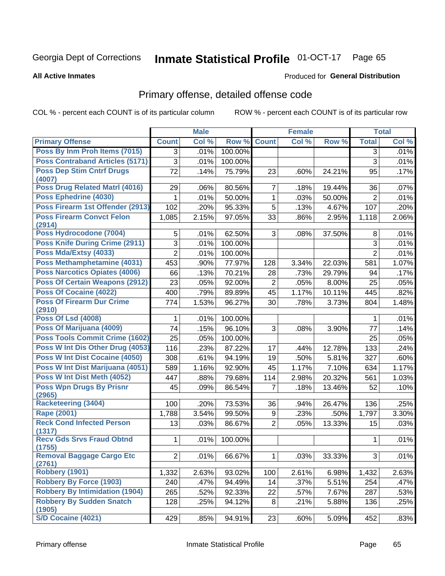#### **Inmate Statistical Profile 01-OCT-17** Page 65

#### **All Active Inmates**

#### Produced for General Distribution

# Primary offense, detailed offense code

COL % - percent each COUNT is of its particular column

|                                            |                | <b>Male</b> |         |                | <b>Female</b> |        |                | <b>Total</b> |
|--------------------------------------------|----------------|-------------|---------|----------------|---------------|--------|----------------|--------------|
| <b>Primary Offense</b>                     | <b>Count</b>   | Col %       | Row %   | <b>Count</b>   | Col %         | Row %  | <b>Total</b>   | Col %        |
| Poss By Inm Proh Items (7015)              | $\overline{3}$ | .01%        | 100.00% |                |               |        | 3              | .01%         |
| <b>Poss Contraband Articles (5171)</b>     | 3              | .01%        | 100.00% |                |               |        | $\overline{3}$ | .01%         |
| <b>Poss Dep Stim Cntrf Drugs</b><br>(4007) | 72             | .14%        | 75.79%  | 23             | .60%          | 24.21% | 95             | .17%         |
| Poss Drug Related Matrl (4016)             | 29             | .06%        | 80.56%  | $\overline{7}$ | .18%          | 19.44% | 36             | .07%         |
| Poss Ephedrine (4030)                      | 1              | .01%        | 50.00%  | 1              | .03%          | 50.00% | $\overline{2}$ | .01%         |
| Poss Firearm 1st Offender (2913)           | 102            | .20%        | 95.33%  | 5              | .13%          | 4.67%  | 107            | .20%         |
| <b>Poss Firearm Convct Felon</b><br>(2914) | 1,085          | 2.15%       | 97.05%  | 33             | .86%          | 2.95%  | 1,118          | 2.06%        |
| Poss Hydrocodone (7004)                    | 5              | .01%        | 62.50%  | 3              | .08%          | 37.50% | 8              | .01%         |
| <b>Poss Knife During Crime (2911)</b>      | $\overline{3}$ | .01%        | 100.00% |                |               |        | 3              | .01%         |
| Poss Mda/Extsy (4033)                      | $\overline{2}$ | .01%        | 100.00% |                |               |        | $\overline{2}$ | .01%         |
| Poss Methamphetamine (4031)                | 453            | .90%        | 77.97%  | 128            | 3.34%         | 22.03% | 581            | 1.07%        |
| <b>Poss Narcotics Opiates (4006)</b>       | 66             | .13%        | 70.21%  | 28             | .73%          | 29.79% | 94             | .17%         |
| <b>Poss Of Certain Weapons (2912)</b>      | 23             | .05%        | 92.00%  | $\overline{2}$ | .05%          | 8.00%  | 25             | .05%         |
| <b>Poss Of Cocaine (4022)</b>              | 400            | .79%        | 89.89%  | 45             | 1.17%         | 10.11% | 445            | .82%         |
| <b>Poss Of Firearm Dur Crime</b><br>(2910) | 774            | 1.53%       | 96.27%  | 30             | .78%          | 3.73%  | 804            | 1.48%        |
| <b>Poss Of Lsd (4008)</b>                  | 1              | .01%        | 100.00% |                |               |        | 1              | .01%         |
| Poss Of Marijuana (4009)                   | 74             | .15%        | 96.10%  | 3              | .08%          | 3.90%  | 77             | .14%         |
| Poss Tools Commit Crime (1602)             | 25             | .05%        | 100.00% |                |               |        | 25             | .05%         |
| Poss W Int Dis Other Drug (4053)           | 116            | .23%        | 87.22%  | 17             | .44%          | 12.78% | 133            | .24%         |
| <b>Poss W Int Dist Cocaine (4050)</b>      | 308            | .61%        | 94.19%  | 19             | .50%          | 5.81%  | 327            | .60%         |
| Poss W Int Dist Marijuana (4051)           | 589            | 1.16%       | 92.90%  | 45             | 1.17%         | 7.10%  | 634            | 1.17%        |
| Poss W Int Dist Meth (4052)                | 447            | .88%        | 79.68%  | 114            | 2.98%         | 20.32% | 561            | 1.03%        |
| <b>Poss Wpn Drugs By Prisnr</b><br>(2965)  | 45             | .09%        | 86.54%  | $\overline{7}$ | .18%          | 13.46% | 52             | .10%         |
| <b>Racketeering (3404)</b>                 | 100            | .20%        | 73.53%  | 36             | .94%          | 26.47% | 136            | .25%         |
| <b>Rape (2001)</b>                         | 1,788          | 3.54%       | 99.50%  | 9              | .23%          | .50%   | 1,797          | 3.30%        |
| <b>Reck Cond Infected Person</b>           | 13             | .03%        | 86.67%  | $\overline{2}$ | .05%          | 13.33% | 15             | .03%         |
| (1317)<br><b>Recy Gds Srvs Fraud Obtnd</b> |                |             |         |                |               |        |                |              |
| (1755)                                     | $\mathbf{1}$   | .01%        | 100.00% |                |               |        | 1              | .01%         |
| <b>Removal Baggage Cargo Etc</b><br>(2761) | 2              | .01%        | 66.67%  | 1              | .03%          | 33.33% | 3              | .01%         |
| <b>Robbery (1901)</b>                      | 1,332          | 2.63%       | 93.02%  | 100            | 2.61%         | 6.98%  | 1,432          | 2.63%        |
| <b>Robbery By Force (1903)</b>             | 240            | .47%        | 94.49%  | 14             | .37%          | 5.51%  | 254            | .47%         |
| <b>Robbery By Intimidation (1904)</b>      | 265            | .52%        | 92.33%  | 22             | .57%          | 7.67%  | 287            | .53%         |
| <b>Robbery By Sudden Snatch</b><br>(1905)  | 128            | .25%        | 94.12%  | 8              | .21%          | 5.88%  | 136            | .25%         |
| S/D Cocaine (4021)                         | 429            | .85%        | 94.91%  | 23             | .60%          | 5.09%  | 452            | .83%         |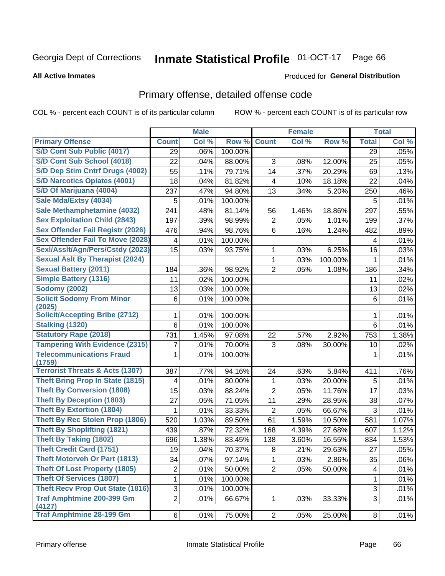#### **Inmate Statistical Profile 01-OCT-17** Page 66

#### **All Active Inmates**

#### Produced for General Distribution

# Primary offense, detailed offense code

COL % - percent each COUNT is of its particular column

|                                            |                | <b>Male</b> |         |                | <b>Female</b> |         |              | <b>Total</b> |
|--------------------------------------------|----------------|-------------|---------|----------------|---------------|---------|--------------|--------------|
| <b>Primary Offense</b>                     | <b>Count</b>   | Col %       | Row %   | <b>Count</b>   | Col %         | Row %   | <b>Total</b> | Col %        |
| S/D Cont Sub Public (4017)                 | 29             | .06%        | 100.00% |                |               |         | 29           | .05%         |
| S/D Cont Sub School (4018)                 | 22             | .04%        | 88.00%  | 3              | .08%          | 12.00%  | 25           | .05%         |
| S/D Dep Stim Cntrf Drugs (4002)            | 55             | .11%        | 79.71%  | 14             | .37%          | 20.29%  | 69           | .13%         |
| <b>S/D Narcotics Opiates (4001)</b>        | 18             | .04%        | 81.82%  | 4              | .10%          | 18.18%  | 22           | .04%         |
| S/D Of Marijuana (4004)                    | 237            | .47%        | 94.80%  | 13             | .34%          | 5.20%   | 250          | .46%         |
| Sale Mda/Extsy (4034)                      | 5              | .01%        | 100.00% |                |               |         | 5            | .01%         |
| Sale Methamphetamine (4032)                | 241            | .48%        | 81.14%  | 56             | 1.46%         | 18.86%  | 297          | .55%         |
| <b>Sex Exploitation Child (2843)</b>       | 197            | .39%        | 98.99%  | $\overline{2}$ | .05%          | 1.01%   | 199          | .37%         |
| Sex Offender Fail Registr (2026)           | 476            | .94%        | 98.76%  | 6              | .16%          | 1.24%   | 482          | .89%         |
| <b>Sex Offender Fail To Move (2028)</b>    | 4              | .01%        | 100.00% |                |               |         | 4            | .01%         |
| Sexl/Asslt/Agn/Pers/Cstdy (2023)           | 15             | .03%        | 93.75%  | 1              | .03%          | 6.25%   | 16           | .03%         |
| <b>Sexual Aslt By Therapist (2024)</b>     |                |             |         | 1              | .03%          | 100.00% | 1            | .01%         |
| <b>Sexual Battery (2011)</b>               | 184            | .36%        | 98.92%  | $\overline{2}$ | .05%          | 1.08%   | 186          | .34%         |
| <b>Simple Battery (1316)</b>               | 11             | .02%        | 100.00% |                |               |         | 11           | .02%         |
| <b>Sodomy (2002)</b>                       | 13             | .03%        | 100.00% |                |               |         | 13           | .02%         |
| <b>Solicit Sodomy From Minor</b>           | 6              | .01%        | 100.00% |                |               |         | 6            | .01%         |
| (2025)                                     |                |             |         |                |               |         |              |              |
| <b>Solicit/Accepting Bribe (2712)</b>      | 1              | .01%        | 100.00% |                |               |         | 1            | .01%         |
| <b>Stalking (1320)</b>                     | 6              | .01%        | 100.00% |                |               |         | 6            | .01%         |
| <b>Statutory Rape (2018)</b>               | 731            | 1.45%       | 97.08%  | 22             | .57%          | 2.92%   | 753          | 1.38%        |
| <b>Tampering With Evidence (2315)</b>      | 7              | .01%        | 70.00%  | 3              | .08%          | 30.00%  | 10           | .02%         |
| <b>Telecommunications Fraud</b><br>(1759)  | 1              | .01%        | 100.00% |                |               |         | 1            | .01%         |
| <b>Terrorist Threats &amp; Acts (1307)</b> | 387            | .77%        | 94.16%  | 24             | .63%          | 5.84%   | 411          | .76%         |
| <b>Theft Bring Prop In State (1815)</b>    | 4              | .01%        | 80.00%  | 1              | .03%          | 20.00%  | 5            | .01%         |
| <b>Theft By Conversion (1808)</b>          | 15             | .03%        | 88.24%  | $\overline{2}$ | .05%          | 11.76%  | 17           | .03%         |
| <b>Theft By Deception (1803)</b>           | 27             | .05%        | 71.05%  | 11             | .29%          | 28.95%  | 38           | .07%         |
| <b>Theft By Extortion (1804)</b>           | 1              | .01%        | 33.33%  | 2              | .05%          | 66.67%  | 3            | .01%         |
| <b>Theft By Rec Stolen Prop (1806)</b>     | 520            | 1.03%       | 89.50%  | 61             | 1.59%         | 10.50%  | 581          | 1.07%        |
| <b>Theft By Shoplifting (1821)</b>         | 439            | .87%        | 72.32%  | 168            | 4.39%         | 27.68%  | 607          | 1.12%        |
| Theft By Taking (1802)                     | 696            | 1.38%       | 83.45%  | 138            | 3.60%         | 16.55%  | 834          | 1.53%        |
| <b>Theft Credit Card (1751)</b>            | 19             | .04%        | 70.37%  | 8              | .21%          | 29.63%  | 27           | .05%         |
| <b>Theft Motorveh Or Part (1813)</b>       | 34             | .07%        | 97.14%  | 1              | .03%          | 2.86%   | 35           | .06%         |
| <b>Theft Of Lost Property (1805)</b>       | $\overline{c}$ | .01%        | 50.00%  | $\overline{2}$ | .05%          | 50.00%  | 4            | .01%         |
| <b>Theft Of Services (1807)</b>            | 1              | .01%        | 100.00% |                |               |         | 1            | .01%         |
| <b>Theft Recv Prop Out State (1816)</b>    | 3              | .01%        | 100.00% |                |               |         | 3            | .01%         |
| <b>Traf Amphtmine 200-399 Gm</b><br>(4127) | $\overline{2}$ | .01%        | 66.67%  | 1              | .03%          | 33.33%  | 3            | .01%         |
| <b>Traf Amphtmine 28-199 Gm</b>            | 6              | .01%        | 75.00%  | 2              | .05%          | 25.00%  | 8            | .01%         |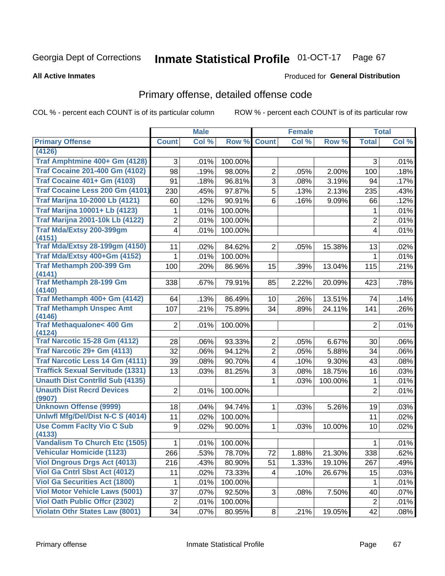#### **Inmate Statistical Profile 01-OCT-17** Page 67

#### **All Active Inmates**

#### Produced for General Distribution

# Primary offense, detailed offense code

COL % - percent each COUNT is of its particular column

|                                               |                         | <b>Male</b> |         |                 | <b>Female</b> |         |                | <b>Total</b> |
|-----------------------------------------------|-------------------------|-------------|---------|-----------------|---------------|---------|----------------|--------------|
| <b>Primary Offense</b>                        | <b>Count</b>            | Col %       | Row %   | <b>Count</b>    | Col %         | Row %   | <b>Total</b>   | Col %        |
| (4126)                                        |                         |             |         |                 |               |         |                |              |
| Traf Amphtmine 400+ Gm (4128)                 | 3                       | .01%        | 100.00% |                 |               |         | 3              | .01%         |
| <b>Traf Cocaine 201-400 Gm (4102)</b>         | 98                      | .19%        | 98.00%  | $\overline{2}$  | .05%          | 2.00%   | 100            | .18%         |
| <b>Traf Cocaine 401+ Gm (4103)</b>            | 91                      | .18%        | 96.81%  | $\overline{3}$  | .08%          | 3.19%   | 94             | .17%         |
| Traf Cocaine Less 200 Gm (4101)               | 230                     | .45%        | 97.87%  | 5               | .13%          | 2.13%   | 235            | .43%         |
| <b>Traf Marijna 10-2000 Lb (4121)</b>         | 60                      | .12%        | 90.91%  | 6               | .16%          | 9.09%   | 66             | .12%         |
| <b>Traf Marijna 10001+ Lb (4123)</b>          | 1                       | .01%        | 100.00% |                 |               |         | 1              | .01%         |
| <b>Traf Marijna 2001-10k Lb (4122)</b>        | 2                       | .01%        | 100.00% |                 |               |         | $\overline{2}$ | .01%         |
| Traf Mda/Extsy 200-399gm<br>(4151)            | 4                       | .01%        | 100.00% |                 |               |         | 4              | .01%         |
| <b>Traf Mda/Extsy 28-199gm (4150)</b>         | 11                      | .02%        | 84.62%  | $\overline{2}$  | .05%          | 15.38%  | 13             | .02%         |
| Traf Mda/Extsy 400+Gm (4152)                  | 1                       | .01%        | 100.00% |                 |               |         | 1              | .01%         |
| Traf Methamph 200-399 Gm<br>(4141)            | 100                     | .20%        | 86.96%  | 15              | .39%          | 13.04%  | 115            | .21%         |
| <b>Traf Methamph 28-199 Gm</b><br>(4140)      | 338                     | .67%        | 79.91%  | 85              | 2.22%         | 20.09%  | 423            | .78%         |
| Traf Methamph 400+ Gm (4142)                  | 64                      | .13%        | 86.49%  | 10 <sup>°</sup> | .26%          | 13.51%  | 74             | .14%         |
| <b>Traf Methamph Unspec Amt</b><br>(4146)     | 107                     | .21%        | 75.89%  | 34              | .89%          | 24.11%  | 141            | .26%         |
| <b>Traf Methaqualone&lt; 400 Gm</b><br>(4124) | $\overline{2}$          | .01%        | 100.00% |                 |               |         | $\overline{2}$ | .01%         |
| <b>Traf Narcotic 15-28 Gm (4112)</b>          | 28                      | .06%        | 93.33%  | $\overline{2}$  | .05%          | 6.67%   | 30             | .06%         |
| Traf Narcotic 29+ Gm (4113)                   | 32                      | .06%        | 94.12%  | $\overline{2}$  | .05%          | 5.88%   | 34             | .06%         |
| Traf Narcotic Less 14 Gm (4111)               | 39                      | .08%        | 90.70%  | $\overline{4}$  | .10%          | 9.30%   | 43             | .08%         |
| <b>Traffick Sexual Servitude (1331)</b>       | 13                      | .03%        | 81.25%  | 3               | .08%          | 18.75%  | 16             | .03%         |
| <b>Unauth Dist Contrild Sub (4135)</b>        |                         |             |         | 1               | .03%          | 100.00% | 1              | .01%         |
| <b>Unauth Dist Recrd Devices</b><br>(9907)    | $\overline{2}$          | .01%        | 100.00% |                 |               |         | $\overline{2}$ | .01%         |
| <b>Unknown Offense (9999)</b>                 | 18                      | .04%        | 94.74%  | $\mathbf 1$     | .03%          | 5.26%   | 19             | .03%         |
| Uniwfl Mfg/Del/Dist N-C S (4014)              | 11                      | .02%        | 100.00% |                 |               |         | 11             | .02%         |
| <b>Use Comm Facity Vio C Sub</b>              | 9                       | .02%        | 90.00%  | $\mathbf{1}$    | .03%          | 10.00%  | 10             | .02%         |
| (4133)                                        |                         |             |         |                 |               |         |                |              |
| <b>Vandalism To Church Etc (1505)</b>         | 1                       | .01%        | 100.00% |                 |               |         | 1              | .01%         |
| <b>Vehicular Homicide (1123)</b>              | 266                     | .53%        | 78.70%  | $\overline{72}$ | 1.88%         | 21.30%  | 338            | .62%         |
| <b>Viol Dngrous Drgs Act (4013)</b>           | 216                     | .43%        | 80.90%  | 51              | 1.33%         | 19.10%  | 267            | .49%         |
| Viol Ga Cntrl Sbst Act (4012)                 | 11                      | .02%        | 73.33%  | 4               | .10%          | 26.67%  | 15             | .03%         |
| <b>Viol Ga Securities Act (1800)</b>          | 1                       | .01%        | 100.00% |                 |               |         | $\mathbf 1$    | .01%         |
| <b>Viol Motor Vehicle Laws (5001)</b>         | 37                      | .07%        | 92.50%  | 3 <sup>1</sup>  | .08%          | 7.50%   | 40             | .07%         |
| <b>Viol Oath Public Offcr (2302)</b>          | $\overline{\mathbf{c}}$ | .01%        | 100.00% |                 |               |         | $\overline{2}$ | .01%         |
| <b>Violatn Othr States Law (8001)</b>         | 34                      | .07%        | 80.95%  | 8 <sup>1</sup>  | .21%          | 19.05%  | 42             | .08%         |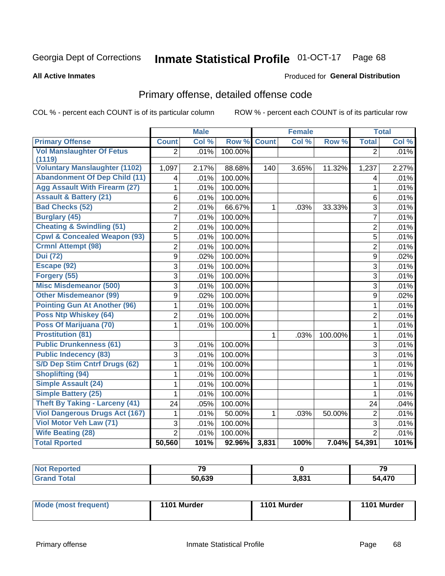#### **Inmate Statistical Profile 01-OCT-17** Page 68

#### **All Active Inmates**

#### Produced for General Distribution

# Primary offense, detailed offense code

COL % - percent each COUNT is of its particular column

|                                         |                | <b>Male</b> |         |              | <b>Female</b> |         |                | <b>Total</b> |
|-----------------------------------------|----------------|-------------|---------|--------------|---------------|---------|----------------|--------------|
| <b>Primary Offense</b>                  | <b>Count</b>   | Col %       | Row %   | <b>Count</b> | Col %         | Row %   | <b>Total</b>   | Col %        |
| <b>Vol Manslaughter Of Fetus</b>        | $\overline{2}$ | .01%        | 100.00% |              |               |         | $\overline{2}$ | .01%         |
| (1119)                                  |                |             |         |              |               |         |                |              |
| <b>Voluntary Manslaughter (1102)</b>    | 1,097          | 2.17%       | 88.68%  | 140          | 3.65%         | 11.32%  | 1,237          | 2.27%        |
| <b>Abandonment Of Dep Child (11)</b>    | 4              | .01%        | 100.00% |              |               |         | 4              | .01%         |
| <b>Agg Assault With Firearm (27)</b>    | 1              | .01%        | 100.00% |              |               |         | 1              | .01%         |
| <b>Assault &amp; Battery (21)</b>       | 6              | .01%        | 100.00% |              |               |         | 6              | .01%         |
| <b>Bad Checks (52)</b>                  | $\overline{2}$ | .01%        | 66.67%  | $\mathbf{1}$ | .03%          | 33.33%  | 3              | .01%         |
| <b>Burglary (45)</b>                    | $\overline{7}$ | .01%        | 100.00% |              |               |         | $\overline{7}$ | .01%         |
| <b>Cheating &amp; Swindling (51)</b>    | $\overline{2}$ | .01%        | 100.00% |              |               |         | $\overline{2}$ | .01%         |
| <b>Cpwl &amp; Concealed Weapon (93)</b> | $\overline{5}$ | .01%        | 100.00% |              |               |         | 5              | .01%         |
| <b>Crmnl Attempt (98)</b>               | $\overline{2}$ | .01%        | 100.00% |              |               |         | $\overline{2}$ | .01%         |
| <b>Dui</b> (72)                         | $\overline{9}$ | .02%        | 100.00% |              |               |         | 9              | .02%         |
| Escape (92)                             | $\overline{3}$ | .01%        | 100.00% |              |               |         | 3              | .01%         |
| Forgery (55)                            | 3              | .01%        | 100.00% |              |               |         | $\overline{3}$ | .01%         |
| <b>Misc Misdemeanor (500)</b>           | 3              | .01%        | 100.00% |              |               |         | 3              | .01%         |
| <b>Other Misdemeanor (99)</b>           | 9              | .02%        | 100.00% |              |               |         | 9              | .02%         |
| <b>Pointing Gun At Another (96)</b>     | 1              | .01%        | 100.00% |              |               |         | 1              | .01%         |
| Poss Ntp Whiskey (64)                   | $\overline{2}$ | .01%        | 100.00% |              |               |         | $\overline{2}$ | .01%         |
| Poss Of Marijuana (70)                  | 1              | .01%        | 100.00% |              |               |         | $\mathbf{1}$   | .01%         |
| <b>Prostitution (81)</b>                |                |             |         | $\mathbf{1}$ | .03%          | 100.00% | $\mathbf{1}$   | .01%         |
| <b>Public Drunkenness (61)</b>          | 3              | .01%        | 100.00% |              |               |         | 3              | .01%         |
| <b>Public Indecency (83)</b>            | 3              | .01%        | 100.00% |              |               |         | 3              | .01%         |
| S/D Dep Stim Cntrf Drugs (62)           | 1              | .01%        | 100.00% |              |               |         | $\mathbf{1}$   | .01%         |
| <b>Shoplifting (94)</b>                 | 1              | .01%        | 100.00% |              |               |         | 1              | .01%         |
| Simple Assault (24)                     | 1              | .01%        | 100.00% |              |               |         | $\mathbf{1}$   | .01%         |
| <b>Simple Battery (25)</b>              | 1              | .01%        | 100.00% |              |               |         | 1              | .01%         |
| <b>Theft By Taking - Larceny (41)</b>   | 24             | .05%        | 100.00% |              |               |         | 24             | .04%         |
| <b>Viol Dangerous Drugs Act (167)</b>   | 1              | .01%        | 50.00%  | $\mathbf{1}$ | .03%          | 50.00%  | $\overline{2}$ | .01%         |
| Viol Motor Veh Law (71)                 | $\overline{3}$ | .01%        | 100.00% |              |               |         | $\overline{3}$ | .01%         |
| <b>Wife Beating (28)</b>                | $\overline{2}$ | .01%        | 100.00% |              |               |         | $\overline{2}$ | .01%         |
| <b>Total Rported</b>                    | 50,560         | 101%        | 92.96%  | 3,831        | 100%          | 7.04%   | 54,391         | 101%         |

| тео    | $\mathbf{z}$ |              | - -<br>17 |
|--------|--------------|--------------|-----------|
| $\sim$ | ra coo       | <b>2.024</b> | 470       |

| Mode (most frequent) | 1101 Murder | 1101 Murder | 1101 Murder |
|----------------------|-------------|-------------|-------------|
|----------------------|-------------|-------------|-------------|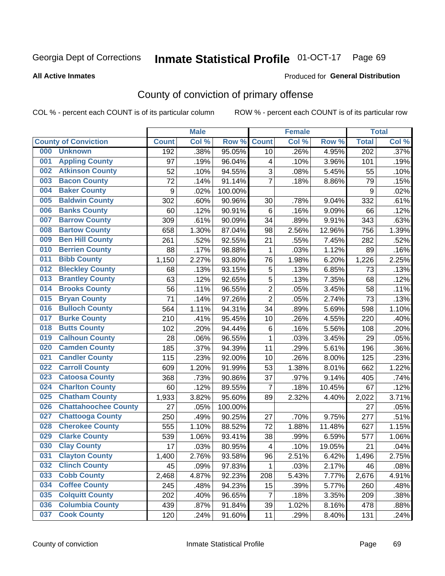# Inmate Statistical Profile 01-OCT-17 Page 69

**All Active Inmates** 

#### Produced for General Distribution

# County of conviction of primary offense

COL % - percent each COUNT is of its particular column

|     |                             |              | <b>Male</b> |         |                          | <b>Female</b> |        |                  | <b>Total</b> |
|-----|-----------------------------|--------------|-------------|---------|--------------------------|---------------|--------|------------------|--------------|
|     | <b>County of Conviction</b> | <b>Count</b> | Col %       | Row %   | <b>Count</b>             | Col %         | Row %  | <b>Total</b>     | Col %        |
| 000 | <b>Unknown</b>              | 192          | .38%        | 95.05%  | 10                       | .26%          | 4.95%  | $\overline{202}$ | .37%         |
| 001 | <b>Appling County</b>       | 97           | .19%        | 96.04%  | 4                        | .10%          | 3.96%  | 101              | .19%         |
| 002 | <b>Atkinson County</b>      | 52           | .10%        | 94.55%  | 3                        | .08%          | 5.45%  | 55               | .10%         |
| 003 | <b>Bacon County</b>         | 72           | .14%        | 91.14%  | $\overline{7}$           | .18%          | 8.86%  | 79               | .15%         |
| 004 | <b>Baker County</b>         | 9            | .02%        | 100.00% |                          |               |        | $\boldsymbol{9}$ | .02%         |
| 005 | <b>Baldwin County</b>       | 302          | .60%        | 90.96%  | 30                       | .78%          | 9.04%  | 332              | .61%         |
| 006 | <b>Banks County</b>         | 60           | .12%        | 90.91%  | 6                        | .16%          | 9.09%  | 66               | .12%         |
| 007 | <b>Barrow County</b>        | 309          | .61%        | 90.09%  | 34                       | .89%          | 9.91%  | 343              | .63%         |
| 008 | <b>Bartow County</b>        | 658          | 1.30%       | 87.04%  | 98                       | 2.56%         | 12.96% | 756              | 1.39%        |
| 009 | <b>Ben Hill County</b>      | 261          | .52%        | 92.55%  | 21                       | .55%          | 7.45%  | 282              | .52%         |
| 010 | <b>Berrien County</b>       | 88           | .17%        | 98.88%  | 1                        | .03%          | 1.12%  | 89               | .16%         |
| 011 | <b>Bibb County</b>          | 1,150        | 2.27%       | 93.80%  | 76                       | 1.98%         | 6.20%  | 1,226            | 2.25%        |
| 012 | <b>Bleckley County</b>      | 68           | .13%        | 93.15%  | 5                        | .13%          | 6.85%  | 73               | .13%         |
| 013 | <b>Brantley County</b>      | 63           | .12%        | 92.65%  | 5                        | .13%          | 7.35%  | 68               | .12%         |
| 014 | <b>Brooks County</b>        | 56           | .11%        | 96.55%  | $\overline{2}$           | .05%          | 3.45%  | 58               | .11%         |
| 015 | <b>Bryan County</b>         | 71           | .14%        | 97.26%  | $\overline{2}$           | .05%          | 2.74%  | 73               | .13%         |
| 016 | <b>Bulloch County</b>       | 564          | 1.11%       | 94.31%  | 34                       | .89%          | 5.69%  | 598              | 1.10%        |
| 017 | <b>Burke County</b>         | 210          | .41%        | 95.45%  | 10                       | .26%          | 4.55%  | 220              | .40%         |
| 018 | <b>Butts County</b>         | 102          | .20%        | 94.44%  | 6                        | .16%          | 5.56%  | 108              | .20%         |
| 019 | <b>Calhoun County</b>       | 28           | .06%        | 96.55%  | $\mathbf{1}$             | .03%          | 3.45%  | 29               | .05%         |
| 020 | <b>Camden County</b>        | 185          | .37%        | 94.39%  | 11                       | .29%          | 5.61%  | 196              | .36%         |
| 021 | <b>Candler County</b>       | 115          | .23%        | 92.00%  | 10                       | .26%          | 8.00%  | 125              | .23%         |
| 022 | <b>Carroll County</b>       | 609          | 1.20%       | 91.99%  | 53                       | 1.38%         | 8.01%  | 662              | 1.22%        |
| 023 | <b>Catoosa County</b>       | 368          | .73%        | 90.86%  | 37                       | .97%          | 9.14%  | 405              | .74%         |
| 024 | <b>Charlton County</b>      | 60           | .12%        | 89.55%  | $\overline{7}$           | .18%          | 10.45% | 67               | .12%         |
| 025 | <b>Chatham County</b>       | 1,933        | 3.82%       | 95.60%  | 89                       | 2.32%         | 4.40%  | 2,022            | 3.71%        |
| 026 | <b>Chattahoochee County</b> | 27           | .05%        | 100.00% |                          |               |        | 27               | .05%         |
| 027 | <b>Chattooga County</b>     | 250          | .49%        | 90.25%  | 27                       | .70%          | 9.75%  | 277              | .51%         |
| 028 | <b>Cherokee County</b>      | 555          | 1.10%       | 88.52%  | 72                       | 1.88%         | 11.48% | 627              | 1.15%        |
| 029 | <b>Clarke County</b>        | 539          | 1.06%       | 93.41%  | 38                       | .99%          | 6.59%  | 577              | 1.06%        |
| 030 | <b>Clay County</b>          | 17           | .03%        | 80.95%  | $\overline{\mathcal{A}}$ | .10%          | 19.05% | 21               | .04%         |
| 031 | <b>Clayton County</b>       | 1,400        | 2.76%       | 93.58%  | 96                       | 2.51%         | 6.42%  | 1,496            | 2.75%        |
| 032 | <b>Clinch County</b>        | 45           | .09%        | 97.83%  | 1                        | .03%          | 2.17%  | 46               | .08%         |
| 033 | <b>Cobb County</b>          | 2,468        | 4.87%       | 92.23%  | 208                      | 5.43%         | 7.77%  | 2,676            | 4.91%        |
| 034 | <b>Coffee County</b>        | 245          | .48%        | 94.23%  | 15                       | .39%          | 5.77%  | 260              | .48%         |
| 035 | <b>Colquitt County</b>      | 202          | .40%        | 96.65%  | 7                        | .18%          | 3.35%  | 209              | .38%         |
| 036 | <b>Columbia County</b>      | 439          | .87%        | 91.84%  | 39                       | 1.02%         | 8.16%  | 478              | .88%         |
| 037 | <b>Cook County</b>          | 120          | .24%        | 91.60%  | 11                       | .29%          | 8.40%  | 131              | .24%         |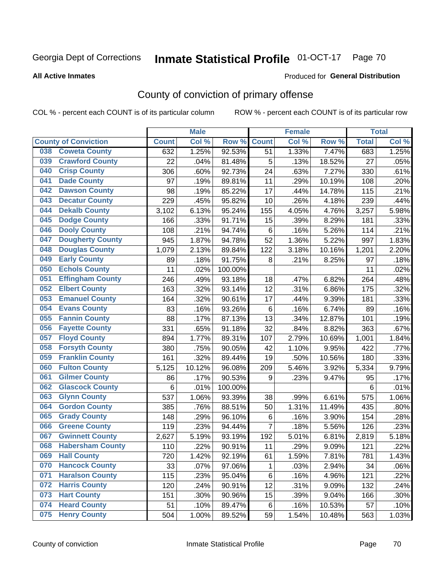# Inmate Statistical Profile 01-OCT-17 Page 70

#### **All Active Inmates**

#### Produced for General Distribution

# County of conviction of primary offense

COL % - percent each COUNT is of its particular column

|                                |              | <b>Male</b> |         |                | <b>Female</b> |        |              | <b>Total</b> |
|--------------------------------|--------------|-------------|---------|----------------|---------------|--------|--------------|--------------|
| <b>County of Conviction</b>    | <b>Count</b> | Col %       | Row %   | <b>Count</b>   | Col %         | Row %  | <b>Total</b> | Col %        |
| <b>Coweta County</b><br>038    | 632          | 1.25%       | 92.53%  | 51             | 1.33%         | 7.47%  | 683          | 1.25%        |
| <b>Crawford County</b><br>039  | 22           | .04%        | 81.48%  | 5              | .13%          | 18.52% | 27           | .05%         |
| <b>Crisp County</b><br>040     | 306          | .60%        | 92.73%  | 24             | .63%          | 7.27%  | 330          | .61%         |
| <b>Dade County</b><br>041      | 97           | .19%        | 89.81%  | 11             | .29%          | 10.19% | 108          | .20%         |
| <b>Dawson County</b><br>042    | 98           | .19%        | 85.22%  | 17             | .44%          | 14.78% | 115          | .21%         |
| 043<br><b>Decatur County</b>   | 229          | .45%        | 95.82%  | 10             | .26%          | 4.18%  | 239          | .44%         |
| <b>Dekalb County</b><br>044    | 3,102        | 6.13%       | 95.24%  | 155            | 4.05%         | 4.76%  | 3,257        | 5.98%        |
| <b>Dodge County</b><br>045     | 166          | .33%        | 91.71%  | 15             | .39%          | 8.29%  | 181          | .33%         |
| <b>Dooly County</b><br>046     | 108          | .21%        | 94.74%  | 6              | .16%          | 5.26%  | 114          | .21%         |
| 047<br><b>Dougherty County</b> | 945          | 1.87%       | 94.78%  | 52             | 1.36%         | 5.22%  | 997          | 1.83%        |
| <b>Douglas County</b><br>048   | 1,079        | 2.13%       | 89.84%  | 122            | 3.18%         | 10.16% | 1,201        | 2.20%        |
| <b>Early County</b><br>049     | 89           | .18%        | 91.75%  | 8              | .21%          | 8.25%  | 97           | .18%         |
| <b>Echols County</b><br>050    | 11           | .02%        | 100.00% |                |               |        | 11           | .02%         |
| 051<br><b>Effingham County</b> | 246          | .49%        | 93.18%  | 18             | .47%          | 6.82%  | 264          | .48%         |
| <b>Elbert County</b><br>052    | 163          | .32%        | 93.14%  | 12             | .31%          | 6.86%  | 175          | .32%         |
| <b>Emanuel County</b><br>053   | 164          | .32%        | 90.61%  | 17             | .44%          | 9.39%  | 181          | .33%         |
| <b>Evans County</b><br>054     | 83           | .16%        | 93.26%  | 6              | .16%          | 6.74%  | 89           | .16%         |
| <b>Fannin County</b><br>055    | 88           | .17%        | 87.13%  | 13             | .34%          | 12.87% | 101          | .19%         |
| <b>Fayette County</b><br>056   | 331          | .65%        | 91.18%  | 32             | .84%          | 8.82%  | 363          | .67%         |
| <b>Floyd County</b><br>057     | 894          | 1.77%       | 89.31%  | 107            | 2.79%         | 10.69% | 1,001        | 1.84%        |
| <b>Forsyth County</b><br>058   | 380          | .75%        | 90.05%  | 42             | 1.10%         | 9.95%  | 422          | .77%         |
| <b>Franklin County</b><br>059  | 161          | .32%        | 89.44%  | 19             | .50%          | 10.56% | 180          | .33%         |
| <b>Fulton County</b><br>060    | 5,125        | 10.12%      | 96.08%  | 209            | 5.46%         | 3.92%  | 5,334        | 9.79%        |
| <b>Gilmer County</b><br>061    | 86           | .17%        | 90.53%  | 9              | .23%          | 9.47%  | 95           | .17%         |
| <b>Glascock County</b><br>062  | 6            | .01%        | 100.00% |                |               |        | 6            | .01%         |
| 063<br><b>Glynn County</b>     | 537          | 1.06%       | 93.39%  | 38             | .99%          | 6.61%  | 575          | 1.06%        |
| <b>Gordon County</b><br>064    | 385          | .76%        | 88.51%  | 50             | 1.31%         | 11.49% | 435          | .80%         |
| <b>Grady County</b><br>065     | 148          | .29%        | 96.10%  | 6              | .16%          | 3.90%  | 154          | .28%         |
| <b>Greene County</b><br>066    | 119          | .23%        | 94.44%  | $\overline{7}$ | .18%          | 5.56%  | 126          | .23%         |
| <b>Gwinnett County</b><br>067  | 2,627        | 5.19%       | 93.19%  | 192            | 5.01%         | 6.81%  | 2,819        | 5.18%        |
| <b>Habersham County</b><br>068 | 110          | .22%        | 90.91%  | 11             | .29%          | 9.09%  | 121          | .22%         |
| 069<br><b>Hall County</b>      | 720          | 1.42%       | 92.19%  | 61             | 1.59%         | 7.81%  | 781          | 1.43%        |
| <b>Hancock County</b><br>070   | 33           | .07%        | 97.06%  | 1              | .03%          | 2.94%  | 34           | .06%         |
| <b>Haralson County</b><br>071  | 115          | .23%        | 95.04%  | 6              | .16%          | 4.96%  | 121          | .22%         |
| 072<br><b>Harris County</b>    | 120          | .24%        | 90.91%  | 12             | .31%          | 9.09%  | 132          | .24%         |
| <b>Hart County</b><br>073      | 151          | .30%        | 90.96%  | 15             | .39%          | 9.04%  | 166          | $.30\%$      |
| <b>Heard County</b><br>074     | 51           | .10%        | 89.47%  | 6              | .16%          | 10.53% | 57           | .10%         |
| <b>Henry County</b><br>075     | 504          | 1.00%       | 89.52%  | 59             | 1.54%         | 10.48% | 563          | 1.03%        |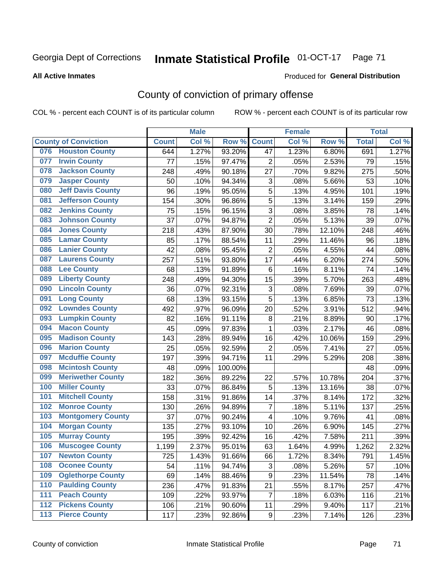# Inmate Statistical Profile 01-OCT-17 Page 71

#### **All Active Inmates**

#### Produced for General Distribution

# County of conviction of primary offense

COL % - percent each COUNT is of its particular column

|       |                             |              | <b>Male</b> |         |                           | <b>Female</b> |        |              | <b>Total</b> |
|-------|-----------------------------|--------------|-------------|---------|---------------------------|---------------|--------|--------------|--------------|
|       | <b>County of Conviction</b> | <b>Count</b> | Col %       | Row %   | <b>Count</b>              | Col %         | Row %  | <b>Total</b> | Col %        |
| 076   | <b>Houston County</b>       | 644          | 1.27%       | 93.20%  | 47                        | 1.23%         | 6.80%  | 691          | 1.27%        |
| 077   | <b>Irwin County</b>         | 77           | .15%        | 97.47%  | $\overline{2}$            | .05%          | 2.53%  | 79           | .15%         |
| 078   | <b>Jackson County</b>       | 248          | .49%        | 90.18%  | 27                        | .70%          | 9.82%  | 275          | .50%         |
| 079   | <b>Jasper County</b>        | 50           | .10%        | 94.34%  | $\ensuremath{\mathsf{3}}$ | .08%          | 5.66%  | 53           | .10%         |
| 080   | <b>Jeff Davis County</b>    | 96           | .19%        | 95.05%  | 5                         | .13%          | 4.95%  | 101          | .19%         |
| 081   | <b>Jefferson County</b>     | 154          | .30%        | 96.86%  | 5                         | .13%          | 3.14%  | 159          | .29%         |
| 082   | <b>Jenkins County</b>       | 75           | .15%        | 96.15%  | 3                         | .08%          | 3.85%  | 78           | .14%         |
| 083   | <b>Johnson County</b>       | 37           | .07%        | 94.87%  | $\overline{2}$            | .05%          | 5.13%  | 39           | .07%         |
| 084   | <b>Jones County</b>         | 218          | .43%        | 87.90%  | 30                        | .78%          | 12.10% | 248          | .46%         |
| 085   | <b>Lamar County</b>         | 85           | .17%        | 88.54%  | 11                        | .29%          | 11.46% | 96           | .18%         |
| 086   | <b>Lanier County</b>        | 42           | .08%        | 95.45%  | $\mathbf 2$               | .05%          | 4.55%  | 44           | .08%         |
| 087   | <b>Laurens County</b>       | 257          | .51%        | 93.80%  | 17                        | .44%          | 6.20%  | 274          | .50%         |
| 088   | <b>Lee County</b>           | 68           | .13%        | 91.89%  | 6                         | .16%          | 8.11%  | 74           | .14%         |
| 089   | <b>Liberty County</b>       | 248          | .49%        | 94.30%  | 15                        | .39%          | 5.70%  | 263          | .48%         |
| 090   | <b>Lincoln County</b>       | 36           | .07%        | 92.31%  | 3                         | .08%          | 7.69%  | 39           | .07%         |
| 091   | <b>Long County</b>          | 68           | .13%        | 93.15%  | 5                         | .13%          | 6.85%  | 73           | .13%         |
| 092   | <b>Lowndes County</b>       | 492          | .97%        | 96.09%  | 20                        | .52%          | 3.91%  | 512          | .94%         |
| 093   | <b>Lumpkin County</b>       | 82           | .16%        | 91.11%  | 8                         | .21%          | 8.89%  | 90           | .17%         |
| 094   | <b>Macon County</b>         | 45           | .09%        | 97.83%  | $\mathbf{1}$              | .03%          | 2.17%  | 46           | .08%         |
| 095   | <b>Madison County</b>       | 143          | .28%        | 89.94%  | 16                        | .42%          | 10.06% | 159          | .29%         |
| 096   | <b>Marion County</b>        | 25           | .05%        | 92.59%  | $\overline{2}$            | .05%          | 7.41%  | 27           | .05%         |
| 097   | <b>Mcduffie County</b>      | 197          | .39%        | 94.71%  | 11                        | .29%          | 5.29%  | 208          | .38%         |
| 098   | <b>Mcintosh County</b>      | 48           | .09%        | 100.00% |                           |               |        | 48           | .09%         |
| 099   | <b>Meriwether County</b>    | 182          | .36%        | 89.22%  | 22                        | .57%          | 10.78% | 204          | .37%         |
| 100   | <b>Miller County</b>        | 33           | .07%        | 86.84%  | 5                         | .13%          | 13.16% | 38           | .07%         |
| 101   | <b>Mitchell County</b>      | 158          | .31%        | 91.86%  | 14                        | .37%          | 8.14%  | 172          | .32%         |
| 102   | <b>Monroe County</b>        | 130          | .26%        | 94.89%  | $\overline{7}$            | .18%          | 5.11%  | 137          | .25%         |
| 103   | <b>Montgomery County</b>    | 37           | .07%        | 90.24%  | 4                         | .10%          | 9.76%  | 41           | .08%         |
| 104   | <b>Morgan County</b>        | 135          | .27%        | 93.10%  | 10                        | .26%          | 6.90%  | 145          | .27%         |
| 105   | <b>Murray County</b>        | 195          | .39%        | 92.42%  | 16                        | .42%          | 7.58%  | 211          | .39%         |
| 106   | <b>Muscogee County</b>      | 1,199        | 2.37%       | 95.01%  | 63                        | 1.64%         | 4.99%  | 1,262        | 2.32%        |
| 107   | <b>Newton County</b>        | 725          | 1.43%       | 91.66%  | 66                        | 1.72%         | 8.34%  | 791          | 1.45%        |
| 108   | <b>Oconee County</b>        | 54           | .11%        | 94.74%  | 3                         | .08%          | 5.26%  | 57           | .10%         |
| 109   | <b>Oglethorpe County</b>    | 69           | .14%        | 88.46%  | 9                         | .23%          | 11.54% | 78           | .14%         |
| 110   | <b>Paulding County</b>      | 236          | .47%        | 91.83%  | 21                        | .55%          | 8.17%  | 257          | .47%         |
| 111   | <b>Peach County</b>         | 109          | .22%        | 93.97%  | $\overline{7}$            | .18%          | 6.03%  | 116          | .21%         |
| 112   | <b>Pickens County</b>       | 106          | .21%        | 90.60%  | 11                        | .29%          | 9.40%  | 117          | .21%         |
| $113$ | <b>Pierce County</b>        | 117          | .23%        | 92.86%  | 9                         | .23%          | 7.14%  | 126          | .23%         |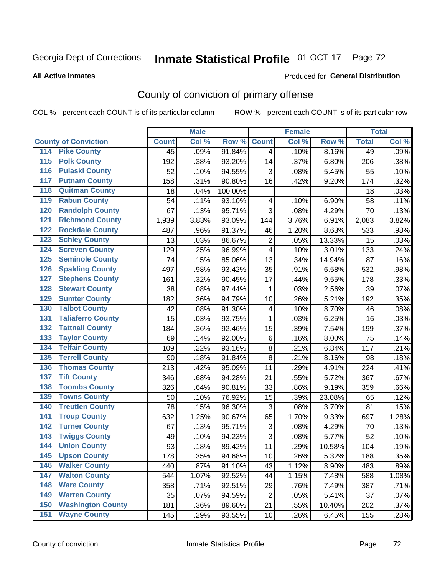# Inmate Statistical Profile 01-OCT-17 Page 72

#### **All Active Inmates**

#### Produced for General Distribution

# County of conviction of primary offense

COL % - percent each COUNT is of its particular column

|                                          |              | <b>Male</b> |         |                | <b>Female</b> |        |              | <b>Total</b> |
|------------------------------------------|--------------|-------------|---------|----------------|---------------|--------|--------------|--------------|
| <b>County of Conviction</b>              | <b>Count</b> | Col %       | Row %   | <b>Count</b>   | Col %         | Row %  | <b>Total</b> | Col %        |
| <b>Pike County</b><br>114                | 45           | .09%        | 91.84%  | $\overline{4}$ | .10%          | 8.16%  | 49           | .09%         |
| <b>Polk County</b><br>$\overline{115}$   | 192          | .38%        | 93.20%  | 14             | .37%          | 6.80%  | 206          | .38%         |
| <b>Pulaski County</b><br>116             | 52           | .10%        | 94.55%  | 3              | .08%          | 5.45%  | 55           | .10%         |
| <b>Putnam County</b><br>117              | 158          | .31%        | 90.80%  | 16             | .42%          | 9.20%  | 174          | .32%         |
| <b>Quitman County</b><br>118             | 18           | .04%        | 100.00% |                |               |        | 18           | .03%         |
| <b>Rabun County</b><br>119               | 54           | .11%        | 93.10%  | 4              | .10%          | 6.90%  | 58           | .11%         |
| <b>Randolph County</b><br>120            | 67           | .13%        | 95.71%  | 3              | .08%          | 4.29%  | 70           | .13%         |
| <b>Richmond County</b><br>121            | 1,939        | 3.83%       | 93.09%  | 144            | 3.76%         | 6.91%  | 2,083        | 3.82%        |
| <b>Rockdale County</b><br>122            | 487          | .96%        | 91.37%  | 46             | 1.20%         | 8.63%  | 533          | .98%         |
| <b>Schley County</b><br>123              | 13           | .03%        | 86.67%  | $\overline{2}$ | .05%          | 13.33% | 15           | .03%         |
| <b>Screven County</b><br>124             | 129          | .25%        | 96.99%  | 4              | .10%          | 3.01%  | 133          | .24%         |
| <b>Seminole County</b><br>125            | 74           | .15%        | 85.06%  | 13             | .34%          | 14.94% | 87           | .16%         |
| <b>Spalding County</b><br>126            | 497          | .98%        | 93.42%  | 35             | .91%          | 6.58%  | 532          | .98%         |
| <b>Stephens County</b><br>127            | 161          | .32%        | 90.45%  | 17             | .44%          | 9.55%  | 178          | .33%         |
| <b>Stewart County</b><br>128             | 38           | .08%        | 97.44%  | 1              | .03%          | 2.56%  | 39           | .07%         |
| <b>Sumter County</b><br>129              | 182          | .36%        | 94.79%  | 10             | .26%          | 5.21%  | 192          | .35%         |
| <b>Talbot County</b><br>130              | 42           | .08%        | 91.30%  | 4              | .10%          | 8.70%  | 46           | .08%         |
| <b>Taliaferro County</b><br>131          | 15           | .03%        | 93.75%  | 1              | .03%          | 6.25%  | 16           | .03%         |
| <b>Tattnall County</b><br>132            | 184          | .36%        | 92.46%  | 15             | .39%          | 7.54%  | 199          | .37%         |
| <b>Taylor County</b><br>133              | 69           | .14%        | 92.00%  | 6              | .16%          | 8.00%  | 75           | .14%         |
| <b>Telfair County</b><br>134             | 109          | .22%        | 93.16%  | 8              | .21%          | 6.84%  | 117          | .21%         |
| <b>Terrell County</b><br>135             | 90           | .18%        | 91.84%  | 8              | .21%          | 8.16%  | 98           | .18%         |
| <b>Thomas County</b><br>136              | 213          | .42%        | 95.09%  | 11             | .29%          | 4.91%  | 224          | .41%         |
| <b>Tift County</b><br>137                | 346          | .68%        | 94.28%  | 21             | .55%          | 5.72%  | 367          | .67%         |
| <b>Toombs County</b><br>138              | 326          | .64%        | 90.81%  | 33             | .86%          | 9.19%  | 359          | .66%         |
| <b>Towns County</b><br>139               | 50           | .10%        | 76.92%  | 15             | .39%          | 23.08% | 65           | .12%         |
| <b>Treutlen County</b><br>140            | 78           | .15%        | 96.30%  | 3              | .08%          | 3.70%  | 81           | .15%         |
| <b>Troup County</b><br>141               | 632          | 1.25%       | 90.67%  | 65             | 1.70%         | 9.33%  | 697          | 1.28%        |
| <b>Turner County</b><br>142              | 67           | .13%        | 95.71%  | 3              | .08%          | 4.29%  | 70           | .13%         |
| <b>Twiggs County</b><br>$\overline{143}$ | 49           | .10%        | 94.23%  | 3              | .08%          | 5.77%  | 52           | .10%         |
| <b>Union County</b><br>144               | 93           | .18%        | 89.42%  | 11             | .29%          | 10.58% | 104          | .19%         |
| 145<br><b>Upson County</b>               | 178          | .35%        | 94.68%  | 10             | .26%          | 5.32%  | 188          | .35%         |
| <b>Walker County</b><br>146              | 440          | .87%        | 91.10%  | 43             | 1.12%         | 8.90%  | 483          | .89%         |
| <b>Walton County</b><br>147              | 544          | 1.07%       | 92.52%  | 44             | 1.15%         | 7.48%  | 588          | 1.08%        |
| <b>Ware County</b><br>148                | 358          | .71%        | 92.51%  | 29             | .76%          | 7.49%  | 387          | .71%         |
| <b>Warren County</b><br>149              | 35           | .07%        | 94.59%  | $\overline{2}$ | .05%          | 5.41%  | 37           | .07%         |
| <b>Washington County</b><br>150          | 181          | .36%        | 89.60%  | 21             | .55%          | 10.40% | 202          | .37%         |
| <b>Wayne County</b><br>151               | 145          | .29%        | 93.55%  | 10             | .26%          | 6.45%  | 155          | .28%         |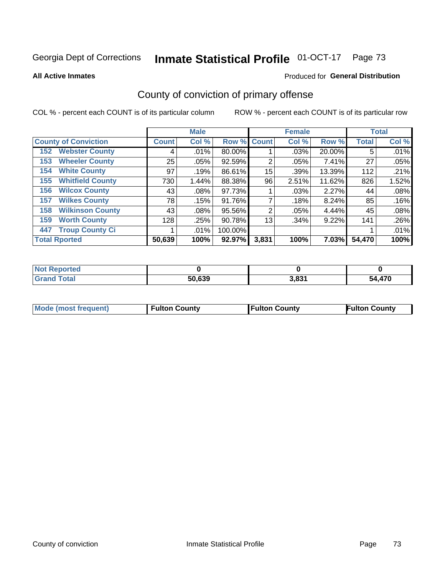# Inmate Statistical Profile 01-OCT-17 Page 73

#### **All Active Inmates**

## Produced for General Distribution

# County of conviction of primary offense

COL % - percent each COUNT is of its particular column

|                                |              | <b>Male</b> |             |                | <b>Female</b> |        |              | <b>Total</b> |
|--------------------------------|--------------|-------------|-------------|----------------|---------------|--------|--------------|--------------|
| <b>County of Conviction</b>    | <b>Count</b> | Col %       | Row % Count |                | Col %         | Row %  | <b>Total</b> | Col %        |
| <b>Webster County</b><br>152   | 4            | .01%        | 80.00%      |                | .03%          | 20.00% | 5            | .01%         |
| <b>Wheeler County</b><br>153   | 25           | .05%        | 92.59%      | 2              | .05%          | 7.41%  | 27           | .05%         |
| <b>White County</b><br>154     | 97           | .19%        | 86.61%      | 15             | .39%          | 13.39% | 112          | .21%         |
| <b>Whitfield County</b><br>155 | 730          | 1.44%       | 88.38%      | 96             | 2.51%         | 11.62% | 826          | 1.52%        |
| <b>Wilcox County</b><br>156    | 43           | $.08\%$     | 97.73%      |                | .03%          | 2.27%  | 44           | .08%         |
| <b>Wilkes County</b><br>157    | 78           | .15%        | 91.76%      | 7              | .18%          | 8.24%  | 85           | .16%         |
| <b>Wilkinson County</b><br>158 | 43           | $.08\%$     | 95.56%      | $\overline{2}$ | .05%          | 4.44%  | 45           | .08%         |
| <b>Worth County</b><br>159     | 128          | .25%        | 90.78%      | 13             | .34%          | 9.22%  | 141          | .26%         |
| <b>Troup County Ci</b><br>447  |              | .01%        | 100.00%     |                |               |        |              | .01%         |
| <b>Total Rported</b>           | 50,639       | 100%        | 92.97%      | 3,831          | 100%          | 7.03%  | 54,470       | 100%         |

| <b>Not Reported</b> |        |       |        |
|---------------------|--------|-------|--------|
| <b>Grand Total</b>  | 50,639 | 3,831 | 54,470 |

|  | <b>Mode (most frequent)</b> | <b>Fulton County</b> | <b>Fulton County</b> | <b>Fulton County</b> |
|--|-----------------------------|----------------------|----------------------|----------------------|
|--|-----------------------------|----------------------|----------------------|----------------------|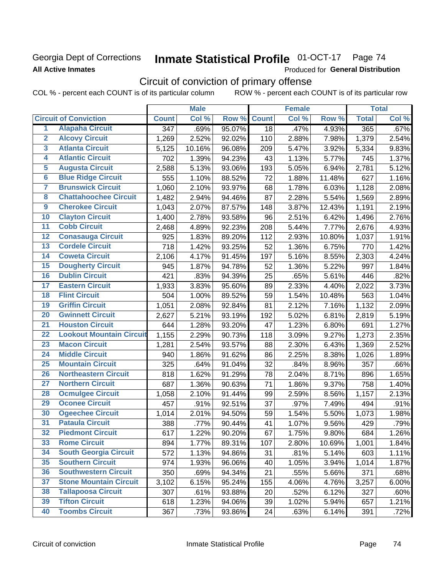## **Georgia Dept of Corrections All Active Inmates**

# Inmate Statistical Profile 01-OCT-17 Page 74

Produced for General Distribution

# Circuit of conviction of primary offense

COL % - percent each COUNT is of its particular column ROW % - percent each COUNT is of its particular row

|                         |                                 |                  | <b>Male</b> |        |              | <b>Female</b> |          |              | <b>Total</b> |
|-------------------------|---------------------------------|------------------|-------------|--------|--------------|---------------|----------|--------------|--------------|
|                         | <b>Circuit of Conviction</b>    | <b>Count</b>     | Col %       | Row %  | <b>Count</b> | Col %         | Row %    | <b>Total</b> | Col %        |
| 1                       | <b>Alapaha Circuit</b>          | $\overline{347}$ | .69%        | 95.07% | 18           | .47%          | 4.93%    | 365          | .67%         |
| $\overline{2}$          | <b>Alcovy Circuit</b>           | 1,269            | 2.52%       | 92.02% | 110          | 2.88%         | 7.98%    | 1,379        | 2.54%        |
| $\overline{\mathbf{3}}$ | <b>Atlanta Circuit</b>          | 5,125            | 10.16%      | 96.08% | 209          | 5.47%         | 3.92%    | 5,334        | 9.83%        |
| 4                       | <b>Atlantic Circuit</b>         | 702              | 1.39%       | 94.23% | 43           | 1.13%         | 5.77%    | 745          | 1.37%        |
| 5                       | <b>Augusta Circuit</b>          | 2,588            | 5.13%       | 93.06% | 193          | 5.05%         | 6.94%    | 2,781        | 5.12%        |
| $\overline{\bf{6}}$     | <b>Blue Ridge Circuit</b>       | 555              | 1.10%       | 88.52% | 72           | 1.88%         | 11.48%   | 627          | 1.16%        |
| 7                       | <b>Brunswick Circuit</b>        | 1,060            | 2.10%       | 93.97% | 68           | 1.78%         | 6.03%    | 1,128        | 2.08%        |
| $\overline{\mathbf{8}}$ | <b>Chattahoochee Circuit</b>    | 1,482            | 2.94%       | 94.46% | 87           | 2.28%         | 5.54%    | 1,569        | 2.89%        |
| $\overline{9}$          | <b>Cherokee Circuit</b>         | 1,043            | 2.07%       | 87.57% | 148          | 3.87%         | 12.43%   | 1,191        | 2.19%        |
| 10                      | <b>Clayton Circuit</b>          | 1,400            | 2.78%       | 93.58% | 96           | 2.51%         | 6.42%    | 1,496        | 2.76%        |
| $\overline{11}$         | <b>Cobb Circuit</b>             | 2,468            | 4.89%       | 92.23% | 208          | 5.44%         | 7.77%    | 2,676        | 4.93%        |
| $\overline{12}$         | <b>Conasauga Circuit</b>        | 925              | 1.83%       | 89.20% | 112          | 2.93%         | 10.80%   | 1,037        | 1.91%        |
| 13                      | <b>Cordele Circuit</b>          | 718              | 1.42%       | 93.25% | 52           | 1.36%         | 6.75%    | 770          | 1.42%        |
| $\overline{14}$         | <b>Coweta Circuit</b>           | 2,106            | 4.17%       | 91.45% | 197          | 5.16%         | 8.55%    | 2,303        | 4.24%        |
| 15                      | <b>Dougherty Circuit</b>        | 945              | 1.87%       | 94.78% | 52           | 1.36%         | 5.22%    | 997          | 1.84%        |
| 16                      | <b>Dublin Circuit</b>           | 421              | .83%        | 94.39% | 25           | .65%          | 5.61%    | 446          | .82%         |
| 17                      | <b>Eastern Circuit</b>          | 1,933            | 3.83%       | 95.60% | 89           | 2.33%         | 4.40%    | 2,022        | 3.73%        |
| $\overline{18}$         | <b>Flint Circuit</b>            | 504              | 1.00%       | 89.52% | 59           | 1.54%         | 10.48%   | 563          | 1.04%        |
| 19                      | <b>Griffin Circuit</b>          | 1,051            | 2.08%       | 92.84% | 81           | 2.12%         | 7.16%    | 1,132        | 2.09%        |
| 20                      | <b>Gwinnett Circuit</b>         | 2,627            | 5.21%       | 93.19% | 192          | 5.02%         | 6.81%    | 2,819        | 5.19%        |
| $\overline{21}$         | <b>Houston Circuit</b>          | 644              | 1.28%       | 93.20% | 47           | 1.23%         | 6.80%    | 691          | 1.27%        |
| $\overline{22}$         | <b>Lookout Mountain Circuit</b> | 1,155            | 2.29%       | 90.73% | 118          | 3.09%         | 9.27%    | 1,273        | 2.35%        |
| 23                      | <b>Macon Circuit</b>            | 1,281            | 2.54%       | 93.57% | 88           | 2.30%         | 6.43%    | 1,369        | 2.52%        |
| $\overline{24}$         | <b>Middle Circuit</b>           | 940              | 1.86%       | 91.62% | 86           | 2.25%         | 8.38%    | 1,026        | 1.89%        |
| $\overline{25}$         | <b>Mountain Circuit</b>         | 325              | .64%        | 91.04% | 32           | .84%          | 8.96%    | 357          | .66%         |
| 26                      | <b>Northeastern Circuit</b>     | 818              | 1.62%       | 91.29% | 78           | 2.04%         | 8.71%    | 896          | 1.65%        |
| $\overline{27}$         | <b>Northern Circuit</b>         | 687              | 1.36%       | 90.63% | 71           | 1.86%         | 9.37%    | 758          | 1.40%        |
| 28                      | <b>Ocmulgee Circuit</b>         | 1,058            | 2.10%       | 91.44% | 99           | 2.59%         | 8.56%    | 1,157        | 2.13%        |
| 29                      | <b>Oconee Circuit</b>           | 457              | .91%        | 92.51% | 37           | .97%          | 7.49%    | 494          | .91%         |
| 30                      | <b>Ogeechee Circuit</b>         | 1,014            | 2.01%       | 94.50% | 59           | 1.54%         | 5.50%    | 1,073        | 1.98%        |
| $\overline{31}$         | <b>Pataula Circuit</b>          | 388              | .77%        | 90.44% | 41           | 1.07%         | 9.56%    | 429          | .79%         |
| 32                      | <b>Piedmont Circuit</b>         | 617              | 1.22%       | 90.20% | 67           | 1.75%         | $9.80\%$ | 684          | 1.26%        |
| 33                      | <b>Rome Circuit</b>             | 894              | 1.77%       | 89.31% | 107          | 2.80%         | 10.69%   | 1,001        | 1.84%        |
| 34                      | <b>South Georgia Circuit</b>    | 572              | 1.13%       | 94.86% | 31           | .81%          | 5.14%    | 603          | 1.11%        |
| 35                      | <b>Southern Circuit</b>         | 974              | 1.93%       | 96.06% | 40           | 1.05%         | 3.94%    | 1,014        | 1.87%        |
| 36                      | <b>Southwestern Circuit</b>     | 350              | .69%        | 94.34% | 21           | .55%          | 5.66%    | 371          | .68%         |
| 37                      | <b>Stone Mountain Circuit</b>   | 3,102            | 6.15%       | 95.24% | 155          | 4.06%         | 4.76%    | 3,257        | 6.00%        |
| 38                      | <b>Tallapoosa Circuit</b>       | 307              | .61%        | 93.88% | 20           | .52%          | 6.12%    | 327          | .60%         |
| 39                      | <b>Tifton Circuit</b>           | 618              | 1.23%       | 94.06% | 39           | 1.02%         | 5.94%    | 657          | 1.21%        |
| 40                      | <b>Toombs Circuit</b>           | 367              | .73%        | 93.86% | 24           | .63%          | 6.14%    | 391          | .72%         |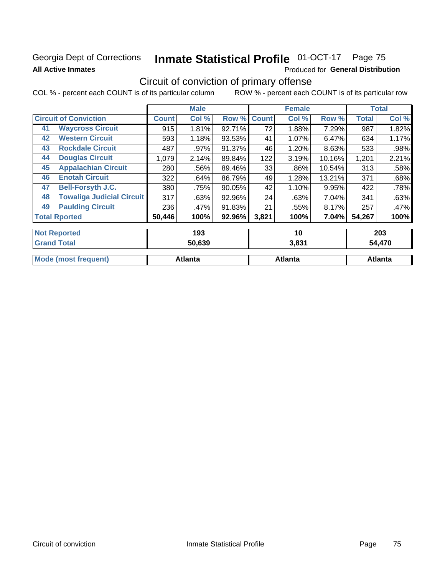# **Georgia Dept of Corrections All Active Inmates**

# Inmate Statistical Profile 01-OCT-17 Page 75

Produced for General Distribution

# Circuit of conviction of primary offense

COL % - percent each COUNT is of its particular column ROW % - percent each COUNT is of its particular row

|    |                                  |              | <b>Male</b> |           |              | <b>Female</b> |        |              | <b>Total</b> |
|----|----------------------------------|--------------|-------------|-----------|--------------|---------------|--------|--------------|--------------|
|    | <b>Circuit of Conviction</b>     | <b>Count</b> | Col %       | Row %     | <b>Count</b> | Col %         | Row %  | <b>Total</b> | Col %        |
| 41 | <b>Waycross Circuit</b>          | 915          | 1.81%       | 92.71%    | 72           | 1.88%         | 7.29%  | 987          | 1.82%        |
| 42 | <b>Western Circuit</b>           | 593          | 1.18%       | 93.53%    | 41           | 1.07%         | 6.47%  | 634          | 1.17%        |
| 43 | <b>Rockdale Circuit</b>          | 487          | .97%        | $91.37\%$ | 46           | 1.20%         | 8.63%  | 533          | .98%         |
| 44 | <b>Douglas Circuit</b>           | 1,079        | 2.14%       | 89.84%    | 122          | 3.19%         | 10.16% | 1,201        | 2.21%        |
| 45 | <b>Appalachian Circuit</b>       | 280          | .56%        | 89.46%    | 33           | $.86\%$       | 10.54% | 313          | .58%         |
| 46 | <b>Enotah Circuit</b>            | 322          | .64%        | 86.79%    | 49           | 1.28%         | 13.21% | 371          | .68%         |
| 47 | <b>Bell-Forsyth J.C.</b>         | 380          | .75%        | 90.05%    | 42           | 1.10%         | 9.95%  | 422          | .78%         |
| 48 | <b>Towaliga Judicial Circuit</b> | 317          | .63%        | 92.96%    | 24           | .63%          | 7.04%  | 341          | .63%         |
| 49 | <b>Paulding Circuit</b>          | 236          | $.47\%$     | 91.83%    | 21           | .55%          | 8.17%  | 257          | .47%         |
|    | <b>Total Rported</b>             | 50,446       | 100%        | 92.96%    | 3,821        | 100%          | 7.04%I | 54,267       | 100%         |
|    |                                  |              |             |           |              |               |        |              |              |
|    | <b>Not Reported</b>              |              | 193         |           |              | 10            |        |              | 203          |

| <sup>1</sup> Grand<br>Total | 50,639         | 3,831          | 54,470  |
|-----------------------------|----------------|----------------|---------|
| <b>Mode (most frequent)</b> | <b>Atlanta</b> | <b>Atlanta</b> | Atlanta |
|                             |                |                |         |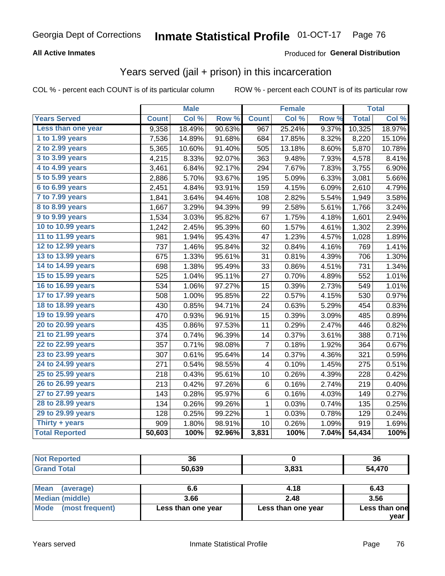#### **All Active Inmates**

#### Produced for **General Distribution**

### Years served (jail + prison) in this incarceration

|                              |              | <b>Male</b> |        |              | <b>Female</b> |       |              | <b>Total</b> |
|------------------------------|--------------|-------------|--------|--------------|---------------|-------|--------------|--------------|
| <b>Years Served</b>          | <b>Count</b> | Col %       | Row %  | <b>Count</b> | Col %         | Row % | <b>Total</b> | Col%         |
| Less than one year           | 9,358        | 18.49%      | 90.63% | 967          | 25.24%        | 9.37% | 10,325       | 18.97%       |
| 1 to 1.99 years              | 7,536        | 14.89%      | 91.68% | 684          | 17.85%        | 8.32% | 8,220        | 15.10%       |
| 2 to 2.99 years              | 5,365        | 10.60%      | 91.40% | 505          | 13.18%        | 8.60% | 5,870        | 10.78%       |
| 3 to 3.99 years              | 4,215        | 8.33%       | 92.07% | 363          | 9.48%         | 7.93% | 4,578        | 8.41%        |
| $\overline{4}$ to 4.99 years | 3,461        | 6.84%       | 92.17% | 294          | 7.67%         | 7.83% | 3,755        | 6.90%        |
| 5 to 5.99 years              | 2,886        | 5.70%       | 93.67% | 195          | 5.09%         | 6.33% | 3,081        | 5.66%        |
| 6 to 6.99 years              | 2,451        | 4.84%       | 93.91% | 159          | 4.15%         | 6.09% | 2,610        | 4.79%        |
| 7 to 7.99 years              | 1,841        | 3.64%       | 94.46% | 108          | 2.82%         | 5.54% | 1,949        | 3.58%        |
| 8 to 8.99 years              | 1,667        | 3.29%       | 94.39% | 99           | 2.58%         | 5.61% | 1,766        | 3.24%        |
| 9 to 9.99 years              | 1,534        | 3.03%       | 95.82% | 67           | 1.75%         | 4.18% | 1,601        | 2.94%        |
| 10 to 10.99 years            | 1,242        | 2.45%       | 95.39% | 60           | 1.57%         | 4.61% | 1,302        | 2.39%        |
| 11 to 11.99 years            | 981          | 1.94%       | 95.43% | 47           | 1.23%         | 4.57% | 1,028        | 1.89%        |
| 12 to 12.99 years            | 737          | 1.46%       | 95.84% | 32           | 0.84%         | 4.16% | 769          | 1.41%        |
| 13 to 13.99 years            | 675          | 1.33%       | 95.61% | 31           | 0.81%         | 4.39% | 706          | 1.30%        |
| 14 to 14.99 years            | 698          | 1.38%       | 95.49% | 33           | 0.86%         | 4.51% | 731          | 1.34%        |
| 15 to 15.99 years            | 525          | 1.04%       | 95.11% | 27           | 0.70%         | 4.89% | 552          | 1.01%        |
| 16 to 16.99 years            | 534          | 1.06%       | 97.27% | 15           | 0.39%         | 2.73% | 549          | 1.01%        |
| 17 to 17.99 years            | 508          | 1.00%       | 95.85% | 22           | 0.57%         | 4.15% | 530          | 0.97%        |
| 18 to 18.99 years            | 430          | 0.85%       | 94.71% | 24           | 0.63%         | 5.29% | 454          | 0.83%        |
| 19 to 19.99 years            | 470          | 0.93%       | 96.91% | 15           | 0.39%         | 3.09% | 485          | 0.89%        |
| 20 to 20.99 years            | 435          | 0.86%       | 97.53% | 11           | 0.29%         | 2.47% | 446          | 0.82%        |
| 21 to 21.99 years            | 374          | 0.74%       | 96.39% | 14           | 0.37%         | 3.61% | 388          | 0.71%        |
| 22 to 22.99 years            | 357          | 0.71%       | 98.08% | 7            | 0.18%         | 1.92% | 364          | 0.67%        |
| 23 to 23.99 years            | 307          | 0.61%       | 95.64% | 14           | 0.37%         | 4.36% | 321          | 0.59%        |
| 24 to 24.99 years            | 271          | 0.54%       | 98.55% | 4            | 0.10%         | 1.45% | 275          | 0.51%        |
| 25 to 25.99 years            | 218          | 0.43%       | 95.61% | 10           | 0.26%         | 4.39% | 228          | 0.42%        |
| 26 to 26.99 years            | 213          | 0.42%       | 97.26% | 6            | 0.16%         | 2.74% | 219          | 0.40%        |
| 27 to 27.99 years            | 143          | 0.28%       | 95.97% | 6            | 0.16%         | 4.03% | 149          | 0.27%        |
| 28 to 28.99 years            | 134          | 0.26%       | 99.26% | 1            | 0.03%         | 0.74% | 135          | 0.25%        |
| 29 to 29.99 years            | 128          | 0.25%       | 99.22% | $\mathbf 1$  | 0.03%         | 0.78% | 129          | 0.24%        |
| Thirty + years               | 909          | 1.80%       | 98.91% | 10           | 0.26%         | 1.09% | 919          | 1.69%        |
| <b>Total Reported</b>        | 50,603       | 100%        | 92.96% | 3,831        | 100%          | 7.04% | 54,434       | 100%         |

| υu     |     | 36        |
|--------|-----|-----------|
| 50.639 | 024 | 470<br>מי |

| Mean<br>(average)    | 6.6                | 4.18               | 6.43          |
|----------------------|--------------------|--------------------|---------------|
| Median (middle)      | 3.66               | 2.48               | 3.56          |
| Mode (most frequent) | Less than one year | Less than one year | Less than one |
|                      |                    |                    | vear          |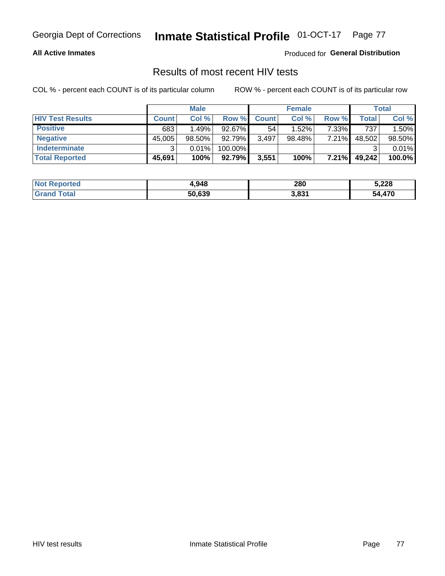#### **All Active Inmates**

Produced for **General Distribution**

### Results of most recent HIV tests

|                         |              | <b>Male</b> |         |              | <b>Female</b> |          |        | Total  |
|-------------------------|--------------|-------------|---------|--------------|---------------|----------|--------|--------|
| <b>HIV Test Results</b> | <b>Count</b> | Col%        | Row %I  | <b>Count</b> | Col %         | Row %    | Total  | Col %  |
| <b>Positive</b>         | 683          | 1.49%       | 92.67%  | 54           | $1.52\%$      | $7.33\%$ | 737    | 1.50%  |
| <b>Negative</b>         | 45.005       | $98.50\%$   | 92.79%  | 3,497        | $98.48\%$     | 7.21%    | 48,502 | 98.50% |
| Indeterminate           | ີ            | 0.01%       | 100.00% |              |               |          | ົ      | 0.01%  |
| <b>Total Reported</b>   | 45,691       | 100%        | 92.79%  | 3,551        | 100%          | $7.21\%$ | 49,242 | 100.0% |

| <b>Not Reported</b>         | 4,948  | 280   | 5,228  |
|-----------------------------|--------|-------|--------|
| <b>Total</b><br><b>Grar</b> | 50,639 | 3,831 | 54,470 |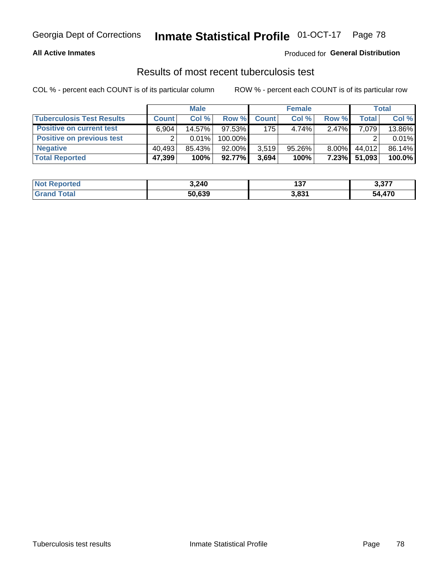#### **All Active Inmates**

#### Produced for **General Distribution**

### Results of most recent tuberculosis test

|                                  | <b>Male</b>  |        |           | <b>Female</b> |           |          | Total        |        |
|----------------------------------|--------------|--------|-----------|---------------|-----------|----------|--------------|--------|
| <b>Tuberculosis Test Results</b> | <b>Count</b> | Col %  | Row %     | <b>Count</b>  | Col %     | Row %    | <b>Total</b> | Col %  |
| <b>Positive on current test</b>  | 6.904        | 14.57% | $97.53\%$ | 175           | 4.74%     | 2.47%    | 7,079        | 13.86% |
| <b>Positive on previous test</b> |              | 0.01%  | 100.00%   |               |           |          |              | 0.01%  |
| <b>Negative</b>                  | 40.493       | 85.43% | $92.00\%$ | 3.519         | $95.26\%$ | $8.00\%$ | 44.012       | 86.14% |
| <b>Total Reported</b>            | 47,399       | 100%   | $92.77\%$ | 3,694         | 100%      | $7.23\%$ | 51,093       | 100.0% |

| <b>Not Reported</b>   | 3,240  | ר פ<br>13 I | っ っフフ<br>، ، ، ، ، |
|-----------------------|--------|-------------|--------------------|
| <b>Total</b><br>Grand | 50,639 | 3,831       | ATC<br>54          |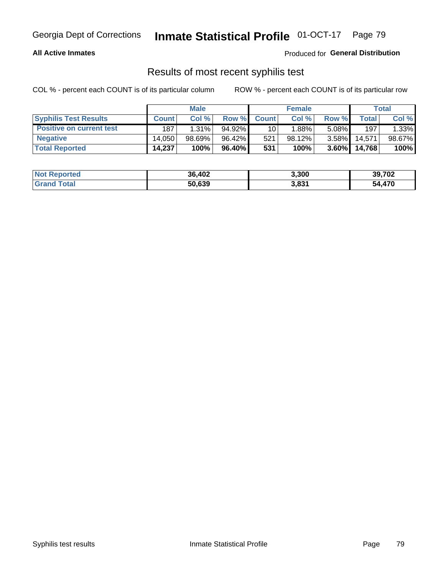#### **All Active Inmates**

Produced for **General Distribution**

### Results of most recent syphilis test

|                                 | <b>Male</b>  |          |        | <b>Female</b> |          |          | Total   |        |
|---------------------------------|--------------|----------|--------|---------------|----------|----------|---------|--------|
| <b>Syphilis Test Results</b>    | <b>Count</b> | Col%     | Row %  | <b>Count</b>  | Col %    | Row %I   | Total   | Col %  |
| <b>Positive on current test</b> | 187          | $1.31\%$ | 94.92% | 10            | $1.88\%$ | $5.08\%$ | 197     | 1.33%  |
| <b>Negative</b>                 | 14.050       | 98.69%   | 96.42% | 521           | 98.12%   | $3.58\%$ | 14,571, | 98.67% |
| <b>Total Reported</b>           | 14,237       | 100%     | 96.40% | 531           | 100%     | $3.60\%$ | 14,768  | 100%   |

| <b>Not Reported</b> | 36,402 | 3,300 | 39,702 |
|---------------------|--------|-------|--------|
| <b>Grand Total</b>  | 50,639 | 3,831 | 54,470 |